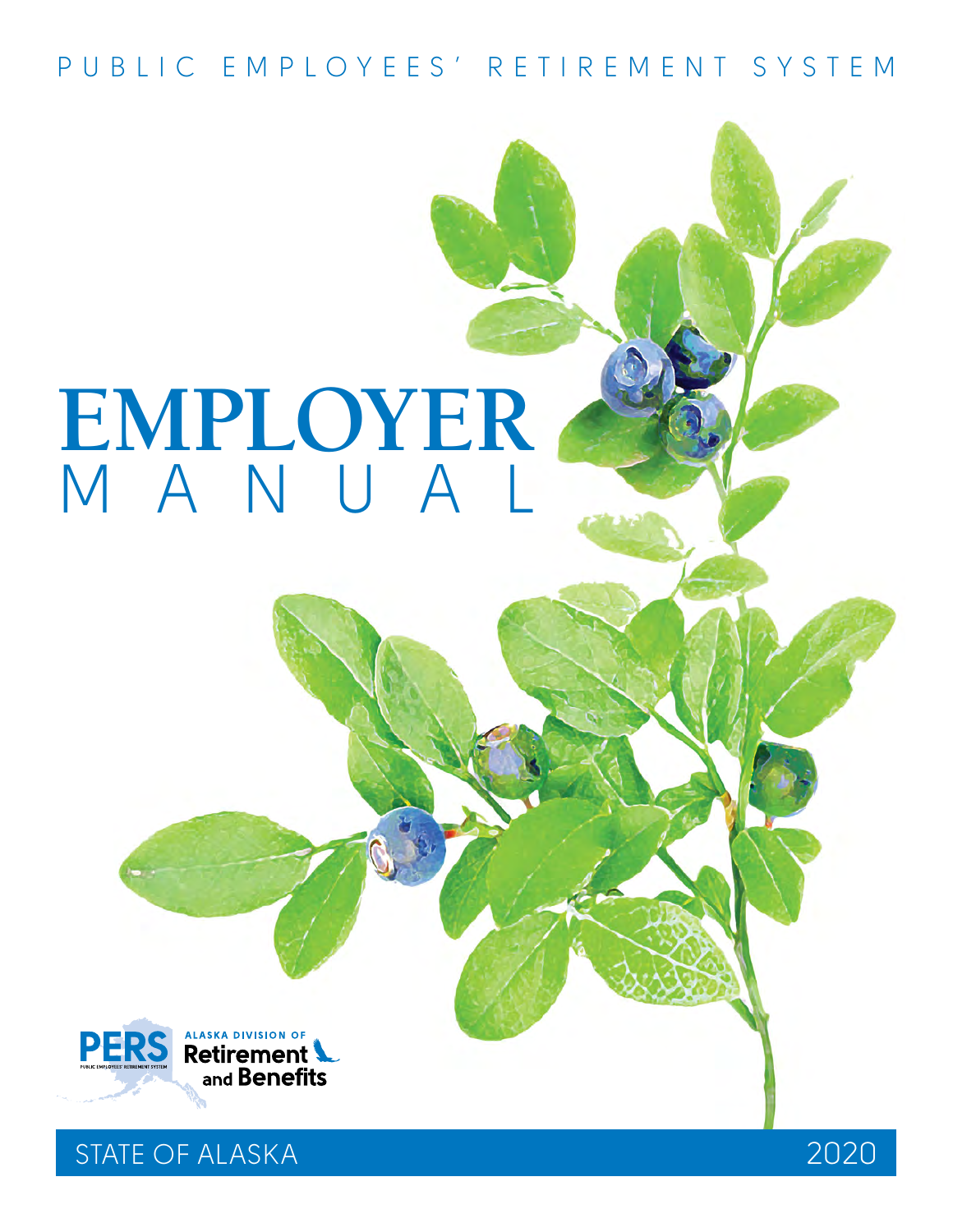PUBLIC EMPLOYEES' RETIREMENT SYSTEM

# **EMPLOYER** M A N U A L





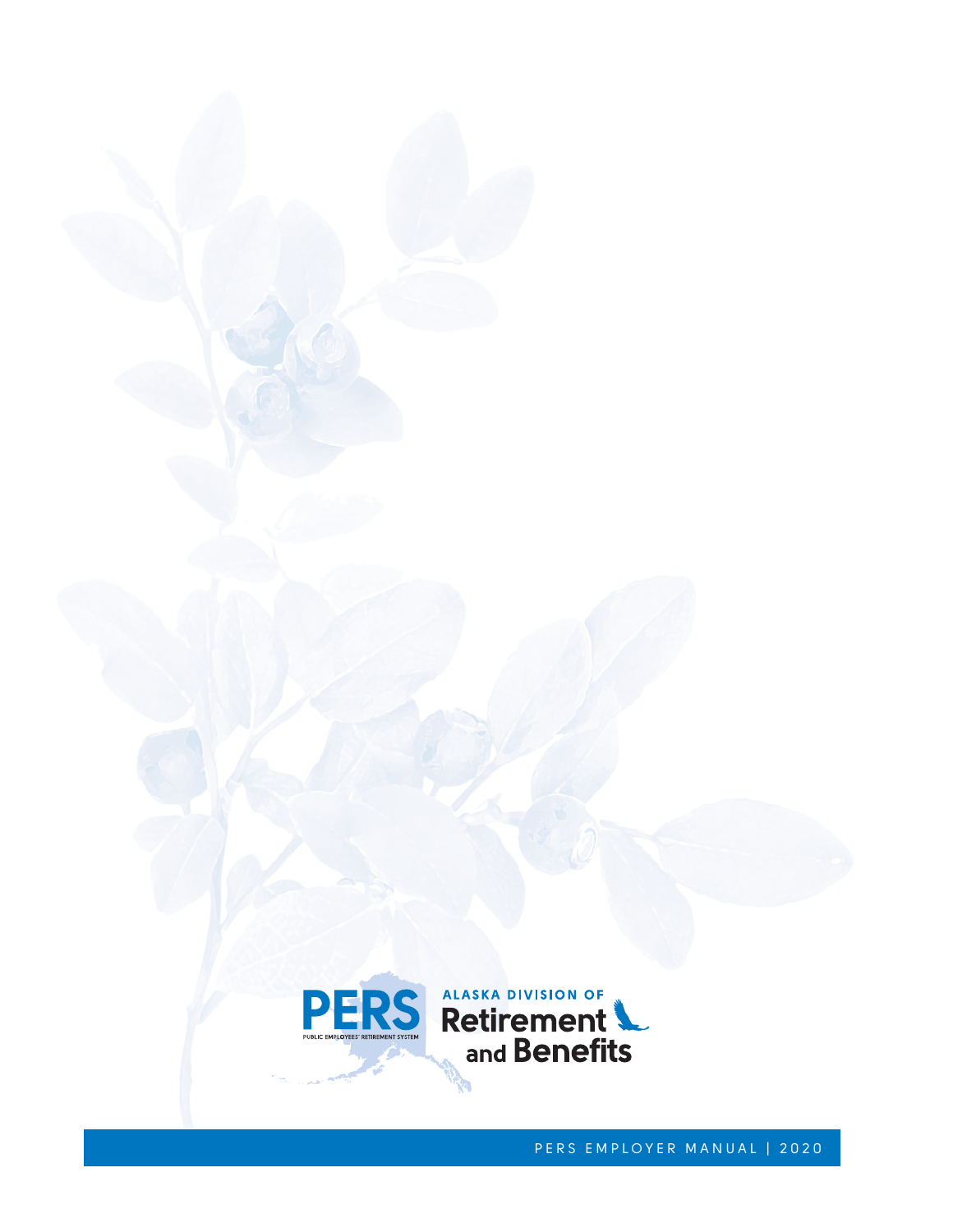

PERS EMPLOYER MANUAL | 2020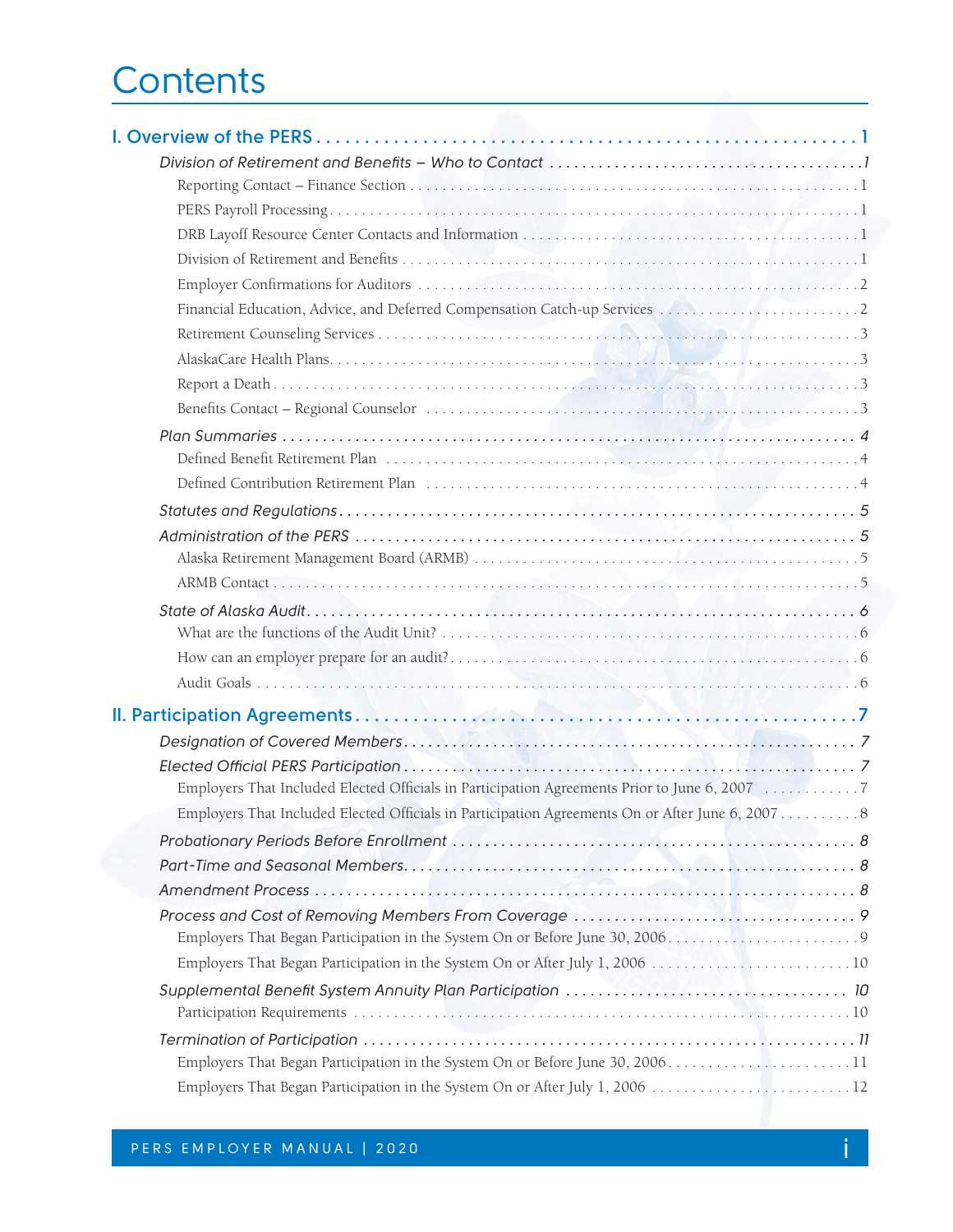# **Contents**

| Employers That Included Elected Officials in Participation Agreements Prior to June 6, 2007 7    |  |
|--------------------------------------------------------------------------------------------------|--|
| Employers That Included Elected Officials in Participation Agreements On or After June 6, 2007 8 |  |
|                                                                                                  |  |
|                                                                                                  |  |
|                                                                                                  |  |
|                                                                                                  |  |
|                                                                                                  |  |
| Employers That Began Participation in the System On or After July 1, 2006 10                     |  |
|                                                                                                  |  |
|                                                                                                  |  |
|                                                                                                  |  |
|                                                                                                  |  |
|                                                                                                  |  |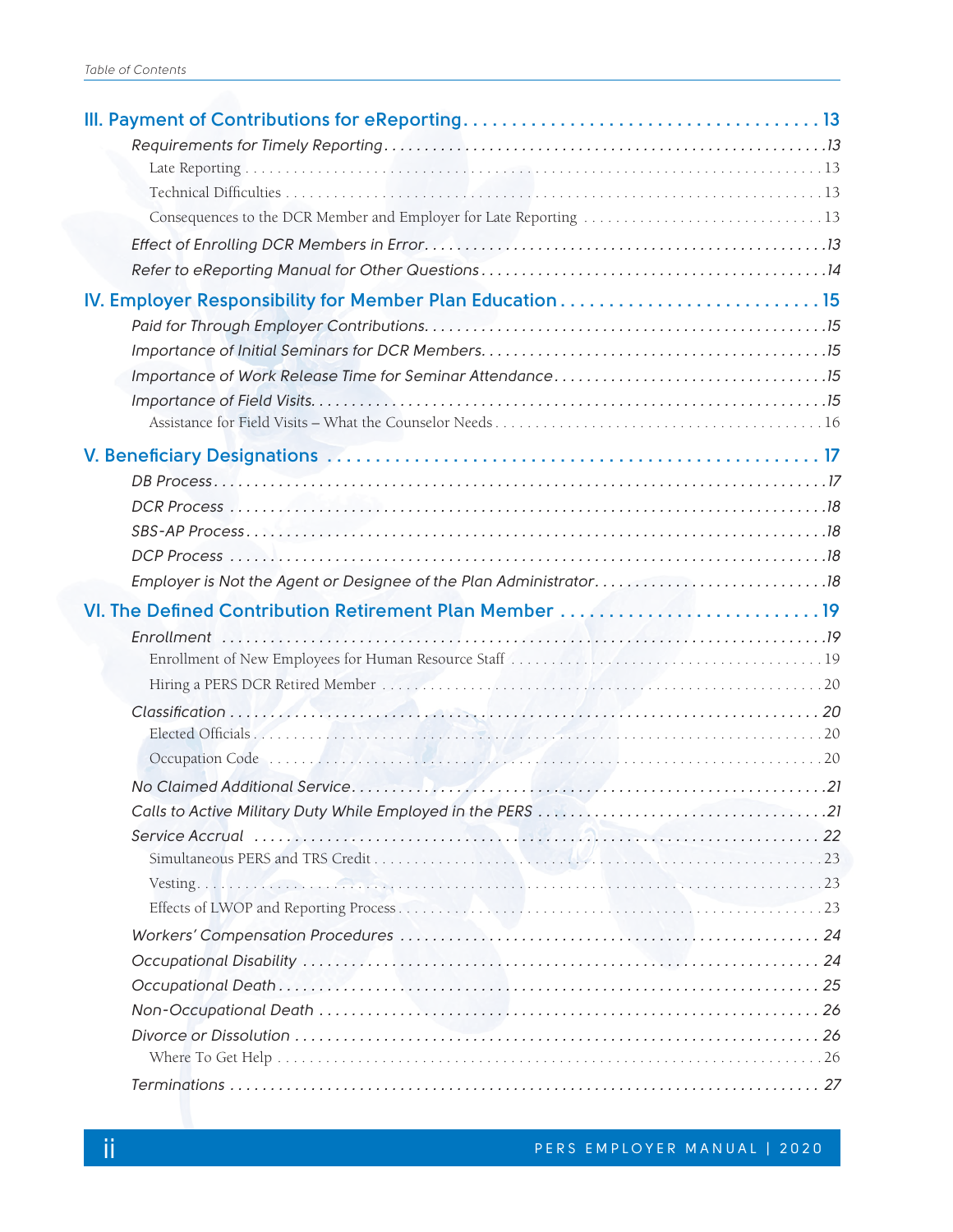| Late Reporting New Research 2014 13                     |  |
|---------------------------------------------------------|--|
|                                                         |  |
|                                                         |  |
|                                                         |  |
|                                                         |  |
| IV. Employer Responsibility for Member Plan Education15 |  |
|                                                         |  |
|                                                         |  |
|                                                         |  |
|                                                         |  |
|                                                         |  |
|                                                         |  |
|                                                         |  |
|                                                         |  |
|                                                         |  |
|                                                         |  |
|                                                         |  |
| VI. The Defined Contribution Retirement Plan Member  19 |  |
|                                                         |  |
|                                                         |  |
|                                                         |  |
|                                                         |  |
|                                                         |  |
|                                                         |  |
|                                                         |  |
|                                                         |  |
|                                                         |  |
| Vesting                                                 |  |
|                                                         |  |
|                                                         |  |
|                                                         |  |
|                                                         |  |
|                                                         |  |
|                                                         |  |
|                                                         |  |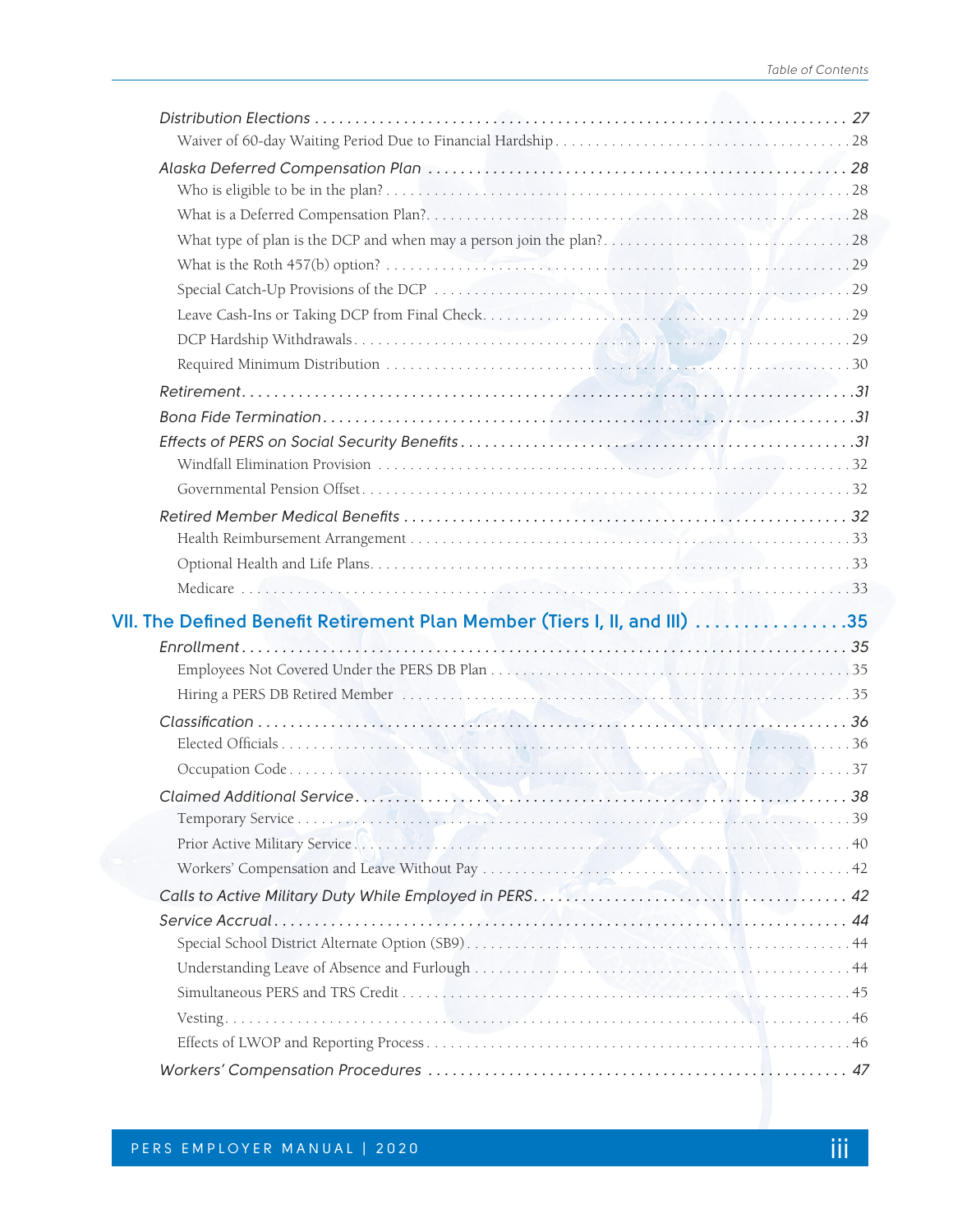| Medicare                                                                                                         |  |
|------------------------------------------------------------------------------------------------------------------|--|
|                                                                                                                  |  |
|                                                                                                                  |  |
| VII. The Defined Benefit Retirement Plan Member (Tiers I, II, and III) 35                                        |  |
|                                                                                                                  |  |
|                                                                                                                  |  |
|                                                                                                                  |  |
|                                                                                                                  |  |
|                                                                                                                  |  |
|                                                                                                                  |  |
|                                                                                                                  |  |
| Prior Active Military Service   New York New York New York New York New York New York New York New York New York |  |
|                                                                                                                  |  |
|                                                                                                                  |  |
|                                                                                                                  |  |
|                                                                                                                  |  |
|                                                                                                                  |  |
|                                                                                                                  |  |
|                                                                                                                  |  |
|                                                                                                                  |  |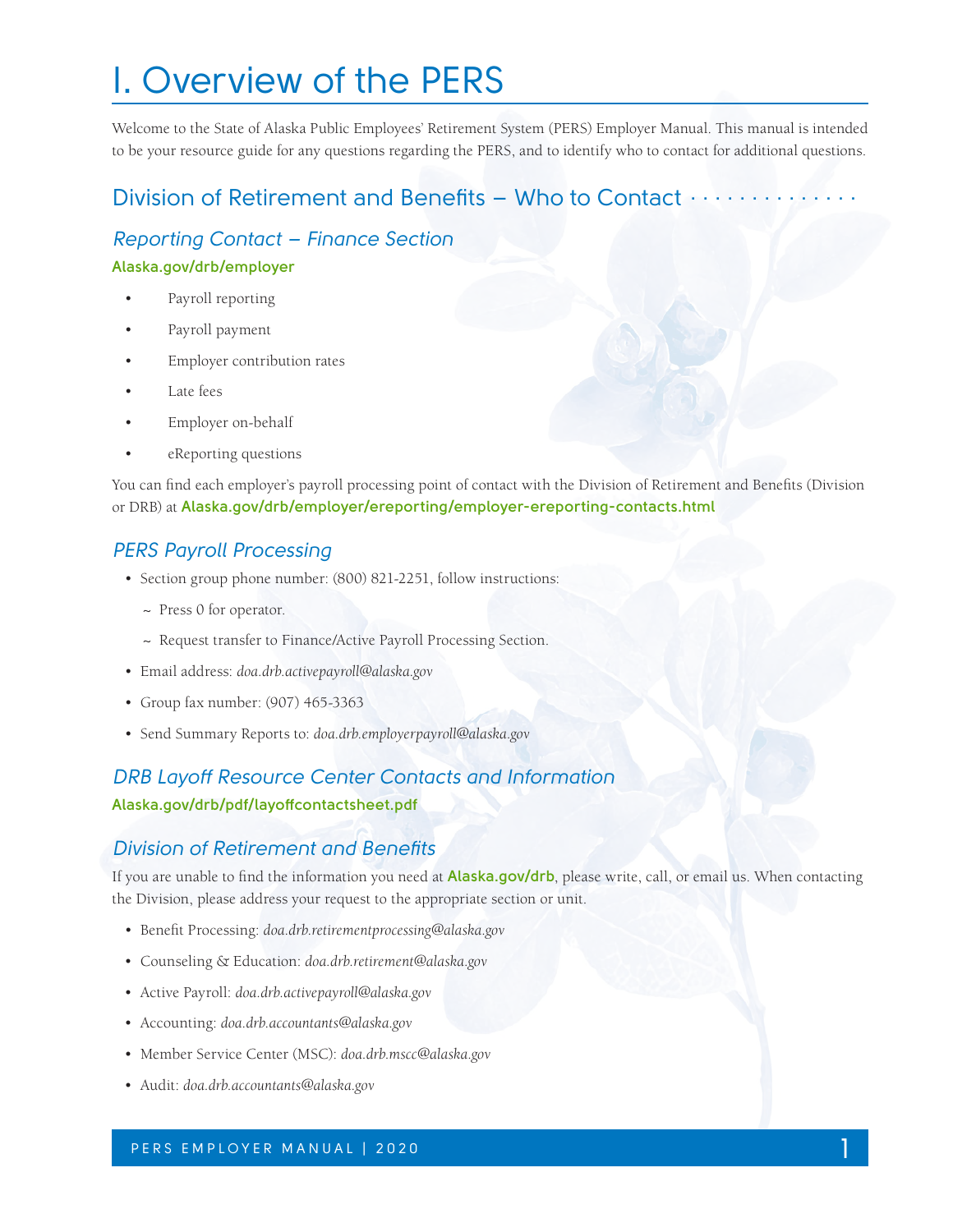# <span id="page-6-0"></span>I. Overview of the PERS

Welcome to the State of Alaska Public Employees' Retirement System (PERS) Employer Manual. This manual is intended to be your resource guide for any questions regarding the PERS, and to identify who to contact for additional questions.

# Division of Retirement and Benefits – Who to Contact  $\cdot$

# *Reporting Contact – Finance Section*  **Alaska.gov/drb/employer**

- Payroll reporting
- Payroll payment
- Employer contribution rates
- Late fees
- Employer on-behalf
- eReporting questions

You can find each employer's payroll processing point of contact with the Division of Retirement and Benefits (Division or DRB) at **Alaska.gov/drb/employer/ereporting/employer-ereporting-contacts.html**

### *PERS Payroll Processing*

- Section group phone number: (800) 821-2251, follow instructions:
	- $\sim$  Press 0 for operator.
	- ~ Request transfer to Finance/Active Payroll Processing Section.
- Email address: *doa.drb.activepayroll@alaska.gov*
- Group fax number: (907) 465-3363
- Send Summary Reports to: *doa.drb.employerpayroll@alaska.gov*

# *DRB Layoff Resource Center Contacts and Information* **Alaska.gov/drb/pdf/layoffcontactsheet.pdf**

### *Division of Retirement and Benefits*

If you are unable to find the information you need at **Alaska.gov/drb**, please write, call, or email us. When contacting the Division, please address your request to the appropriate section or unit.

- Benefit Processing: *doa.drb.retirementprocessing@alaska.gov*
- Counseling & Education: *doa.drb.retirement@alaska.gov*
- Active Payroll: *doa.drb.activepayroll@alaska.gov*
- Accounting: *doa.drb.accountants@alaska.gov*
- Member Service Center (MSC): *doa.drb.mscc@alaska.gov*
- Audit: *doa.drb.accountants@alaska.gov*

#### PERS EMPLOYER MANUAL | 2020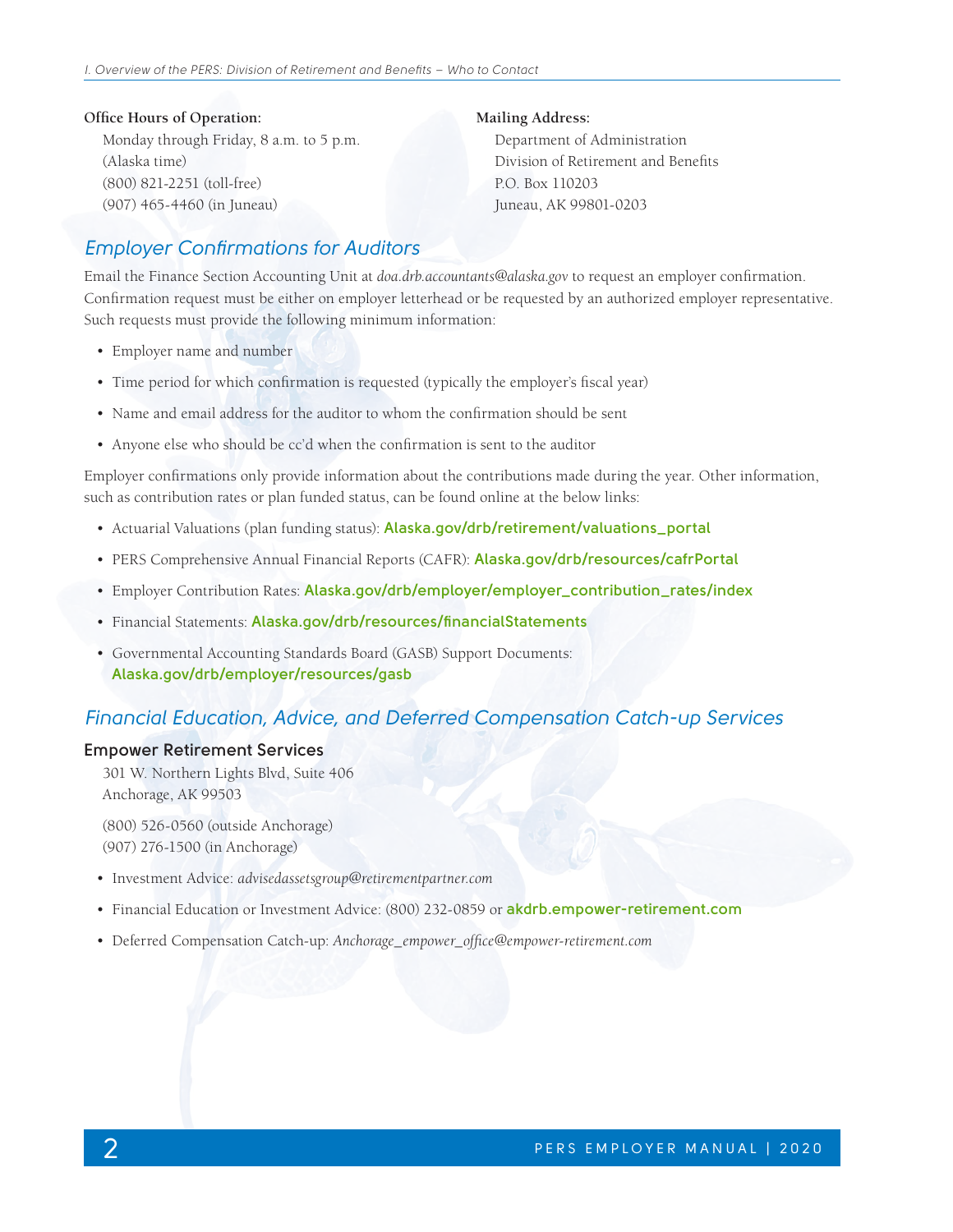#### <span id="page-7-0"></span>**Office Hours of Operation:**

Monday through Friday, 8 a.m. to 5 p.m. (Alaska time) (800) 821-2251 (toll-free) (907) 465-4460 (in Juneau)

#### **Mailing Address:**

Department of Administration Division of Retirement and Benefits P.O. Box 110203 Juneau, AK 99801-0203

### *Employer Confirmations for Auditors*

Email the Finance Section Accounting Unit at *doa.drb.accountants@alaska.gov* to request an employer confirmation. Confirmation request must be either on employer letterhead or be requested by an authorized employer representative. Such requests must provide the following minimum information:

- Employer name and number
- Time period for which confirmation is requested (typically the employer's fiscal year)
- Name and email address for the auditor to whom the confirmation should be sent
- Anyone else who should be cc'd when the confirmation is sent to the auditor

Employer confirmations only provide information about the contributions made during the year. Other information, such as contribution rates or plan funded status, can be found online at the below links:

- Actuarial Valuations (plan funding status): **Alaska.gov/drb/retirement/valuations\_portal**
- PERS Comprehensive Annual Financial Reports (CAFR): **Alaska.gov/drb/resources/cafrPortal**
- Employer Contribution Rates: **Alaska.gov/drb/employer/employer\_contribution\_rates/index**
- Financial Statements: **Alaska.gov/drb/resources/financialStatements**
- Governmental Accounting Standards Board (GASB) Support Documents: **Alaska.gov/drb/employer/resources/gasb**

### *Financial Education, Advice, and Deferred Compensation Catch-up Services*

#### **Empower Retirement Services**

301 W. Northern Lights Blvd, Suite 406 Anchorage, AK 99503

(800) 526-0560 (outside Anchorage) (907) 276-1500 (in Anchorage)

- Investment Advice: *advisedassetsgroup@retirementpartner.com*
- Financial Education or Investment Advice: (800) 232-0859 or **akdrb.empower-retirement.com**
- Deferred Compensation Catch-up: *Anchorage\_empower\_office@empower-retirement.com*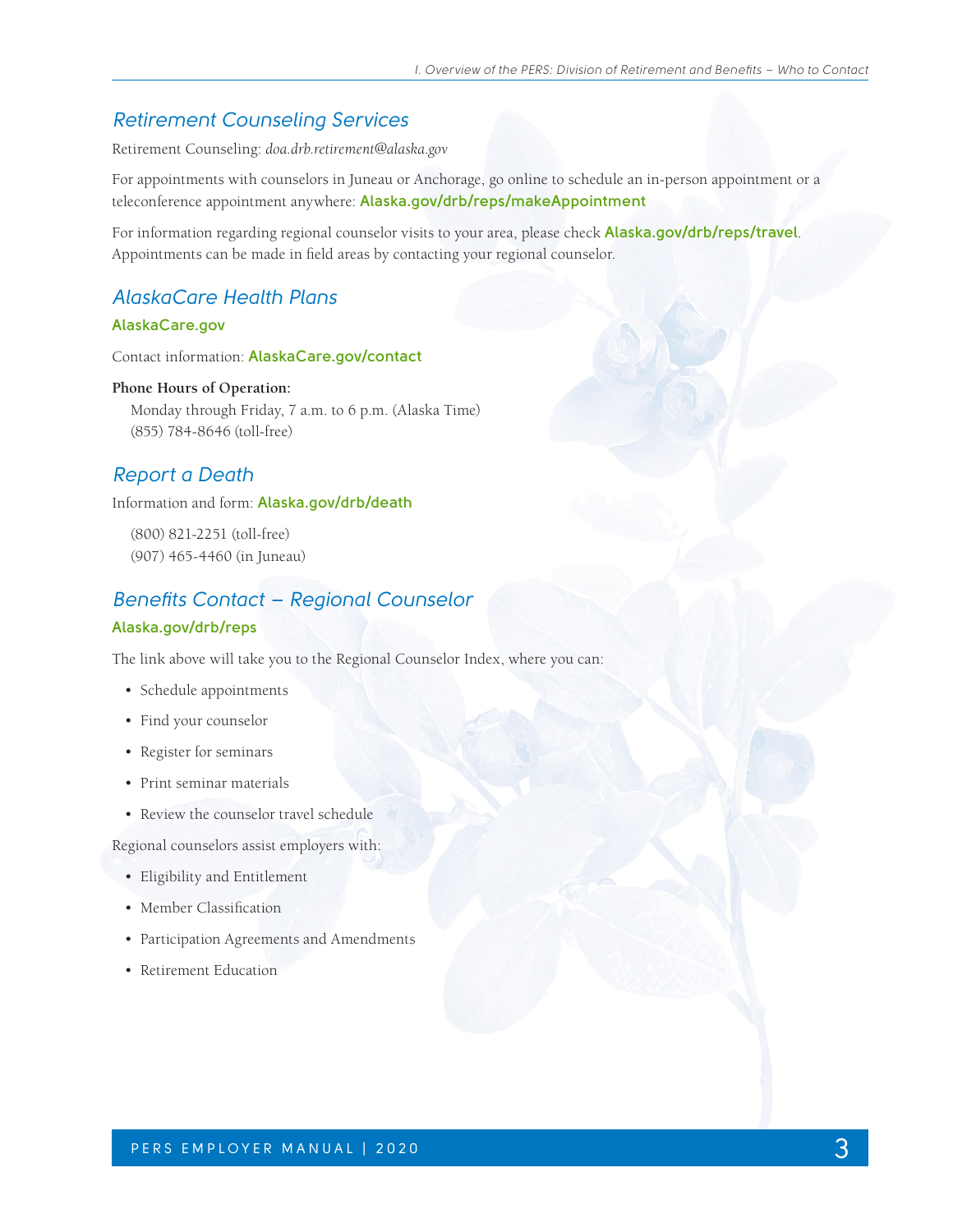### <span id="page-8-0"></span>*Retirement Counseling Services*

Retirement Counseling: *doa.drb.retirement@alaska.gov* 

For appointments with counselors in Juneau or Anchorage, go online to schedule an in-person appointment or a teleconference appointment anywhere: **Alaska.gov/drb/reps/makeAppointment** 

For information regarding regional counselor visits to your area, please check **Alaska.gov/drb/reps/travel**. Appointments can be made in field areas by contacting your regional counselor.

# *AlaskaCare Health Plans*

### **AlaskaCare.gov**

Contact information: **AlaskaCare.gov/contact**

#### **Phone Hours of Operation:**

Monday through Friday, 7 a.m. to 6 p.m. (Alaska Time) (855) 784-8646 (toll-free)

### *Report a Death*

Information and form: **Alaska.gov/drb/death**

(800) 821-2251 (toll-free) (907) 465-4460 (in Juneau)

# *Benefits Contact – [Regional Counselor](http://doa.alaska.gov/drb/reps/index.html)*

### **Alaska.gov/drb/reps**

The link above will take you to the Regional Counselor Index, where you can:

- Schedule appointments
- Find your counselor
- Register for seminars
- Print seminar materials
- Review the counselor travel schedule

Regional counselors assist employers with:

- Eligibility and Entitlement
- Member Classification
- Participation Agreements and Amendments
- Retirement Education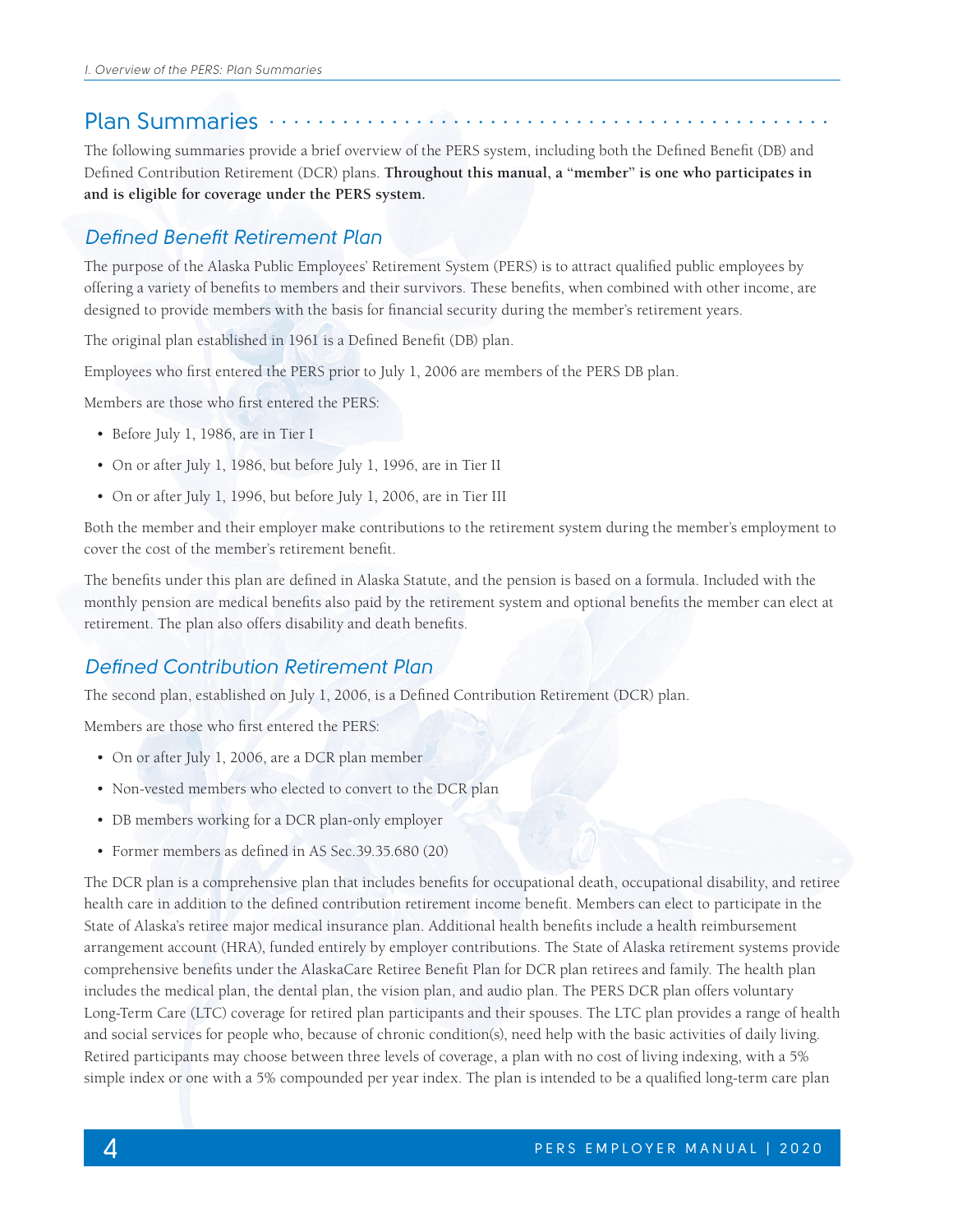# <span id="page-9-0"></span>Plan Summaries  $\dots$

The following summaries provide a brief overview of the PERS system, including both the Defined Benefit (DB) and Defined Contribution Retirement (DCR) plans. **Throughout this manual, a "member" is one who participates in and is eligible for coverage under the PERS system.**

### *Defined Benefit Retirement Plan*

The purpose of the Alaska Public Employees' Retirement System (PERS) is to attract qualified public employees by offering a variety of benefits to members and their survivors. These benefits, when combined with other income, are designed to provide members with the basis for financial security during the member's retirement years.

The original plan established in 1961 is a Defined Benefit (DB) plan.

Employees who first entered the PERS prior to July 1, 2006 are members of the PERS DB plan.

Members are those who first entered the PERS:

- Before July 1, 1986, are in Tier I
- On or after July 1, 1986, but before July 1, 1996, are in Tier II
- On or after July 1, 1996, but before July 1, 2006, are in Tier III

Both the member and their employer make contributions to the retirement system during the member's employment to cover the cost of the member's retirement benefit.

The benefits under this plan are defined in Alaska Statute, and the pension is based on a formula. Included with the monthly pension are medical benefits also paid by the retirement system and optional benefits the member can elect at retirement. The plan also offers disability and death benefits.

### *Defined Contribution Retirement Plan*

The second plan, established on July 1, 2006, is a Defined Contribution Retirement (DCR) plan.

Members are those who first entered the PERS:

- On or after July 1, 2006, are a DCR plan member
- Non-vested members who elected to convert to the DCR plan
- DB members working for a DCR plan-only employer
- Former members as defined in AS Sec.39.35.680 (20)

The DCR plan is a comprehensive plan that includes benefits for occupational death, occupational disability, and retiree health care in addition to the defined contribution retirement income benefit. Members can elect to participate in the State of Alaska's retiree major medical insurance plan. Additional health benefits include a health reimbursement arrangement account (HRA), funded entirely by employer contributions. The State of Alaska retirement systems provide comprehensive benefits under the AlaskaCare Retiree Benefit Plan for DCR plan retirees and family. The health plan includes the medical plan, the dental plan, the vision plan, and audio plan. The PERS DCR plan offers voluntary Long-Term Care (LTC) coverage for retired plan participants and their spouses. The LTC plan provides a range of health and social services for people who, because of chronic condition(s), need help with the basic activities of daily living. Retired participants may choose between three levels of coverage, a plan with no cost of living indexing, with a 5% simple index or one with a 5% compounded per year index. The plan is intended to be a qualified long-term care plan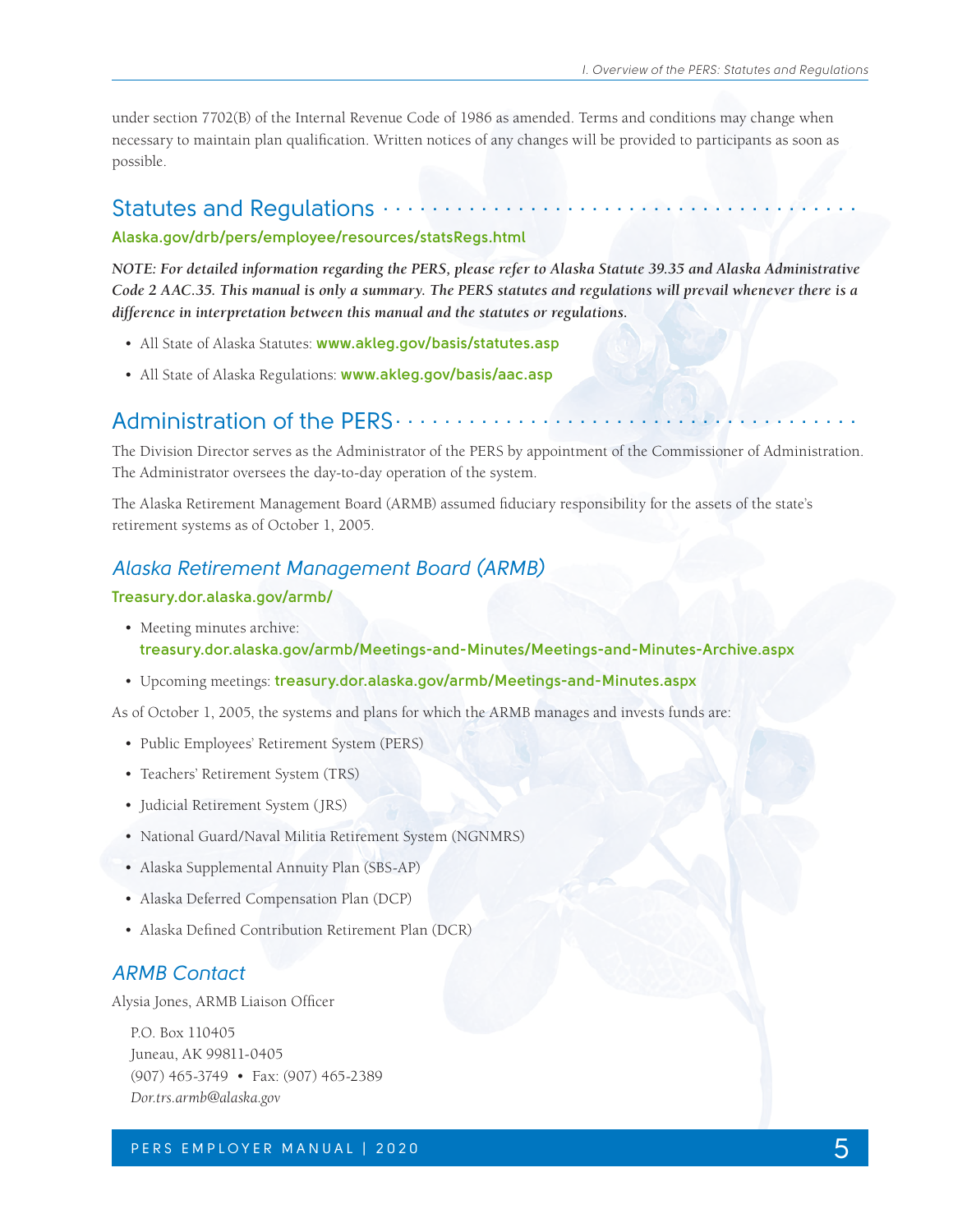<span id="page-10-0"></span>under section 7702(B) of the Internal Revenue Code of 1986 as amended. Terms and conditions may change when necessary to maintain plan qualification. Written notices of any changes will be provided to participants as soon as possible.

# [Statutes and Regulations](http://doa.alaska.gov/drb/pers/perspublications.html)  $\dots\dots\dots\dots$

### **Alaska.gov/drb/pers/employee/resources/statsRegs.html**

*NOTE: For detailed information regarding the PERS, please refer to Alaska Statute 39.35 and Alaska Administrative Code 2 AAC.35. This manual is only a summary. The PERS statutes and regulations will prevail whenever there is a difference in interpretation between this manual and the statutes or regulations.* 

- All State of Alaska Statutes: **www.akleg.gov/basis/statutes.asp**
- All State of Alaska Regulations: **www.akleg.gov/basis/aac.asp**

# Administration of the PERS  $\dots \dots \dots \dots \dots$

The Division Director serves as the Administrator of the PERS by appointment of the Commissioner of Administration. The Administrator oversees the day-to-day operation of the system.

The Alaska Retirement Management Board (ARMB) assumed fiduciary responsibility for the assets of the state's retirement systems as of October 1, 2005.

### *Alaska Retirement Management Board (ARMB)*

#### **Treasury.dor.alaska.gov/armb/**

- Meeting minutes archive: **treasury.dor.alaska.gov/armb/Meetings-and-Minutes/Meetings-and-Minutes-Archive.aspx**
- Upcoming meetings: **treasury.dor.alaska.gov/armb/Meetings-and-Minutes.aspx**

As of October 1, 2005, the systems and plans for which the ARMB manages and invests funds are:

- Public Employees' Retirement System (PERS)
- Teachers' Retirement System (TRS)
- Judicial Retirement System (JRS)
- National Guard/Naval Militia Retirement System (NGNMRS)
- Alaska Supplemental Annuity Plan (SBS-AP)
- Alaska Deferred Compensation Plan (DCP)
- Alaska Defined Contribution Retirement Plan (DCR)

### *ARMB Contact*

Alysia Jones, ARMB Liaison Officer

P.O. Box 110405 Juneau, AK 99811-0405 (907) 465-3749 • Fax: (907) 465-2389 *Dor.trs.armb@alaska.gov*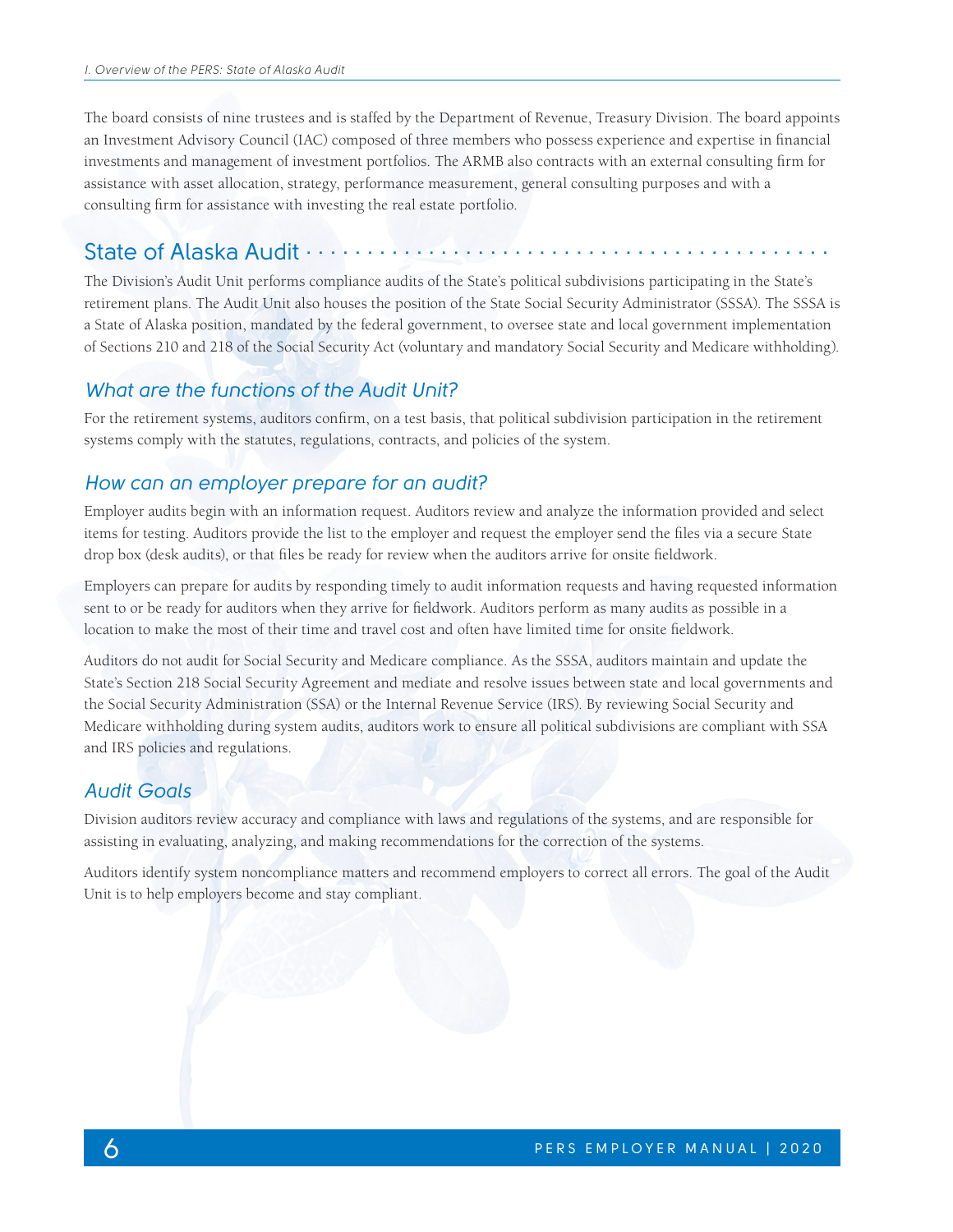<span id="page-11-0"></span>The board consists of nine trustees and is staffed by the Department of Revenue, Treasury Division. The board appoints an Investment Advisory Council (IAC) composed of three members who possess experience and expertise in financial investments and management of investment portfolios. The ARMB also contracts with an external consulting firm for assistance with asset allocation, strategy, performance measurement, general consulting purposes and with a consulting firm for assistance with investing the real estate portfolio.

# State of Alaska Audit  $\cdots \cdots$

The Division's Audit Unit performs compliance audits of the State's political subdivisions participating in the State's retirement plans. The Audit Unit also houses the position of the State Social Security Administrator (SSSA). The SSSA is a State of Alaska position, mandated by the federal government, to oversee state and local government implementation of Sections 210 and 218 of the Social Security Act (voluntary and mandatory Social Security and Medicare withholding).

### *What are the functions of the Audit Unit?*

For the retirement systems, auditors confirm, on a test basis, that political subdivision participation in the retirement systems comply with the statutes, regulations, contracts, and policies of the system.

### *How can an employer prepare for an audit?*

Employer audits begin with an information request. Auditors review and analyze the information provided and select items for testing. Auditors provide the list to the employer and request the employer send the files via a secure State drop box (desk audits), or that files be ready for review when the auditors arrive for onsite fieldwork.

Employers can prepare for audits by responding timely to audit information requests and having requested information sent to or be ready for auditors when they arrive for fieldwork. Auditors perform as many audits as possible in a location to make the most of their time and travel cost and often have limited time for onsite fieldwork.

Auditors do not audit for Social Security and Medicare compliance. As the SSSA, auditors maintain and update the State's Section 218 Social Security Agreement and mediate and resolve issues between state and local governments and the Social Security Administration (SSA) or the Internal Revenue Service (IRS). By reviewing Social Security and Medicare withholding during system audits, auditors work to ensure all political subdivisions are compliant with SSA and IRS policies and regulations.

### *Audit Goals*

Division auditors review accuracy and compliance with laws and regulations of the systems, and are responsible for assisting in evaluating, analyzing, and making recommendations for the correction of the systems.

Auditors identify system noncompliance matters and recommend employers to correct all errors. The goal of the Audit Unit is to help employers become and stay compliant.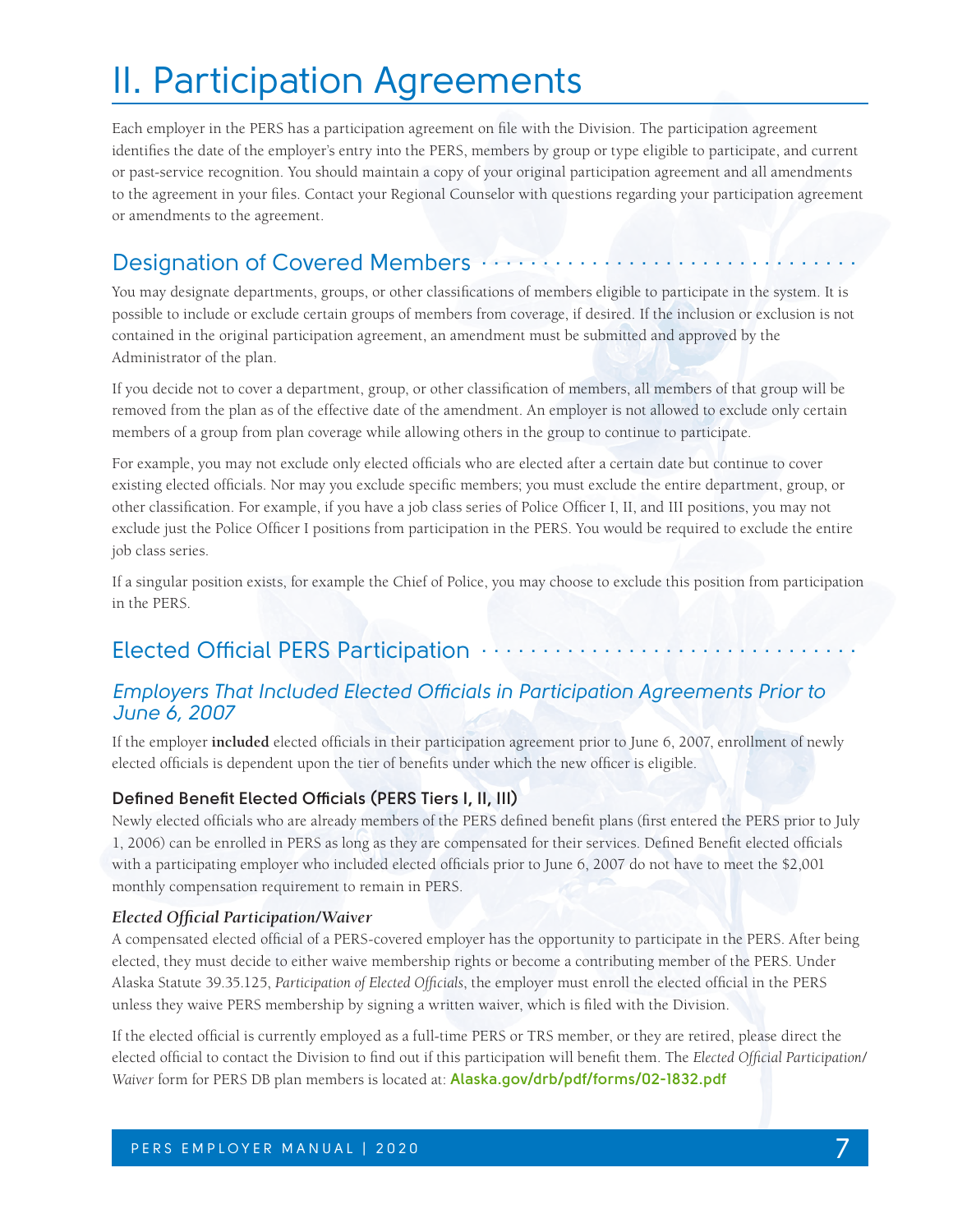# <span id="page-12-0"></span>II. Participation Agreements

Each employer in the PERS has a participation agreement on file with the Division. The participation agreement identifies the date of the employer's entry into the PERS, members by group or type eligible to participate, and current or past-service recognition. You should maintain a copy of your original participation agreement and all amendments to the agreement in your files. Contact your Regional Counselor with questions regarding your participation agreement or amendments to the agreement.

# Designation of Covered Members  $\dots\dots\dots\dots\dots$

You may designate departments, groups, or other classifications of members eligible to participate in the system. It is possible to include or exclude certain groups of members from coverage, if desired. If the inclusion or exclusion is not contained in the original participation agreement, an amendment must be submitted and approved by the Administrator of the plan.

If you decide not to cover a department, group, or other classification of members, all members of that group will be removed from the plan as of the effective date of the amendment. An employer is not allowed to exclude only certain members of a group from plan coverage while allowing others in the group to continue to participate.

For example, you may not exclude only elected officials who are elected after a certain date but continue to cover existing elected officials. Nor may you exclude specific members; you must exclude the entire department, group, or other classification. For example, if you have a job class series of Police Officer I, II, and III positions, you may not exclude just the Police Officer I positions from participation in the PERS. You would be required to exclude the entire job class series.

If a singular position exists, for example the Chief of Police, you may choose to exclude this position from participation in the PERS.

# Elected Official PERS Participation  $\dots\dots\dots\dots$

### *Employers That Included Elected Officials in Participation Agreements Prior to June 6, 2007*

If the employer **included** elected officials in their participation agreement prior to June 6, 2007, enrollment of newly elected officials is dependent upon the tier of benefits under which the new officer is eligible.

### **Defined Benefit Elected Officials (PERS Tiers I, II, III)**

Newly elected officials who are already members of the PERS defined benefit plans (first entered the PERS prior to July 1, 2006) can be enrolled in PERS as long as they are compensated for their services. Defined Benefit elected officials with a participating employer who included elected officials prior to June 6, 2007 do not have to meet the \$2,001 monthly compensation requirement to remain in PERS.

### *Elected Official Participation/Waiver*

A compensated elected official of a PERS-covered employer has the opportunity to participate in the PERS. After being elected, they must decide to either waive membership rights or become a contributing member of the PERS. Under Alaska Statute 39.35.125, *Participation of Elected Officials*, the employer must enroll the elected official in the PERS unless they waive PERS membership by signing a written waiver, which is filed with the Division.

If the elected official is currently employed as a full-time PERS or TRS member, or they are retired, please direct the elected official to contact the Division to find out if this participation will benefit them. The *Elected Official Participation/ Waiver* form for PERS DB plan members is located at: **Alaska.gov/drb/pdf/forms/02-1832.pdf**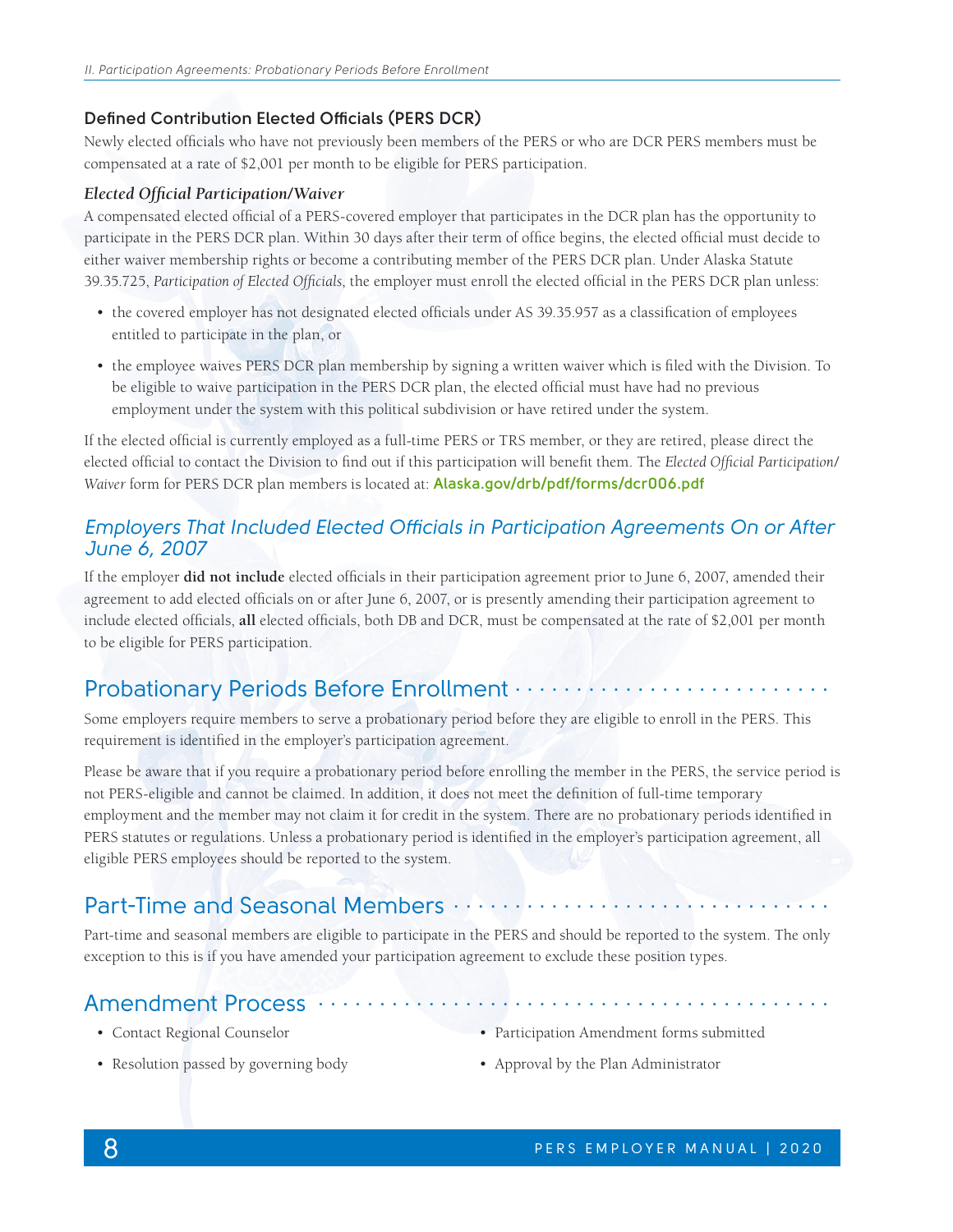### <span id="page-13-0"></span>**Defined Contribution Elected Officials (PERS DCR)**

Newly elected officials who have not previously been members of the PERS or who are DCR PERS members must be compensated at a rate of \$2,001 per month to be eligible for PERS participation.

### *Elected Official Participation/Waiver*

A compensated elected official of a PERS-covered employer that participates in the DCR plan has the opportunity to participate in the PERS DCR plan. Within 30 days after their term of office begins, the elected official must decide to either waiver membership rights or become a contributing member of the PERS DCR plan. Under Alaska Statute 39.35.725, *Participation of Elected Officials*, the employer must enroll the elected official in the PERS DCR plan unless:

- the covered employer has not designated elected officials under AS 39.35.957 as a classification of employees entitled to participate in the plan, or
- the employee waives PERS DCR plan membership by signing a written waiver which is filed with the Division. To be eligible to waive participation in the PERS DCR plan, the elected official must have had no previous employment under the system with this political subdivision or have retired under the system.

If the elected official is currently employed as a full-time PERS or TRS member, or they are retired, please direct the elected official to contact the Division to find out if this participation will benefit them. The *Elected Official Participation/ Waiver* form for PERS DCR plan members is located at: **Alaska.gov/drb/pdf/forms/dcr006.pdf** 

### *Employers That Included Elected Officials in Participation Agreements On or After June 6, 2007*

If the employer **did not include** elected officials in their participation agreement prior to June 6, 2007, amended their agreement to add elected officials on or after June 6, 2007, or is presently amending their participation agreement to include elected officials, **all** elected officials, both DB and DCR, must be compensated at the rate of \$2,001 per month to be eligible for PERS participation.

### Probationary Periods Before Enrollment  $\cdots$

Some employers require members to serve a probationary period before they are eligible to enroll in the PERS. This requirement is identified in the employer's participation agreement.

Please be aware that if you require a probationary period before enrolling the member in the PERS, the service period is not PERS-eligible and cannot be claimed. In addition, it does not meet the definition of full-time temporary employment and the member may not claim it for credit in the system. There are no probationary periods identified in PERS statutes or regulations. Unless a probationary period is identified in the employer's participation agreement, all eligible PERS employees should be reported to the system.

# Part-Time and Seasonal Members  $\dots \dots$

Part-time and seasonal members are eligible to participate in the PERS and should be reported to the system. The only exception to this is if you have amended your participation agreement to exclude these position types.

### Amendment Process

- Contact Regional Counselor
- Resolution passed by governing body
- Participation Amendment forms submitted
- Approval by the Plan Administrator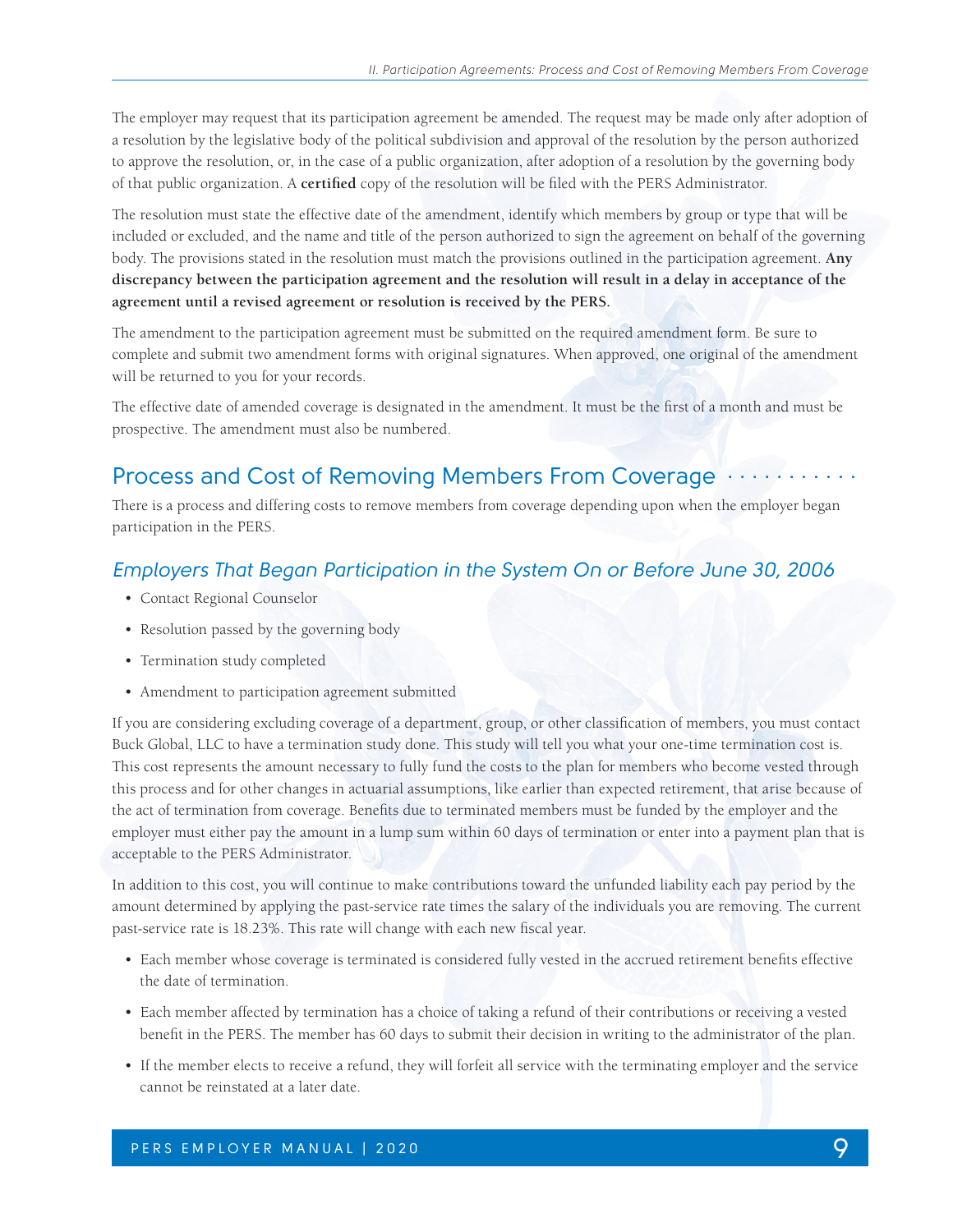<span id="page-14-0"></span>The employer may request that its participation agreement be amended. The request may be made only after adoption of a resolution by the legislative body of the political subdivision and approval of the resolution by the person authorized to approve the resolution, or, in the case of a public organization, after adoption of a resolution by the governing body of that public organization. A **certified** copy of the resolution will be filed with the PERS Administrator.

The resolution must state the effective date of the amendment, identify which members by group or type that will be included or excluded, and the name and title of the person authorized to sign the agreement on behalf of the governing body. The provisions stated in the resolution must match the provisions outlined in the participation agreement. **Any discrepancy between the participation agreement and the resolution will result in a delay in acceptance of the agreement until a revised agreement or resolution is received by the PERS.**

The amendment to the participation agreement must be submitted on the required amendment form. Be sure to complete and submit two amendment forms with original signatures. When approved, one original of the amendment will be returned to you for your records.

The effective date of amended coverage is designated in the amendment. It must be the first of a month and must be prospective. The amendment must also be numbered.

# Process and Cost of Removing Members From Coverage  $\cdot$

There is a process and differing costs to remove members from coverage depending upon when the employer began participation in the PERS.

### *Employers That Began Participation in the System On or Before June 30, 2006*

- Contact Regional Counselor
- Resolution passed by the governing body
- Termination study completed
- Amendment to participation agreement submitted

If you are considering excluding coverage of a department, group, or other classification of members, you must contact Buck Global, LLC to have a termination study done. This study will tell you what your one-time termination cost is. This cost represents the amount necessary to fully fund the costs to the plan for members who become vested through this process and for other changes in actuarial assumptions, like earlier than expected retirement, that arise because of the act of termination from coverage. Benefits due to terminated members must be funded by the employer and the employer must either pay the amount in a lump sum within 60 days of termination or enter into a payment plan that is acceptable to the PERS Administrator.

In addition to this cost, you will continue to make contributions toward the unfunded liability each pay period by the amount determined by applying the past-service rate times the salary of the individuals you are removing. The current past-service rate is 18.23%. This rate will change with each new fiscal year.

- Each member whose coverage is terminated is considered fully vested in the accrued retirement benefits effective the date of termination.
- Each member affected by termination has a choice of taking a refund of their contributions or receiving a vested benefit in the PERS. The member has 60 days to submit their decision in writing to the administrator of the plan.
- If the member elects to receive a refund, they will forfeit all service with the terminating employer and the service cannot be reinstated at a later date.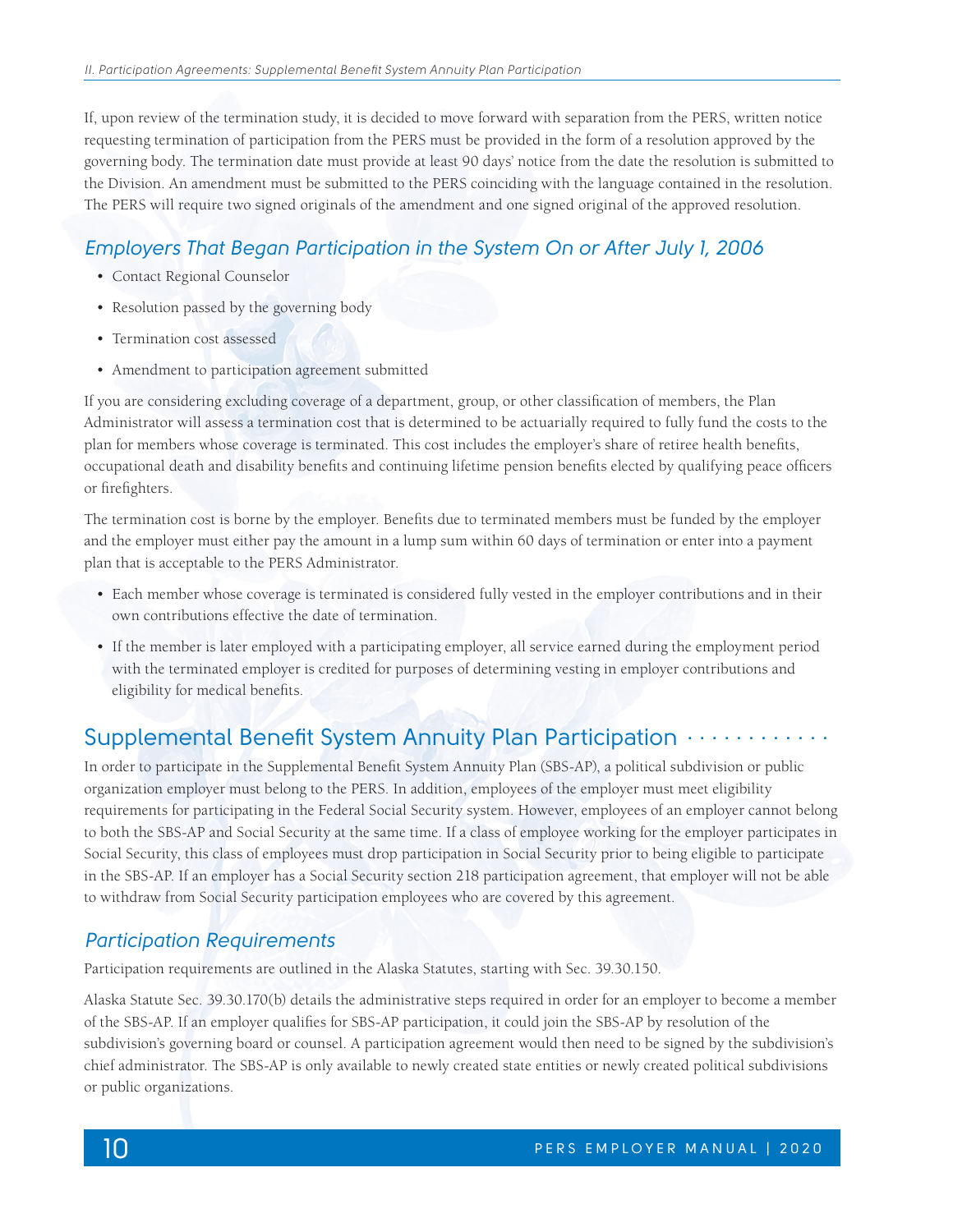<span id="page-15-0"></span>If, upon review of the termination study, it is decided to move forward with separation from the PERS, written notice requesting termination of participation from the PERS must be provided in the form of a resolution approved by the governing body. The termination date must provide at least 90 days' notice from the date the resolution is submitted to the Division. An amendment must be submitted to the PERS coinciding with the language contained in the resolution. The PERS will require two signed originals of the amendment and one signed original of the approved resolution.

# *Employers That Began Participation in the System On or After July 1, 2006*

- Contact Regional Counselor
- Resolution passed by the governing body
- Termination cost assessed
- Amendment to participation agreement submitted

If you are considering excluding coverage of a department, group, or other classification of members, the Plan Administrator will assess a termination cost that is determined to be actuarially required to fully fund the costs to the plan for members whose coverage is terminated. This cost includes the employer's share of retiree health benefits, occupational death and disability benefits and continuing lifetime pension benefits elected by qualifying peace officers or firefighters.

The termination cost is borne by the employer. Benefits due to terminated members must be funded by the employer and the employer must either pay the amount in a lump sum within 60 days of termination or enter into a payment plan that is acceptable to the PERS Administrator.

- Each member whose coverage is terminated is considered fully vested in the employer contributions and in their own contributions effective the date of termination.
- If the member is later employed with a participating employer, all service earned during the employment period with the terminated employer is credited for purposes of determining vesting in employer contributions and eligibility for medical benefits.

# Supplemental Benefit System Annuity Plan Participation

In order to participate in the Supplemental Benefit System Annuity Plan (SBS-AP), a political subdivision or public organization employer must belong to the PERS. In addition, employees of the employer must meet eligibility requirements for participating in the Federal Social Security system. However, employees of an employer cannot belong to both the SBS-AP and Social Security at the same time. If a class of employee working for the employer participates in Social Security, this class of employees must drop participation in Social Security prior to being eligible to participate in the SBS-AP. If an employer has a Social Security section 218 participation agreement, that employer will not be able to withdraw from Social Security participation employees who are covered by this agreement.

### *Participation Requirements*

Participation requirements are outlined in the Alaska Statutes, starting with Sec. 39.30.150.

Alaska Statute Sec. 39.30.170(b) details the administrative steps required in order for an employer to become a member of the SBS-AP. If an employer qualifies for SBS-AP participation, it could join the SBS-AP by resolution of the subdivision's governing board or counsel. A participation agreement would then need to be signed by the subdivision's chief administrator. The SBS-AP is only available to newly created state entities or newly created political subdivisions or public organizations.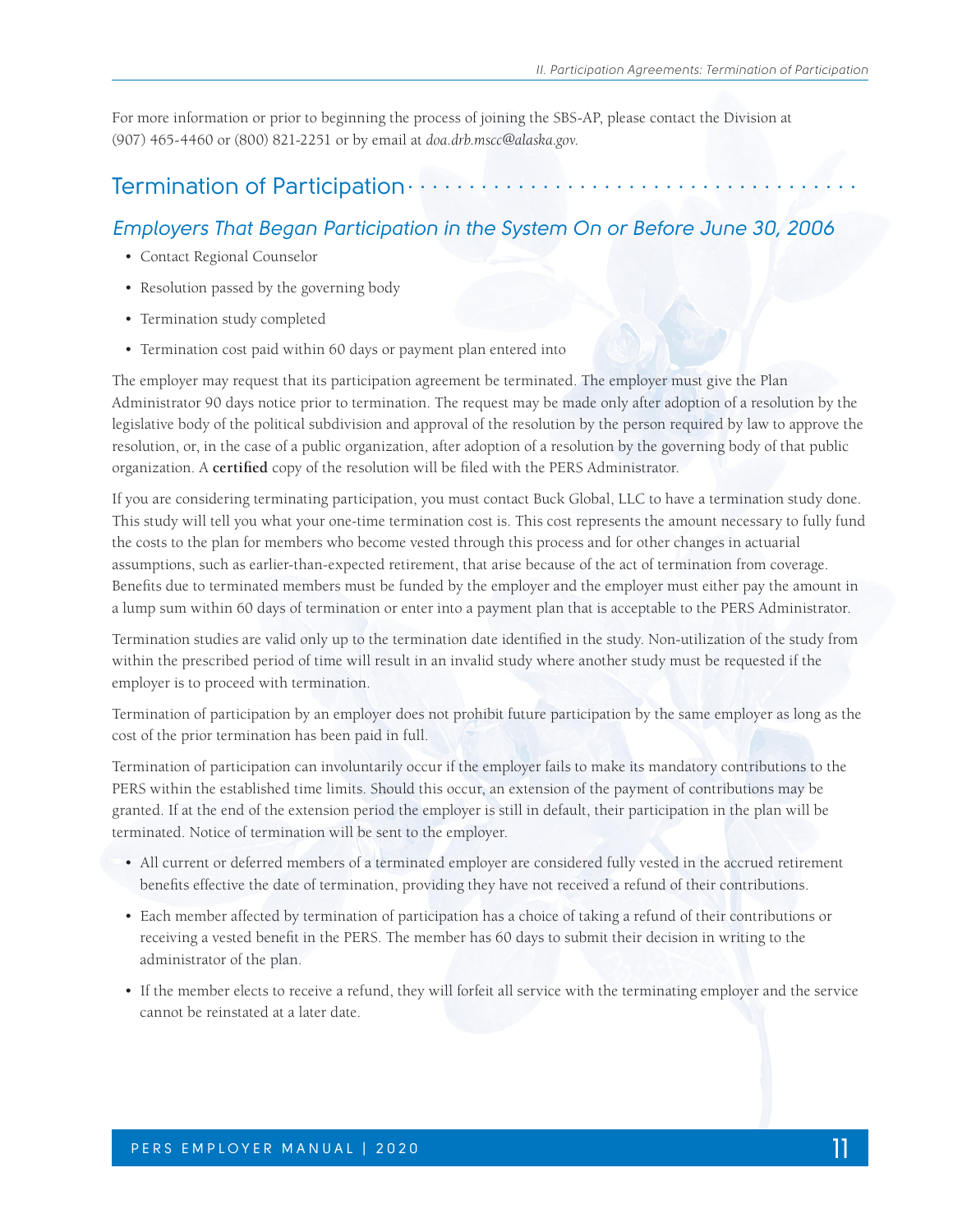<span id="page-16-0"></span>For more information or prior to beginning the process of joining the SBS-AP, please contact the Division at (907) 465-4460 or (800) 821-2251 or by email at *doa.drb.mscc@alaska.gov*.

# Termination of Participation  $\cdots$

# *Employers That Began Participation in the System On or Before June 30, 2006*

- Contact Regional Counselor
- Resolution passed by the governing body
- Termination study completed
- Termination cost paid within 60 days or payment plan entered into

The employer may request that its participation agreement be terminated. The employer must give the Plan Administrator 90 days notice prior to termination. The request may be made only after adoption of a resolution by the legislative body of the political subdivision and approval of the resolution by the person required by law to approve the resolution, or, in the case of a public organization, after adoption of a resolution by the governing body of that public organization. A **certified** copy of the resolution will be filed with the PERS Administrator.

If you are considering terminating participation, you must contact Buck Global, LLC to have a termination study done. This study will tell you what your one-time termination cost is. This cost represents the amount necessary to fully fund the costs to the plan for members who become vested through this process and for other changes in actuarial assumptions, such as earlier-than-expected retirement, that arise because of the act of termination from coverage. Benefits due to terminated members must be funded by the employer and the employer must either pay the amount in a lump sum within 60 days of termination or enter into a payment plan that is acceptable to the PERS Administrator.

Termination studies are valid only up to the termination date identified in the study. Non-utilization of the study from within the prescribed period of time will result in an invalid study where another study must be requested if the employer is to proceed with termination.

Termination of participation by an employer does not prohibit future participation by the same employer as long as the cost of the prior termination has been paid in full.

Termination of participation can involuntarily occur if the employer fails to make its mandatory contributions to the PERS within the established time limits. Should this occur, an extension of the payment of contributions may be granted. If at the end of the extension period the employer is still in default, their participation in the plan will be terminated. Notice of termination will be sent to the employer.

- All current or deferred members of a terminated employer are considered fully vested in the accrued retirement benefits effective the date of termination, providing they have not received a refund of their contributions.
- Each member affected by termination of participation has a choice of taking a refund of their contributions or receiving a vested benefit in the PERS. The member has 60 days to submit their decision in writing to the administrator of the plan.
- If the member elects to receive a refund, they will forfeit all service with the terminating employer and the service cannot be reinstated at a later date.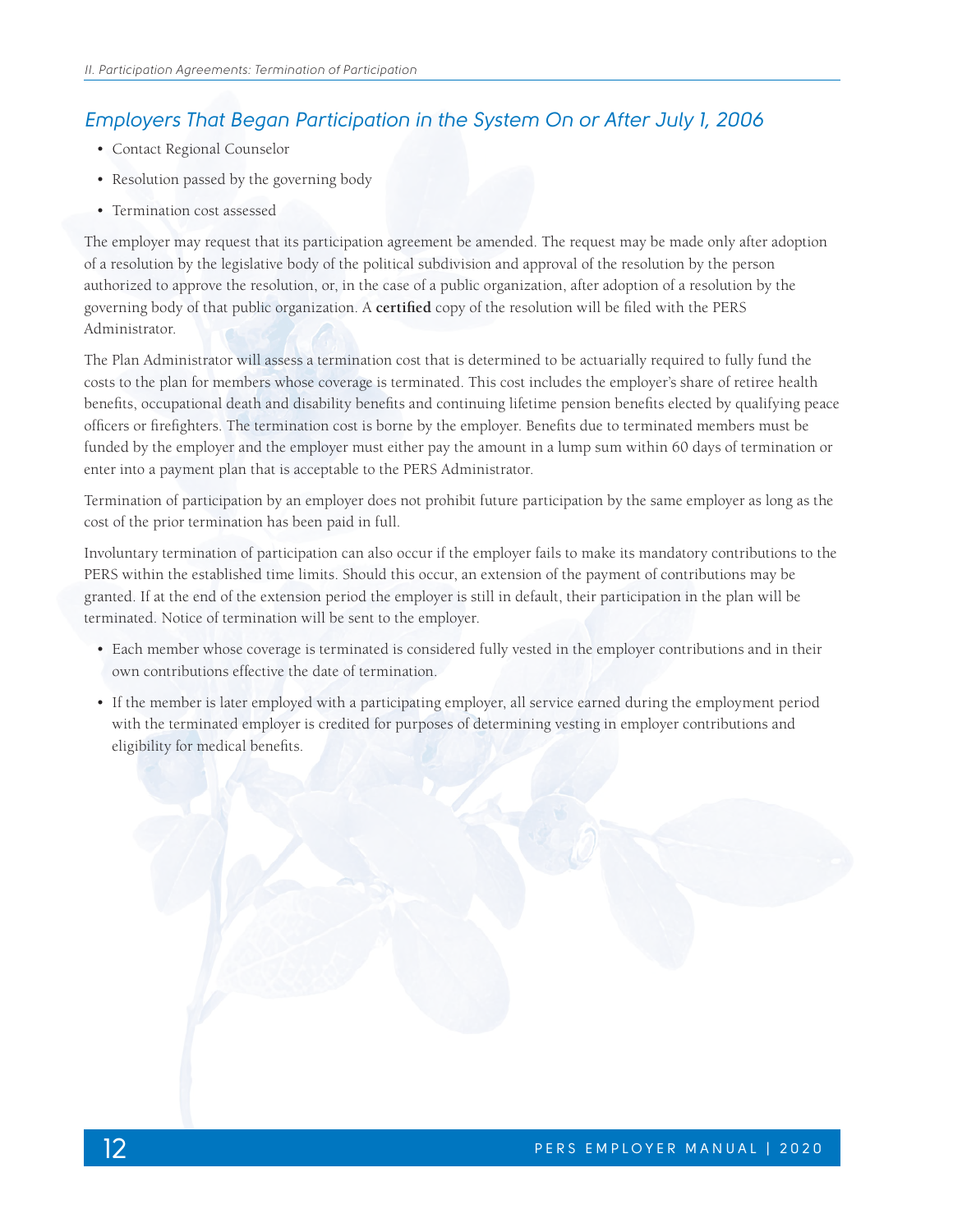# <span id="page-17-0"></span>*Employers That Began Participation in the System On or After July 1, 2006*

- Contact Regional Counselor
- Resolution passed by the governing body
- Termination cost assessed

The employer may request that its participation agreement be amended. The request may be made only after adoption of a resolution by the legislative body of the political subdivision and approval of the resolution by the person authorized to approve the resolution, or, in the case of a public organization, after adoption of a resolution by the governing body of that public organization. A **certified** copy of the resolution will be filed with the PERS Administrator.

The Plan Administrator will assess a termination cost that is determined to be actuarially required to fully fund the costs to the plan for members whose coverage is terminated. This cost includes the employer's share of retiree health benefits, occupational death and disability benefits and continuing lifetime pension benefits elected by qualifying peace officers or firefighters. The termination cost is borne by the employer. Benefits due to terminated members must be funded by the employer and the employer must either pay the amount in a lump sum within 60 days of termination or enter into a payment plan that is acceptable to the PERS Administrator.

Termination of participation by an employer does not prohibit future participation by the same employer as long as the cost of the prior termination has been paid in full.

Involuntary termination of participation can also occur if the employer fails to make its mandatory contributions to the PERS within the established time limits. Should this occur, an extension of the payment of contributions may be granted. If at the end of the extension period the employer is still in default, their participation in the plan will be terminated. Notice of termination will be sent to the employer.

- Each member whose coverage is terminated is considered fully vested in the employer contributions and in their own contributions effective the date of termination.
- If the member is later employed with a participating employer, all service earned during the employment period with the terminated employer is credited for purposes of determining vesting in employer contributions and eligibility for medical benefits.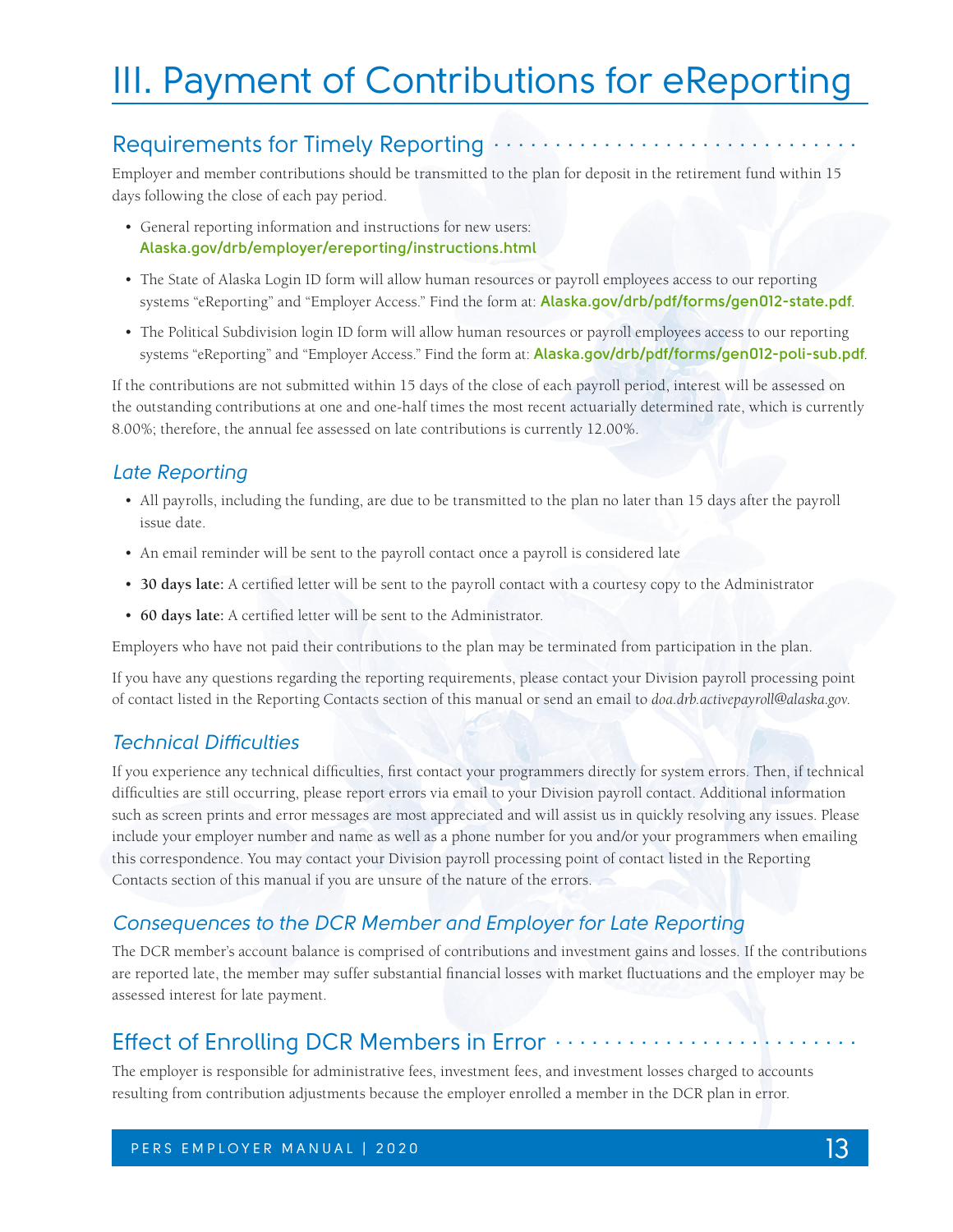# <span id="page-18-0"></span>III. Payment of Contributions for eReporting

# Requirements for Timely Reporting  $\cdots \cdots \cdots$

Employer and member contributions should be transmitted to the plan for deposit in the retirement fund within 15 days following the close of each pay period.

- General reporting information and instructions for new users: **Alaska.gov/drb/employer/ereporting/instructions.html**
- The State of Alaska Login ID form will allow human resources or payroll employees access to our reporting systems "eReporting" and "Employer Access." Find the form at: **Alaska.gov/drb/pdf/forms/gen012-state.pdf**.
- The Political Subdivision login ID form will allow human resources or payroll employees access to our reporting systems "eReporting" and "Employer Access." Find the form at: **Alaska.gov/drb/pdf/forms/gen012-poli-sub.pdf**.

If the contributions are not submitted within 15 days of the close of each payroll period, interest will be assessed on the outstanding contributions at one and one-half times the most recent actuarially determined rate, which is currently 8.00%; therefore, the annual fee assessed on late contributions is currently 12.00%.

### *Late Reporting*

- All payrolls, including the funding, are due to be transmitted to the plan no later than 15 days after the payroll issue date.
- An email reminder will be sent to the payroll contact once a payroll is considered late
- **30 days late:** A certified letter will be sent to the payroll contact with a courtesy copy to the Administrator
- **60 days late:** A certified letter will be sent to the Administrator.

Employers who have not paid their contributions to the plan may be terminated from participation in the plan.

If you have any questions regarding the reporting requirements, please contact your Division payroll processing point of contact listed in the Reporting Contacts section of this manual or send an email to *doa.drb.activepayroll@alaska.gov*.

### *Technical Difficulties*

If you experience any technical difficulties, first contact your programmers directly for system errors. Then, if technical difficulties are still occurring, please report errors via email to your Division payroll contact. Additional information such as screen prints and error messages are most appreciated and will assist us in quickly resolving any issues. Please include your employer number and name as well as a phone number for you and/or your programmers when emailing this correspondence. You may contact your Division payroll processing point of contact listed in the Reporting Contacts section of this manual if you are unsure of the nature of the errors.

# *Consequences to the DCR Member and Employer for Late Reporting*

The DCR member's account balance is comprised of contributions and investment gains and losses. If the contributions are reported late, the member may suffer substantial financial losses with market fluctuations and the employer may be assessed interest for late payment.

# Effect of Enrolling DCR Members in Error  $\dots \dots$

The employer is responsible for administrative fees, investment fees, and investment losses charged to accounts resulting from contribution adjustments because the employer enrolled a member in the DCR plan in error.

### PERS EMPLOYER MANUAL | 2020 13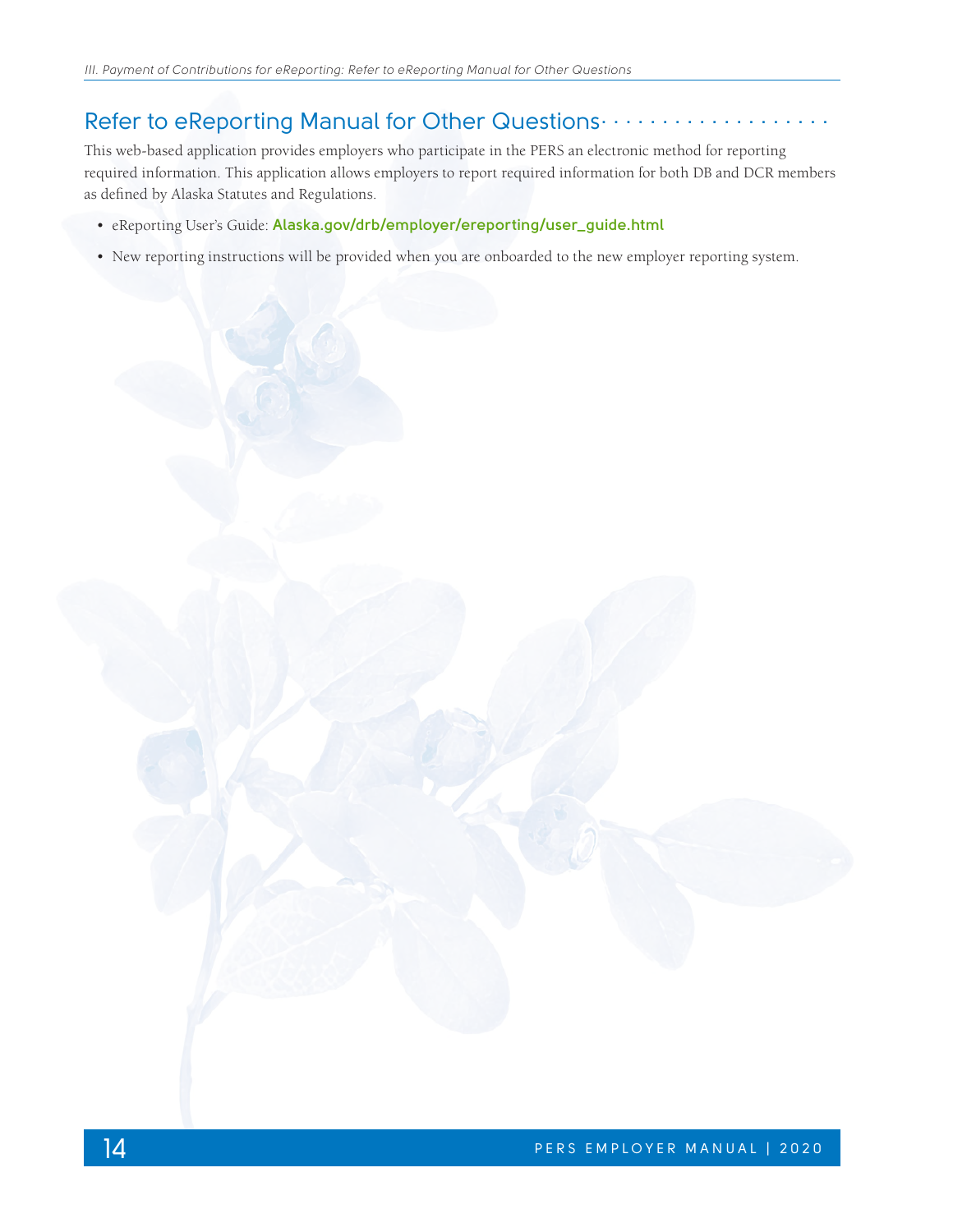# <span id="page-19-0"></span>Refer to eReporting Manual for Other Questions  $\cdots$

This web-based application provides employers who participate in the PERS an electronic method for reporting required information. This application allows employers to report required information for both DB and DCR members as defined by Alaska Statutes and Regulations.

- [eReporting User's Guide](http://www.state.ak.us/drb/employer/ereportinguserguide.pdf): **Alaska.gov/drb/employer/ereporting/user\_guide.html**
- New reporting instructions will be provided when you are onboarded to the new employer reporting system.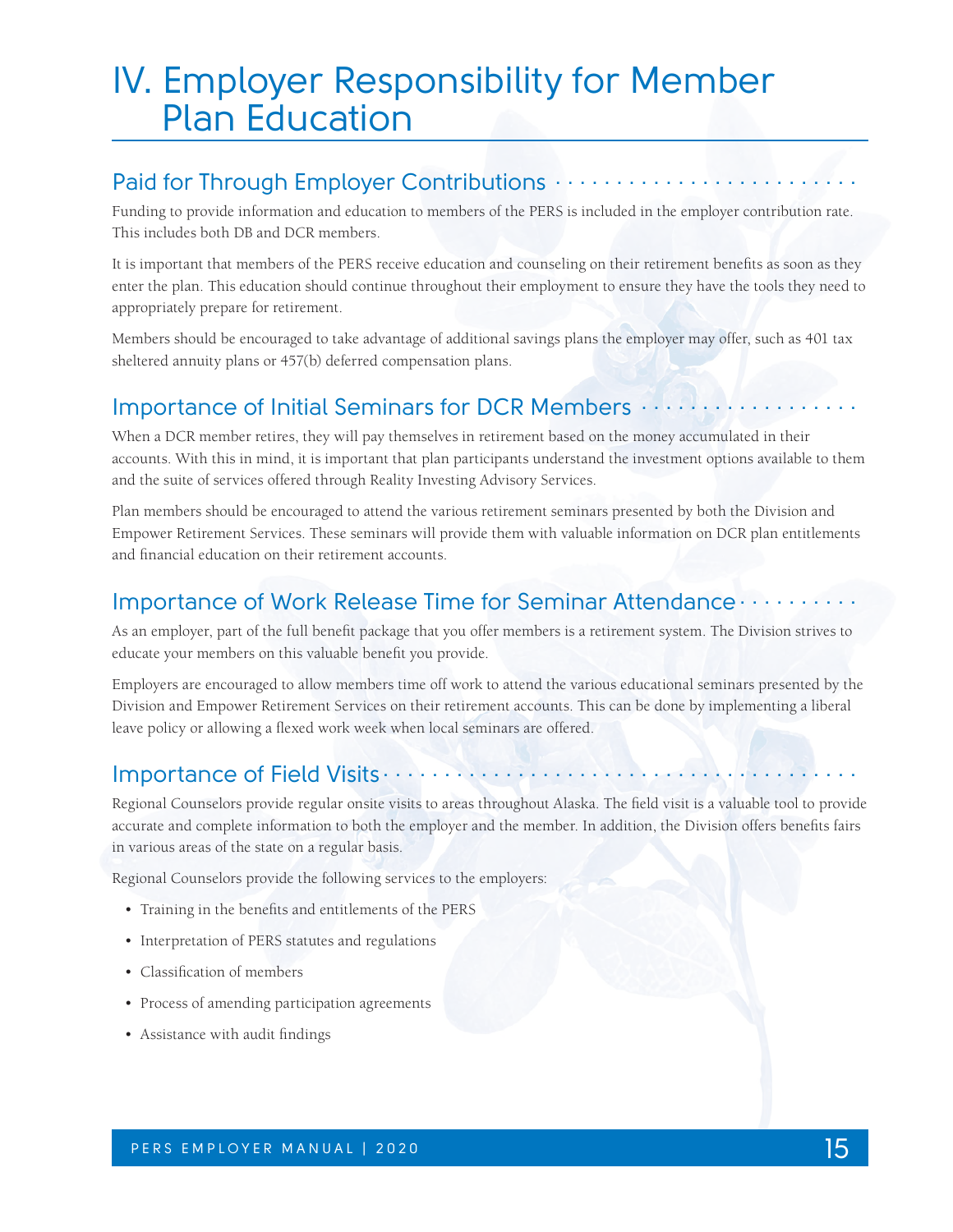# <span id="page-20-0"></span>IV. Employer Responsibility for Member Plan Education

# Paid for Through Employer Contributions  $\dots\dots\dots$

Funding to provide information and education to members of the PERS is included in the employer contribution rate. This includes both DB and DCR members.

It is important that members of the PERS receive education and counseling on their retirement benefits as soon as they enter the plan. This education should continue throughout their employment to ensure they have the tools they need to appropriately prepare for retirement.

Members should be encouraged to take advantage of additional savings plans the employer may offer, such as 401 tax sheltered annuity plans or 457(b) deferred compensation plans.

# Importance of Initial Seminars for DCR Members  $\cdots$

When a DCR member retires, they will pay themselves in retirement based on the money accumulated in their accounts. With this in mind, it is important that plan participants understand the investment options available to them and the suite of services offered through Reality Investing Advisory Services.

Plan members should be encouraged to attend the various retirement seminars presented by both the Division and Empower Retirement Services. These seminars will provide them with valuable information on DCR plan entitlements and financial education on their retirement accounts.

# Importance of Work Release Time for Seminar Attendance  $\cdots$

As an employer, part of the full benefit package that you offer members is a retirement system. The Division strives to educate your members on this valuable benefit you provide.

Employers are encouraged to allow members time off work to attend the various educational seminars presented by the Division and Empower Retirement Services on their retirement accounts. This can be done by implementing a liberal leave policy or allowing a flexed work week when local seminars are offered.

# Importance of Field Visits  $\dots \dots \dots$

Regional Counselors provide regular onsite visits to areas throughout Alaska. The field visit is a valuable tool to provide accurate and complete information to both the employer and the member. In addition, the Division offers benefits fairs in various areas of the state on a regular basis.

Regional Counselors provide the following services to the employers:

- Training in the benefits and entitlements of the PERS
- Interpretation of PERS statutes and regulations
- Classification of members
- Process of amending participation agreements
- Assistance with audit findings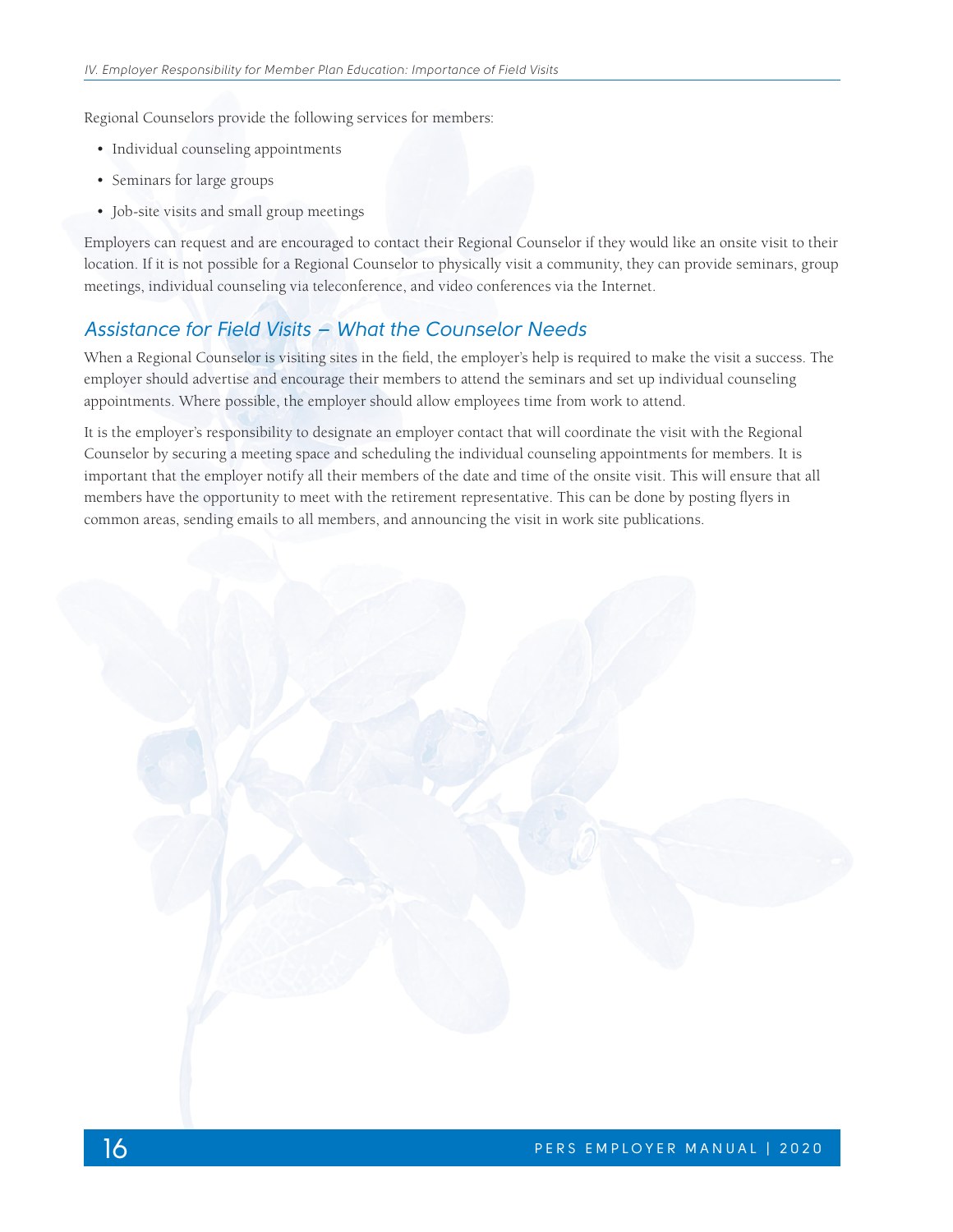<span id="page-21-0"></span>Regional Counselors provide the following services for members:

- Individual counseling appointments
- Seminars for large groups
- Job-site visits and small group meetings

Employers can request and are encouraged to contact their Regional Counselor if they would like an onsite visit to their location. If it is not possible for a Regional Counselor to physically visit a community, they can provide seminars, group meetings, individual counseling via teleconference, and video conferences via the Internet.

### *Assistance for Field Visits – What the Counselor Needs*

When a Regional Counselor is visiting sites in the field, the employer's help is required to make the visit a success. The employer should advertise and encourage their members to attend the seminars and set up individual counseling appointments. Where possible, the employer should allow employees time from work to attend.

It is the employer's responsibility to designate an employer contact that will coordinate the visit with the Regional Counselor by securing a meeting space and scheduling the individual counseling appointments for members. It is important that the employer notify all their members of the date and time of the onsite visit. This will ensure that all members have the opportunity to meet with the retirement representative. This can be done by posting flyers in common areas, sending emails to all members, and announcing the visit in work site publications.

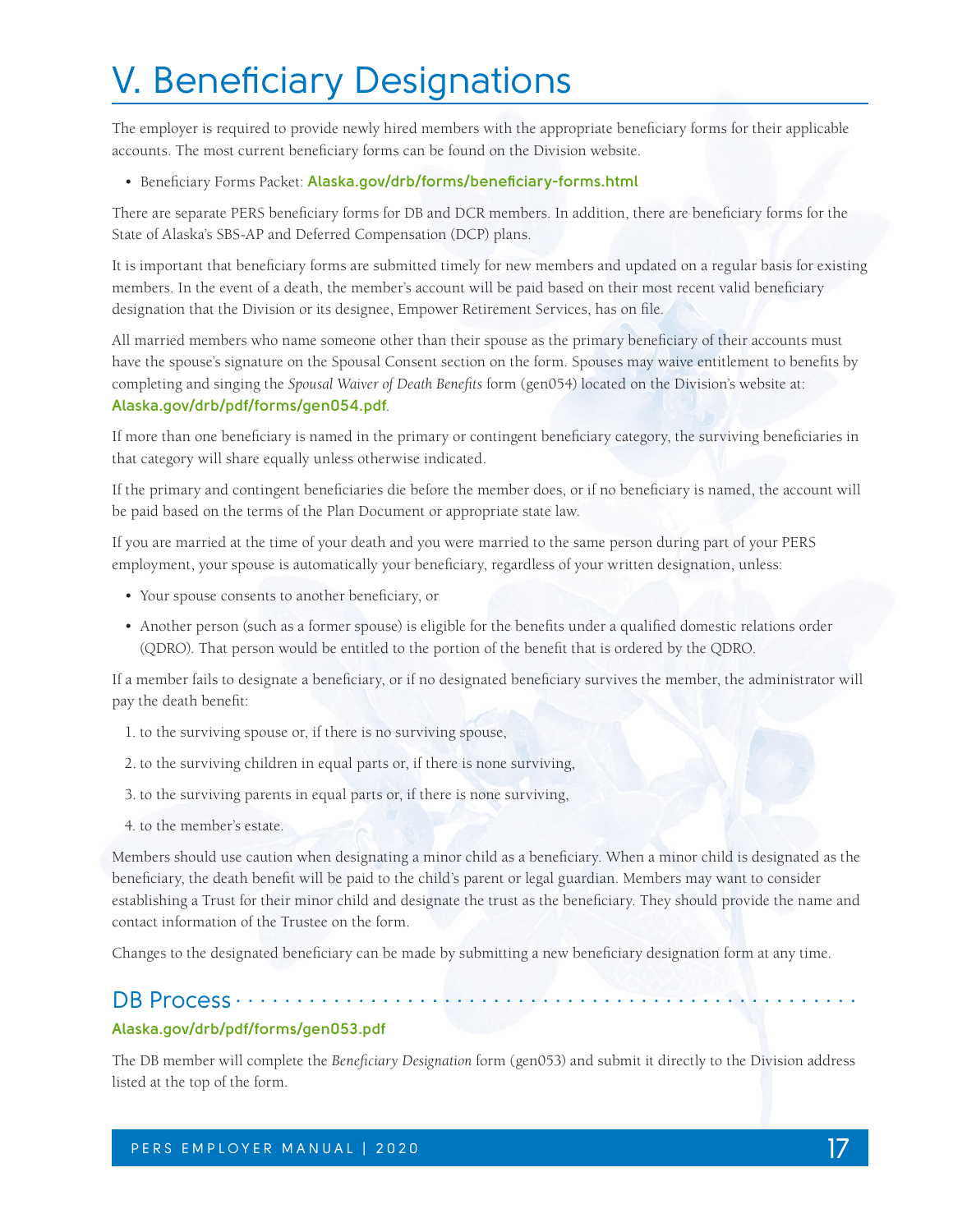# <span id="page-22-0"></span>V. Beneficiary Designations

The employer is required to provide newly hired members with the appropriate beneficiary forms for their applicable accounts. The most current beneficiary forms can be found on the Division website.

• [Beneficiary Forms Packet:](http://doa.alaska.gov/drb/forms/beneficiary-forms.html) **Alaska.gov/drb/forms/beneficiary-forms.html**

There are separate PERS beneficiary forms for DB and DCR members. In addition, there are beneficiary forms for the State of Alaska's SBS-AP and Deferred Compensation (DCP) plans.

It is important that beneficiary forms are submitted timely for new members and updated on a regular basis for existing members. In the event of a death, the member's account will be paid based on their most recent valid beneficiary designation that the Division or its designee, Empower Retirement Services, has on file.

All married members who name someone other than their spouse as the primary beneficiary of their accounts must have the spouse's signature on the Spousal Consent section on the form. Spouses may waive entitlement to benefits by completing and singing the *Spousal Waiver of Death Benefits* form (gen054) located on the Division's website at: **Alaska.gov/drb/pdf/forms/gen054.pdf**.

If more than one beneficiary is named in the primary or contingent beneficiary category, the surviving beneficiaries in that category will share equally unless otherwise indicated.

If the primary and contingent beneficiaries die before the member does, or if no beneficiary is named, the account will be paid based on the terms of the Plan Document or appropriate state law.

If you are married at the time of your death and you were married to the same person during part of your PERS employment, your spouse is automatically your beneficiary, regardless of your written designation, unless:

- Your spouse consents to another beneficiary, or
- Another person (such as a former spouse) is eligible for the benefits under a qualified domestic relations order (QDRO). That person would be entitled to the portion of the benefit that is ordered by the QDRO.

If a member fails to designate a beneficiary, or if no designated beneficiary survives the member, the administrator will pay the death benefit:

- 1. to the surviving spouse or, if there is no surviving spouse,
- 2. to the surviving children in equal parts or, if there is none surviving,
- 3. to the surviving parents in equal parts or, if there is none surviving,
- 4. to the member's estate.

Members should use caution when designating a minor child as a beneficiary. When a minor child is designated as the beneficiary, the death benefit will be paid to the child's parent or legal guardian. Members may want to consider establishing a Trust for their minor child and designate the trust as the beneficiary. They should provide the name and contact information of the Trustee on the form.

Changes to the designated beneficiary can be made by submitting a new beneficiary designation form at any time.

### $DB$  Process  $\dots \dots \dots \dots$

### **Alaska.gov/drb/pdf/forms/gen053.pdf**

The DB member will complete the *Beneficiary Designation* form (gen053) and submit it directly to the Division address listed at the top of the form.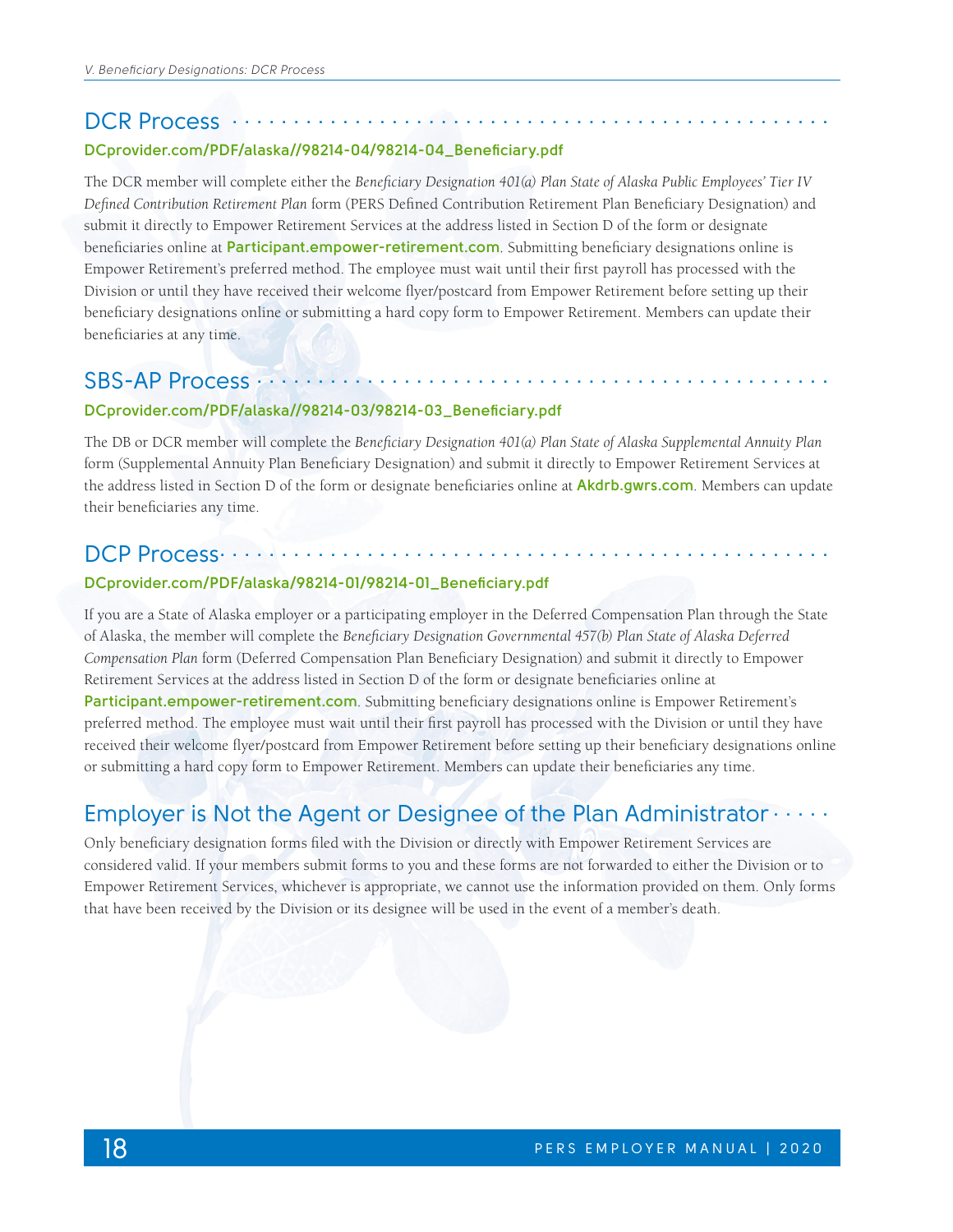# <span id="page-23-0"></span> $DCR$  Process  $\cdots$ ................

### DCprovider.com/PDF/alaska//98214-04/98214-04\_Beneficiary.pdf

The DCR member will complete either the Beneficiary Designation 401(a) Plan State of Alaska Public Employees' Tier IV Defined Contribution Retirement Plan form (PERS Defined Contribution Retirement Plan Beneficiary Designation) and submit it directly to Empower Retirement Services at the address listed in Section D of the form or designate beneficiaries online at Participant.empower-retirement.com. Submitting beneficiary designations online is Empower Retirement's preferred method. The employee must wait until their first payroll has processed with the Division or until they have received their welcome flyer/postcard from Empower Retirement before setting up their beneficiary designations online or submitting a hard copy form to Empower Retirement. Members can update their beneficiaries at any time.

### SBS-AP Process .......

### DCprovider.com/PDF/alaska//98214-03/98214-03\_Beneficiary.pdf

The DB or DCR member will complete the Beneficiary Designation 401(a) Plan State of Alaska Supplemental Annuity Plan form (Supplemental Annuity Plan Beneficiary Designation) and submit it directly to Empower Retirement Services at the address listed in Section D of the form or designate beneficiaries online at **Akdrb.gwrs.com**. Members can update their beneficiaries any time.

### 

### DCprovider.com/PDF/alaska/98214-01/98214-01\_Beneficiary.pdf

If you are a State of Alaska employer or a participating employer in the Deferred Compensation Plan through the State of Alaska, the member will complete the Beneficiary Designation Governmental 457(b) Plan State of Alaska Deferred Compensation Plan form (Deferred Compensation Plan Beneficiary Designation) and submit it directly to Empower Retirement Services at the address listed in Section D of the form or designate beneficiaries online at Participant.empower-retirement.com. Submitting beneficiary designations online is Empower Retirement's preferred method. The employee must wait until their first payroll has processed with the Division or until they have received their welcome flyer/postcard from Empower Retirement before setting up their beneficiary designations online or submitting a hard copy form to Empower Retirement. Members can update their beneficiaries any time.

# Employer is Not the Agent or Designee of the Plan Administrator  $\cdots$

Only beneficiary designation forms filed with the Division or directly with Empower Retirement Services are considered valid. If your members submit forms to you and these forms are not forwarded to either the Division or to Empower Retirement Services, whichever is appropriate, we cannot use the information provided on them. Only forms that have been received by the Division or its designee will be used in the event of a member's death.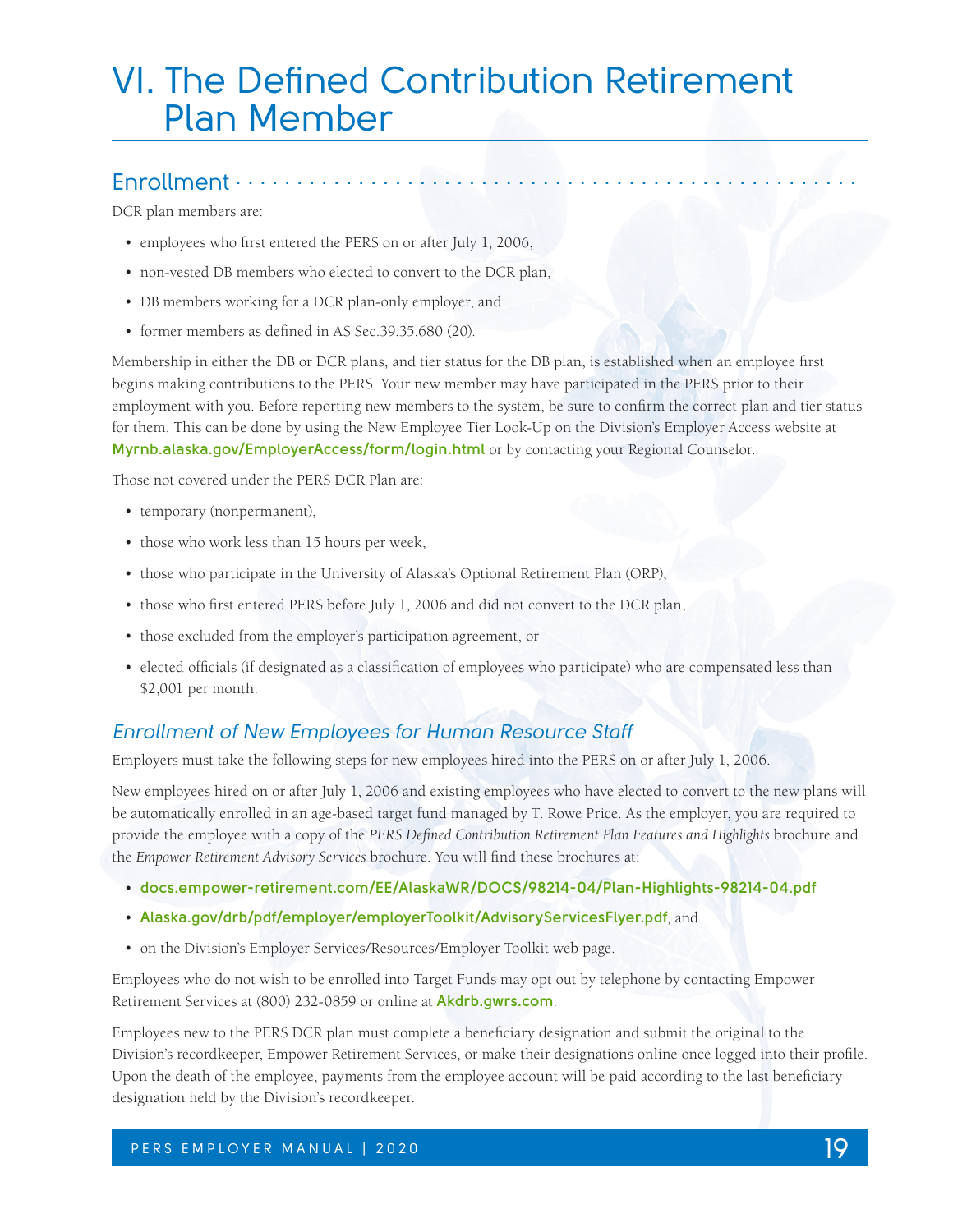# <span id="page-24-0"></span>VI. The Defined Contribution Retirement Plan Member

### Enrollment  $\cdot$

DCR plan members are:

- employees who first entered the PERS on or after July 1, 2006,
- non-vested DB members who elected to convert to the DCR plan,
- DB members working for a DCR plan-only employer, and
- former members as defined in AS Sec.39.35.680 (20).

Membership in either the DB or DCR plans, and tier status for the DB plan, is established when an employee first begins making contributions to the PERS. Your new member may have participated in the PERS prior to their employment with you. Before reporting new members to the system, be sure to confirm the correct plan and tier status for them. This can be done by using the New Employee Tier Look-Up on the Division's Employer Access website at **Myrnb.alaska.gov/EmployerAccess/form/login.html** or by contacting your Regional Counselor.

Those not covered under the PERS DCR Plan are:

- temporary (nonpermanent),
- those who work less than 15 hours per week,
- those who participate in the University of Alaska's Optional Retirement Plan (ORP),
- those who first entered PERS before July 1, 2006 and did not convert to the DCR plan,
- those excluded from the employer's participation agreement, or
- elected officials (if designated as a classification of employees who participate) who are compensated less than \$2,001 per month.

### *Enrollment of New Employees for Human Resource Staff*

Employers must take the following steps for new employees hired into the PERS on or after July 1, 2006.

New employees hired on or after July 1, 2006 and existing employees who have elected to convert to the new plans will be automatically enrolled in an age-based target fund managed by T. Rowe Price. As the employer, you are required to provide the employee with a copy of the *PERS Defined Contribution Retirement Plan Features and Highlights* brochure and the *Empower Retirement Advisory Services* brochure. You will find these brochures at:

- **docs.empower-retirement.com/EE/AlaskaWR/DOCS/98214-04/Plan-Highlights-98214-04.pdf**
- **Alaska.gov/drb/pdf/employer/employerToolkit/AdvisoryServicesFlyer.pdf**, and
- on the Division's Employer Services/Resources/Employer Toolkit web page.

Employees who do not wish to be enrolled into Target Funds may opt out by telephone by contacting Empower Retirement Services at (800) 232-0859 or online at **Akdrb.gwrs.com**.

Employees new to the PERS DCR plan must complete a beneficiary designation and submit the original to the Division's recordkeeper, Empower Retirement Services, or make their designations online once logged into their profile. Upon the death of the employee, payments from the employee account will be paid according to the last beneficiary designation held by the Division's recordkeeper.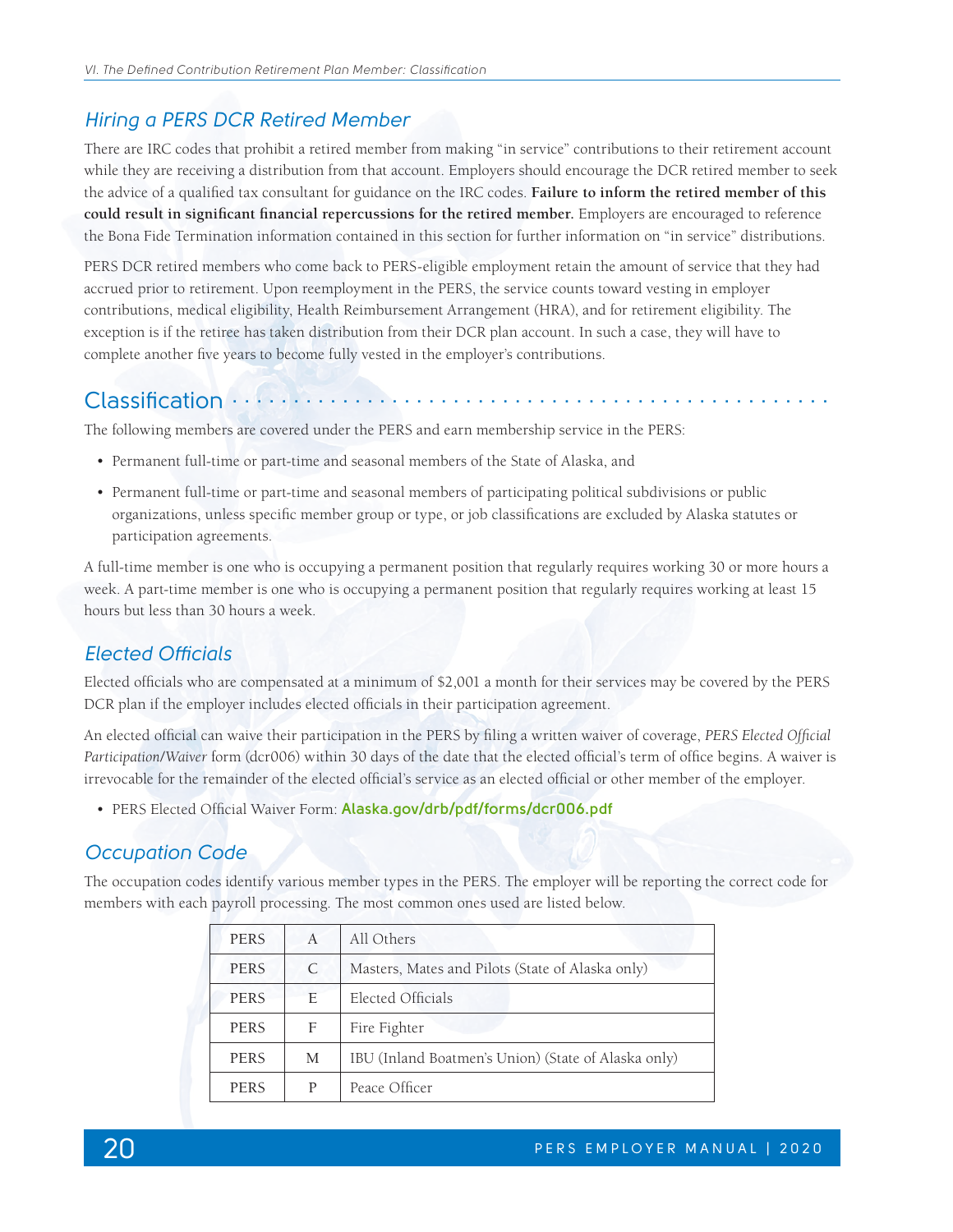# <span id="page-25-0"></span>*Hiring a PERS DCR Retired Member*

There are IRC codes that prohibit a retired member from making "in service" contributions to their retirement account while they are receiving a distribution from that account. Employers should encourage the DCR retired member to seek the advice of a qualified tax consultant for guidance on the IRC codes. **Failure to inform the retired member of this could result in significant financial repercussions for the retired member.** Employers are encouraged to reference the Bona Fide Termination information contained in this section for further information on "in service" distributions.

PERS DCR retired members who come back to PERS-eligible employment retain the amount of service that they had accrued prior to retirement. Upon reemployment in the PERS, the service counts toward vesting in employer contributions, medical eligibility, Health Reimbursement Arrangement (HRA), and for retirement eligibility. The exception is if the retiree has taken distribution from their DCR plan account. In such a case, they will have to complete another five years to become fully vested in the employer's contributions.

# $\mathsf{Classification} \cdot \cdot \cdot \cdot \cdot$

The following members are covered under the PERS and earn membership service in the PERS:

- Permanent full-time or part-time and seasonal members of the State of Alaska, and
- Permanent full-time or part-time and seasonal members of participating political subdivisions or public organizations, unless specific member group or type, or job classifications are excluded by Alaska statutes or participation agreements.

A full-time member is one who is occupying a permanent position that regularly requires working 30 or more hours a week. A part-time member is one who is occupying a permanent position that regularly requires working at least 15 hours but less than 30 hours a week.

# *Elected Officials*

Elected officials who are compensated at a minimum of \$2,001 a month for their services may be covered by the PERS DCR plan if the employer includes elected officials in their participation agreement.

An elected official can waive their participation in the PERS by filing a written waiver of coverage, *PERS Elected Official Participation/Waiver* form (dcr006) within 30 days of the date that the elected official's term of office begins. A waiver is irrevocable for the remainder of the elected official's service as an elected official or other member of the employer.

• PERS Elected Official Waiver Form: **Alaska.gov/drb/pdf/forms/dcr006.pdf**

### *Occupation Code*

The occupation codes identify various member types in the PERS. The employer will be reporting the correct code for members with each payroll processing. The most common ones used are listed below.

| <b>PERS</b> | A         | All Others                                          |
|-------------|-----------|-----------------------------------------------------|
| <b>PERS</b> | $\subset$ | Masters, Mates and Pilots (State of Alaska only)    |
| <b>PERS</b> | F.        | Elected Officials                                   |
| <b>PERS</b> | F         | Fire Fighter                                        |
| <b>PERS</b> | M         | IBU (Inland Boatmen's Union) (State of Alaska only) |
| <b>PERS</b> | P         | Peace Officer                                       |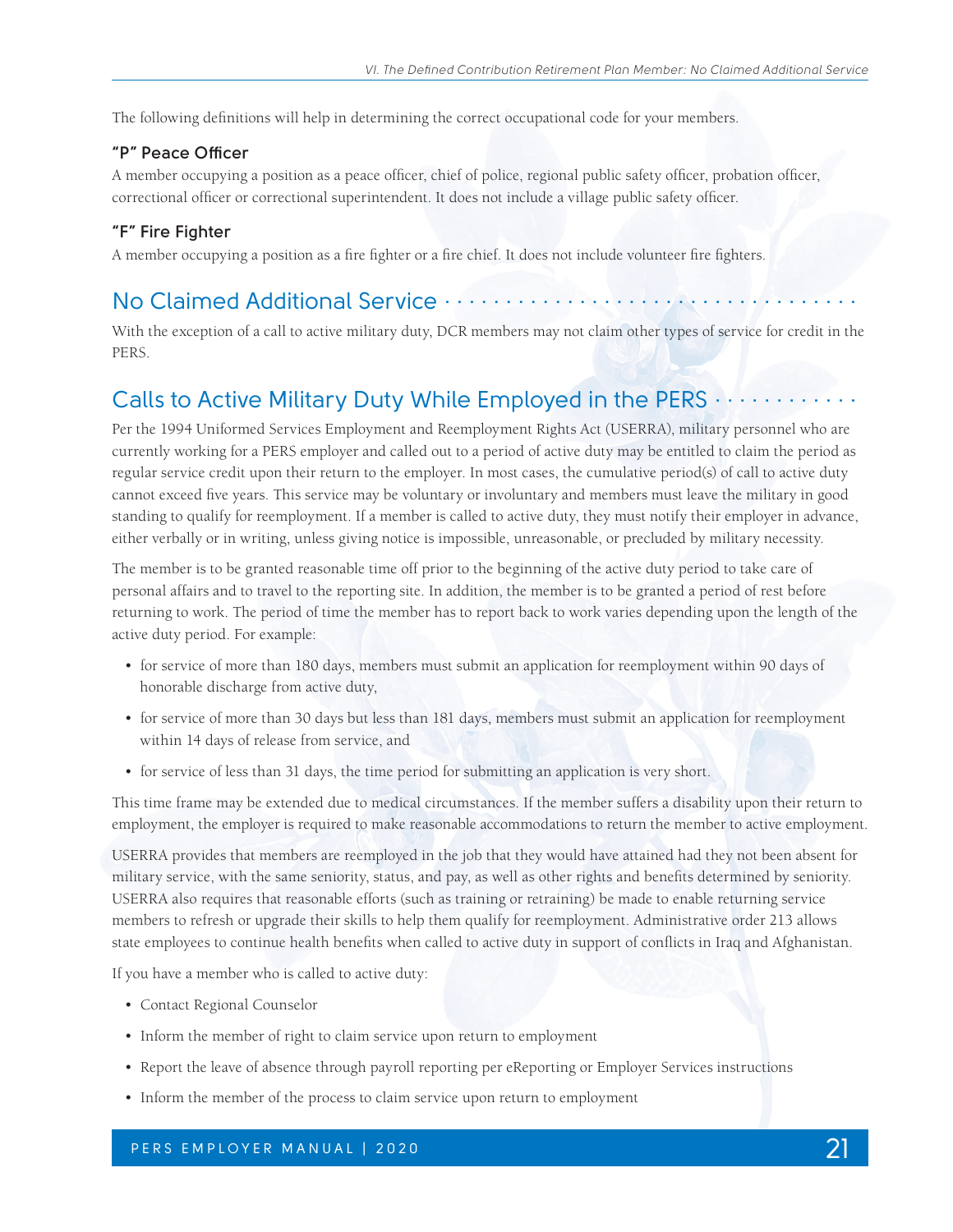<span id="page-26-0"></span>The following definitions will help in determining the correct occupational code for your members.

### **"P" Peace Officer**

A member occupying a position as a peace officer, chief of police, regional public safety officer, probation officer, correctional officer or correctional superintendent. It does not include a village public safety officer.

### **"F" Fire Fighter**

A member occupying a position as a fire fighter or a fire chief. It does not include volunteer fire fighters.

# No Claimed Additional Service  $\dots\dots\dots\dots\dots$

With the exception of a call to active military duty, DCR members may not claim other types of service for credit in the PERS.

# Calls to Active Military Duty While Employed in the PERS  $\dots \dots$

Per the 1994 Uniformed Services Employment and Reemployment Rights Act (USERRA), military personnel who are currently working for a PERS employer and called out to a period of active duty may be entitled to claim the period as regular service credit upon their return to the employer. In most cases, the cumulative period(s) of call to active duty cannot exceed five years. This service may be voluntary or involuntary and members must leave the military in good standing to qualify for reemployment. If a member is called to active duty, they must notify their employer in advance, either verbally or in writing, unless giving notice is impossible, unreasonable, or precluded by military necessity.

The member is to be granted reasonable time off prior to the beginning of the active duty period to take care of personal affairs and to travel to the reporting site. In addition, the member is to be granted a period of rest before returning to work. The period of time the member has to report back to work varies depending upon the length of the active duty period. For example:

- for service of more than 180 days, members must submit an application for reemployment within 90 days of honorable discharge from active duty,
- for service of more than 30 days but less than 181 days, members must submit an application for reemployment within 14 days of release from service, and
- for service of less than 31 days, the time period for submitting an application is very short.

This time frame may be extended due to medical circumstances. If the member suffers a disability upon their return to employment, the employer is required to make reasonable accommodations to return the member to active employment.

USERRA provides that members are reemployed in the job that they would have attained had they not been absent for military service, with the same seniority, status, and pay, as well as other rights and benefits determined by seniority. USERRA also requires that reasonable efforts (such as training or retraining) be made to enable returning service members to refresh or upgrade their skills to help them qualify for reemployment. Administrative order 213 allows state employees to continue health benefits when called to active duty in support of conflicts in Iraq and Afghanistan.

If you have a member who is called to active duty:

- Contact Regional Counselor
- Inform the member of right to claim service upon return to employment
- Report the leave of absence through payroll reporting per eReporting or Employer Services instructions
- Inform the member of the process to claim service upon return to employment

### PERS EMPLOYER MANUAL | 2020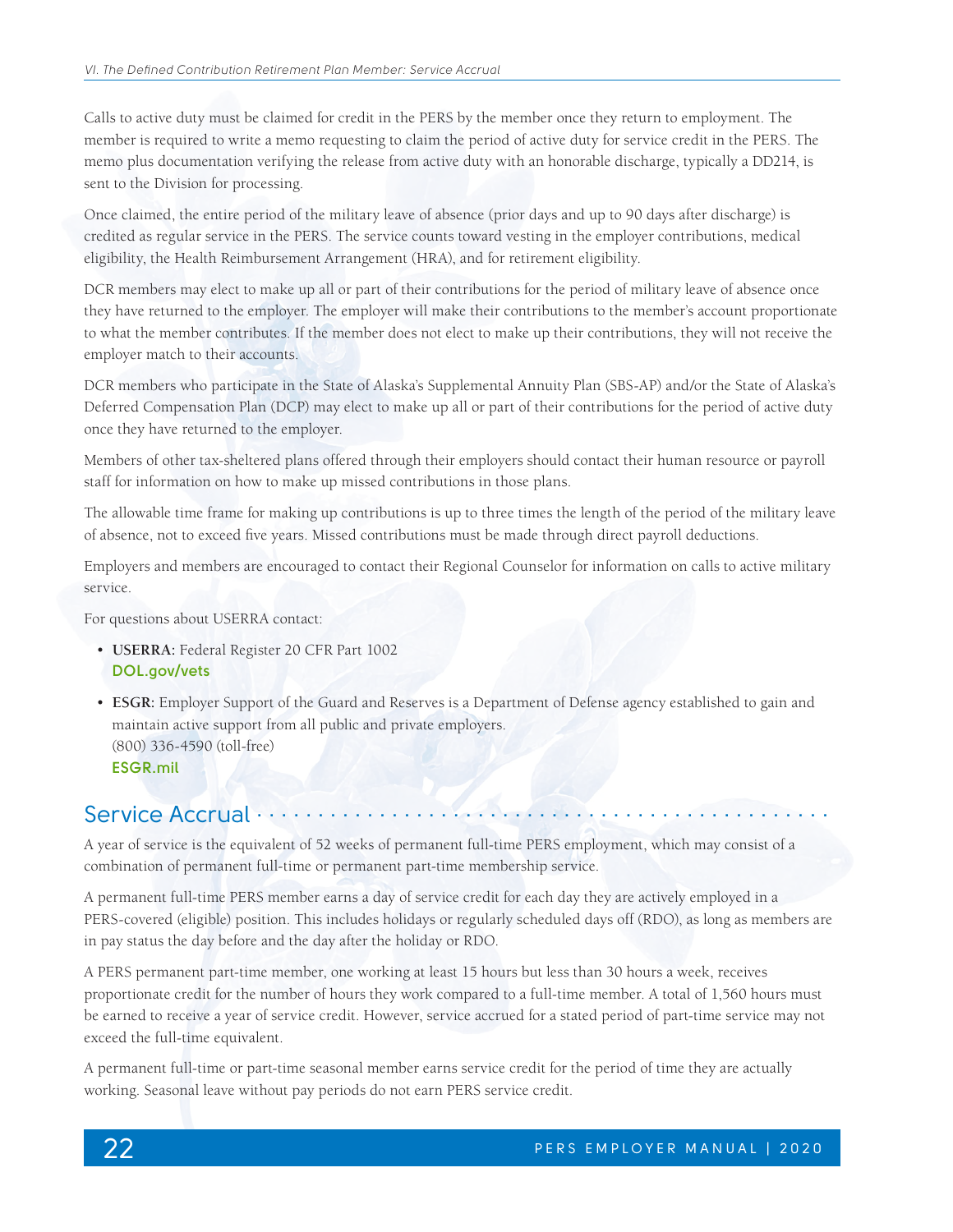<span id="page-27-0"></span>Calls to active duty must be claimed for credit in the PERS by the member once they return to employment. The member is required to write a memo requesting to claim the period of active duty for service credit in the PERS. The memo plus documentation verifying the release from active duty with an honorable discharge, typically a DD214, is sent to the Division for processing.

Once claimed, the entire period of the military leave of absence (prior days and up to 90 days after discharge) is credited as regular service in the PERS. The service counts toward vesting in the employer contributions, medical eligibility, the Health Reimbursement Arrangement (HRA), and for retirement eligibility.

DCR members may elect to make up all or part of their contributions for the period of military leave of absence once they have returned to the employer. The employer will make their contributions to the member's account proportionate to what the member contributes. If the member does not elect to make up their contributions, they will not receive the employer match to their accounts.

DCR members who participate in the State of Alaska's Supplemental Annuity Plan (SBS-AP) and/or the State of Alaska's Deferred Compensation Plan (DCP) may elect to make up all or part of their contributions for the period of active duty once they have returned to the employer.

Members of other tax-sheltered plans offered through their employers should contact their human resource or payroll staff for information on how to make up missed contributions in those plans.

The allowable time frame for making up contributions is up to three times the length of the period of the military leave of absence, not to exceed five years. Missed contributions must be made through direct payroll deductions.

Employers and members are encouraged to contact their Regional Counselor for information on calls to active military service.

For questions about USERRA contact:

- **USERRA:** Federal Register 20 CFR Part 1002 **DOL.gov/vets**
- **ESGR:** Employer Support of the Guard and Reserves is a Department of Defense agency established to gain and maintain active support from all public and private employers. (800) 336-4590 (toll-free) **ESGR.mil**

# Service Accrual  $\dots \dots$

A year of service is the equivalent of 52 weeks of permanent full-time PERS employment, which may consist of a combination of permanent full-time or permanent part-time membership service.

A permanent full-time PERS member earns a day of service credit for each day they are actively employed in a PERS-covered (eligible) position. This includes holidays or regularly scheduled days off (RDO), as long as members are in pay status the day before and the day after the holiday or RDO.

A PERS permanent part-time member, one working at least 15 hours but less than 30 hours a week, receives proportionate credit for the number of hours they work compared to a full-time member. A total of 1,560 hours must be earned to receive a year of service credit. However, service accrued for a stated period of part-time service may not exceed the full-time equivalent.

A permanent full-time or part-time seasonal member earns service credit for the period of time they are actually working. Seasonal leave without pay periods do not earn PERS service credit.

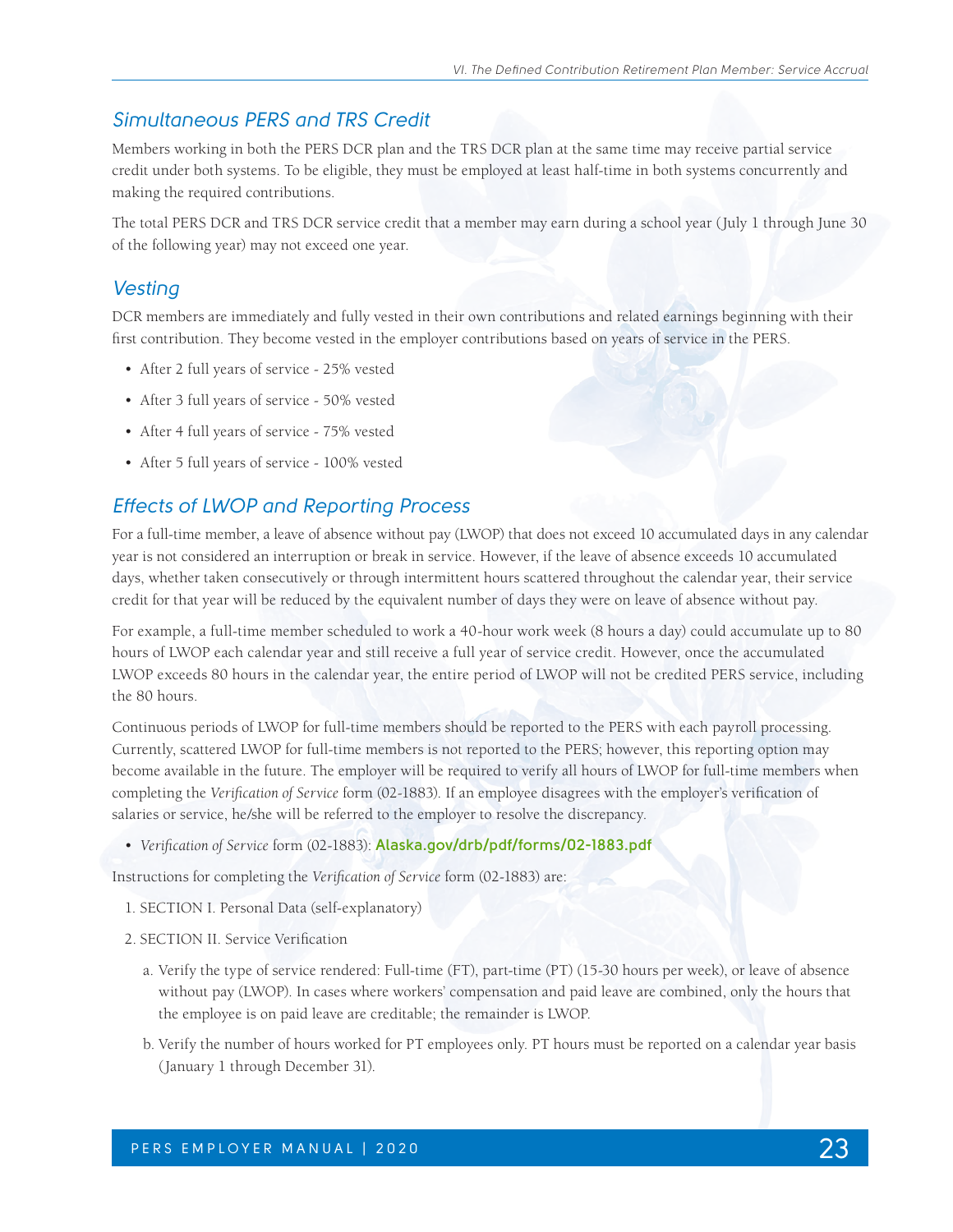### <span id="page-28-0"></span>*Simultaneous PERS and TRS Credit*

Members working in both the PERS DCR plan and the TRS DCR plan at the same time may receive partial service credit under both systems. To be eligible, they must be employed at least half-time in both systems concurrently and making the required contributions.

The total PERS DCR and TRS DCR service credit that a member may earn during a school year (July 1 through June 30 of the following year) may not exceed one year.

### *Vesting*

DCR members are immediately and fully vested in their own contributions and related earnings beginning with their first contribution. They become vested in the employer contributions based on years of service in the PERS.

- After 2 full years of service 25% vested
- After 3 full years of service 50% vested
- After 4 full years of service 75% vested
- After 5 full years of service 100% vested

### *Effects of LWOP and Reporting Process*

For a full-time member, a leave of absence without pay (LWOP) that does not exceed 10 accumulated days in any calendar year is not considered an interruption or break in service. However, if the leave of absence exceeds 10 accumulated days, whether taken consecutively or through intermittent hours scattered throughout the calendar year, their service credit for that year will be reduced by the equivalent number of days they were on leave of absence without pay.

For example, a full-time member scheduled to work a 40-hour work week (8 hours a day) could accumulate up to 80 hours of LWOP each calendar year and still receive a full year of service credit. However, once the accumulated LWOP exceeds 80 hours in the calendar year, the entire period of LWOP will not be credited PERS service, including the 80 hours.

Continuous periods of LWOP for full-time members should be reported to the PERS with each payroll processing. Currently, scattered LWOP for full-time members is not reported to the PERS; however, this reporting option may become available in the future. The employer will be required to verify all hours of LWOP for full-time members when completing the *Verification of Service* form (02-1883). If an employee disagrees with the employer's verification of salaries or service, he/she will be referred to the employer to resolve the discrepancy.

• *Verification of Service* form (02-1883): **Alaska.gov/drb/pdf/forms/02-1883.pdf**

Instructions for completing the *Verification of Service* form (02-1883) are:

- 1. SECTION I. Personal Data (self-explanatory)
- 2. SECTION II. Service Verification
	- a. Verify the type of service rendered: Full-time (FT), part-time (PT) (15-30 hours per week), or leave of absence without pay (LWOP). In cases where workers' compensation and paid leave are combined, only the hours that the employee is on paid leave are creditable; the remainder is LWOP.
	- b. Verify the number of hours worked for PT employees only. PT hours must be reported on a calendar year basis (January 1 through December 31).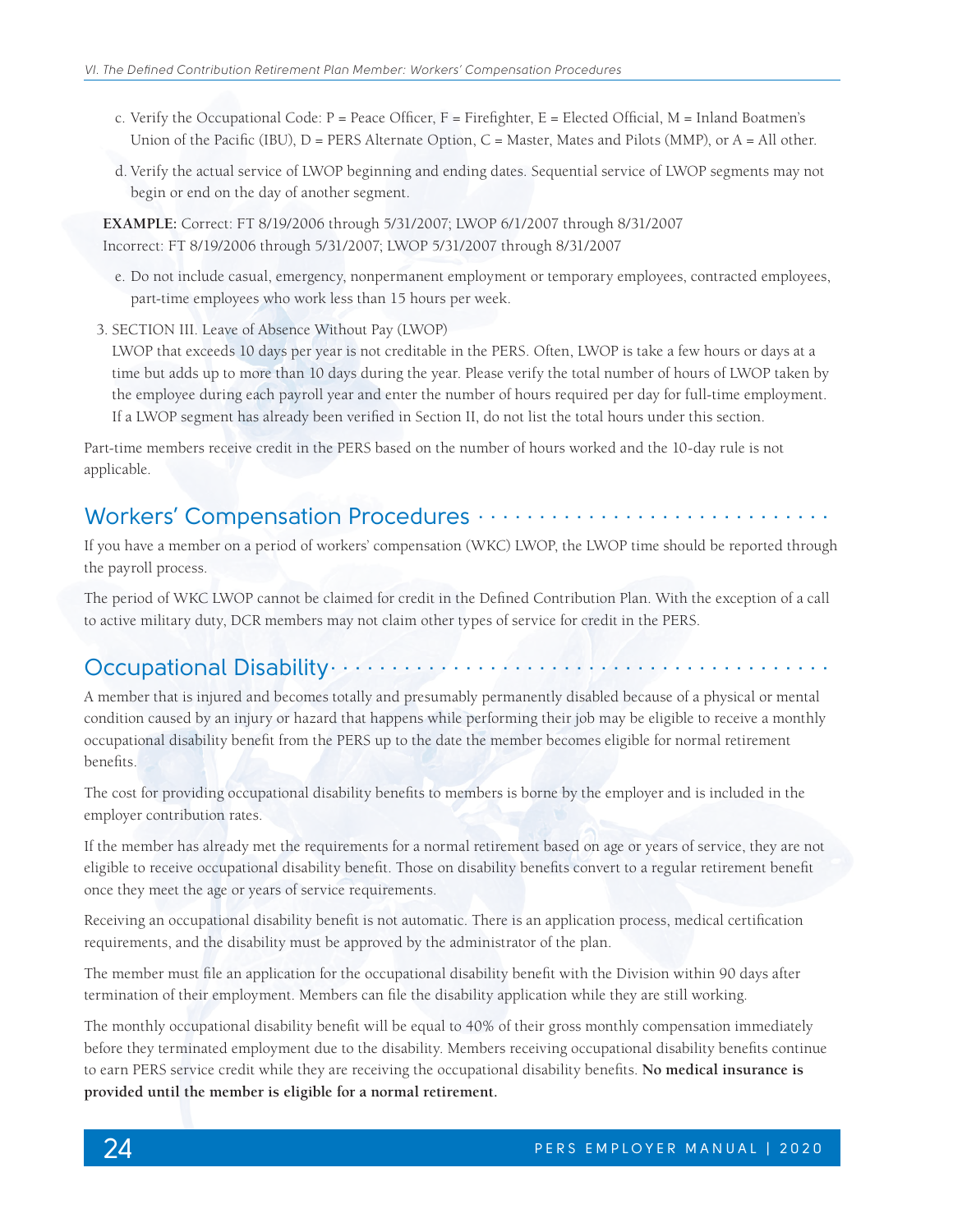- <span id="page-29-0"></span>c. Verify the Occupational Code:  $P = Peace$  Officer,  $F = Firefigure$ ,  $E = Elected$  Official,  $M = Inland$  Boatmen's Union of the Pacific (IBU),  $D = PERS$  Alternate Option,  $C = Master$ , Mates and Pilots (MMP), or  $A = All$  other.
- d. Verify the actual service of LWOP beginning and ending dates. Sequential service of LWOP segments may not begin or end on the day of another segment.

**EXAMPLE:** Correct: FT 8/19/2006 through 5/31/2007; LWOP 6/1/2007 through 8/31/2007 Incorrect: FT 8/19/2006 through 5/31/2007; LWOP 5/31/2007 through 8/31/2007

e. Do not include casual, emergency, nonpermanent employment or temporary employees, contracted employees, part-time employees who work less than 15 hours per week.

#### 3. SECTION III. Leave of Absence Without Pay (LWOP)

LWOP that exceeds 10 days per year is not creditable in the PERS. Often, LWOP is take a few hours or days at a time but adds up to more than 10 days during the year. Please verify the total number of hours of LWOP taken by the employee during each payroll year and enter the number of hours required per day for full-time employment. If a LWOP segment has already been verified in Section II, do not list the total hours under this section.

Part-time members receive credit in the PERS based on the number of hours worked and the 10-day rule is not applicable.

# Workers' Compensation Procedures  $\cdots\cdots\cdots\cdots$

If you have a member on a period of workers' compensation (WKC) LWOP, the LWOP time should be reported through the payroll process.

The period of WKC LWOP cannot be claimed for credit in the Defined Contribution Plan. With the exception of a call to active military duty, DCR members may not claim other types of service for credit in the PERS.

### Occupational Disability  $\dots \dots \dots$

A member that is injured and becomes totally and presumably permanently disabled because of a physical or mental condition caused by an injury or hazard that happens while performing their job may be eligible to receive a monthly occupational disability benefit from the PERS up to the date the member becomes eligible for normal retirement benefits.

The cost for providing occupational disability benefits to members is borne by the employer and is included in the employer contribution rates.

If the member has already met the requirements for a normal retirement based on age or years of service, they are not eligible to receive occupational disability benefit. Those on disability benefits convert to a regular retirement benefit once they meet the age or years of service requirements.

Receiving an occupational disability benefit is not automatic. There is an application process, medical certification requirements, and the disability must be approved by the administrator of the plan.

The member must file an application for the occupational disability benefit with the Division within 90 days after termination of their employment. Members can file the disability application while they are still working.

The monthly occupational disability benefit will be equal to 40% of their gross monthly compensation immediately before they terminated employment due to the disability. Members receiving occupational disability benefits continue to earn PERS service credit while they are receiving the occupational disability benefits. **No medical insurance is provided until the member is eligible for a normal retirement.** 

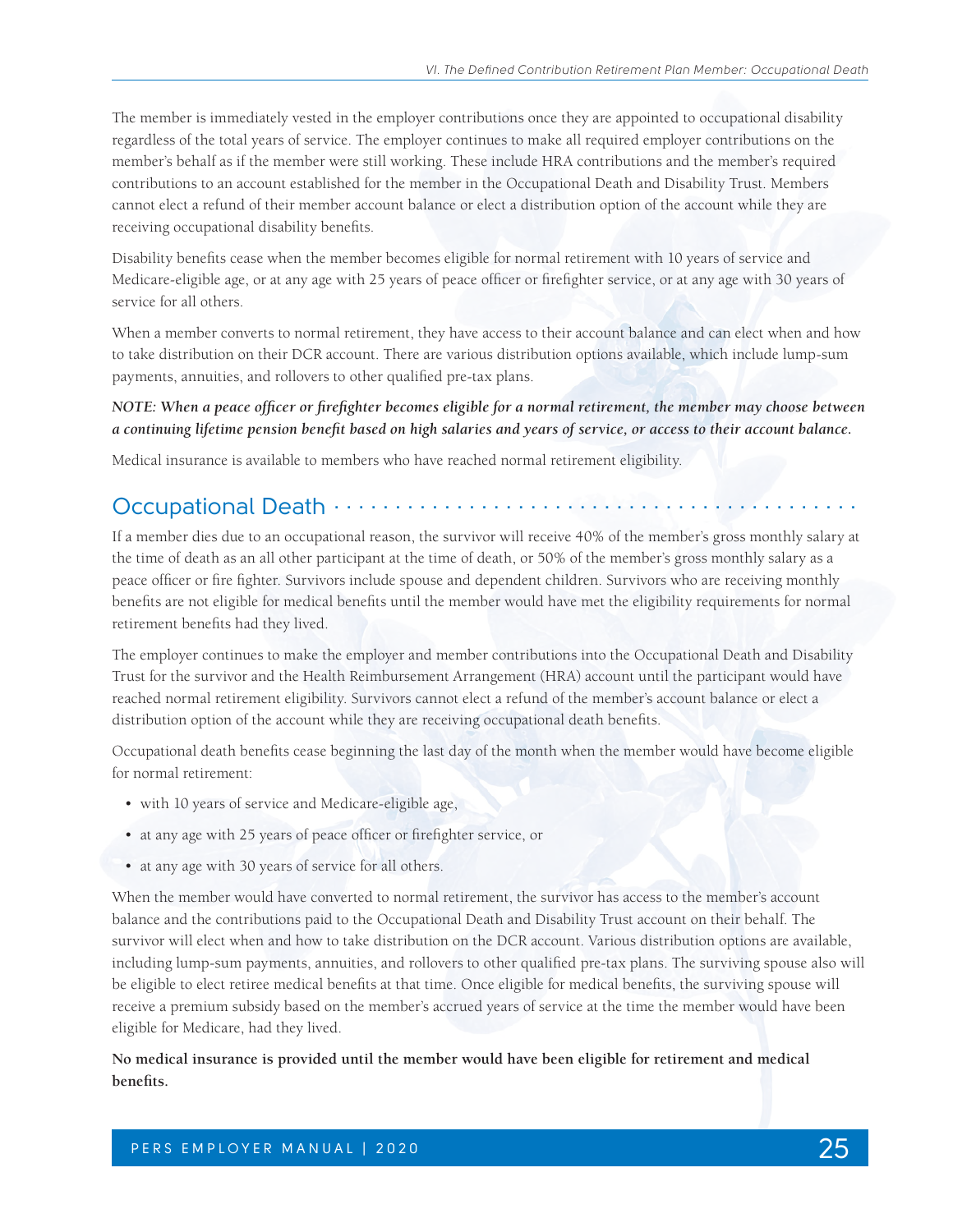<span id="page-30-0"></span>The member is immediately vested in the employer contributions once they are appointed to occupational disability regardless of the total years of service. The employer continues to make all required employer contributions on the member's behalf as if the member were still working. These include HRA contributions and the member's required contributions to an account established for the member in the Occupational Death and Disability Trust. Members cannot elect a refund of their member account balance or elect a distribution option of the account while they are receiving occupational disability benefits.

Disability benefits cease when the member becomes eligible for normal retirement with 10 years of service and Medicare-eligible age, or at any age with 25 years of peace officer or firefighter service, or at any age with 30 years of service for all others.

When a member converts to normal retirement, they have access to their account balance and can elect when and how to take distribution on their DCR account. There are various distribution options available, which include lump-sum payments, annuities, and rollovers to other qualified pre-tax plans.

### *NOTE: When a peace officer or firefighter becomes eligible for a normal retirement, the member may choose between a continuing lifetime pension benefit based on high salaries and years of service, or access to their account balance.*

Medical insurance is available to members who have reached normal retirement eligibility.

# Occupational Death  $\cdots\cdots\cdots$

If a member dies due to an occupational reason, the survivor will receive 40% of the member's gross monthly salary at the time of death as an all other participant at the time of death, or 50% of the member's gross monthly salary as a peace officer or fire fighter. Survivors include spouse and dependent children. Survivors who are receiving monthly benefits are not eligible for medical benefits until the member would have met the eligibility requirements for normal retirement benefits had they lived.

The employer continues to make the employer and member contributions into the Occupational Death and Disability Trust for the survivor and the Health Reimbursement Arrangement (HRA) account until the participant would have reached normal retirement eligibility. Survivors cannot elect a refund of the member's account balance or elect a distribution option of the account while they are receiving occupational death benefits.

Occupational death benefits cease beginning the last day of the month when the member would have become eligible for normal retirement:

- with 10 years of service and Medicare-eligible age,
- at any age with 25 years of peace officer or firefighter service, or
- at any age with 30 years of service for all others.

When the member would have converted to normal retirement, the survivor has access to the member's account balance and the contributions paid to the Occupational Death and Disability Trust account on their behalf. The survivor will elect when and how to take distribution on the DCR account. Various distribution options are available, including lump-sum payments, annuities, and rollovers to other qualified pre-tax plans. The surviving spouse also will be eligible to elect retiree medical benefits at that time. Once eligible for medical benefits, the surviving spouse will receive a premium subsidy based on the member's accrued years of service at the time the member would have been eligible for Medicare, had they lived.

**No medical insurance is provided until the member would have been eligible for retirement and medical benefits.**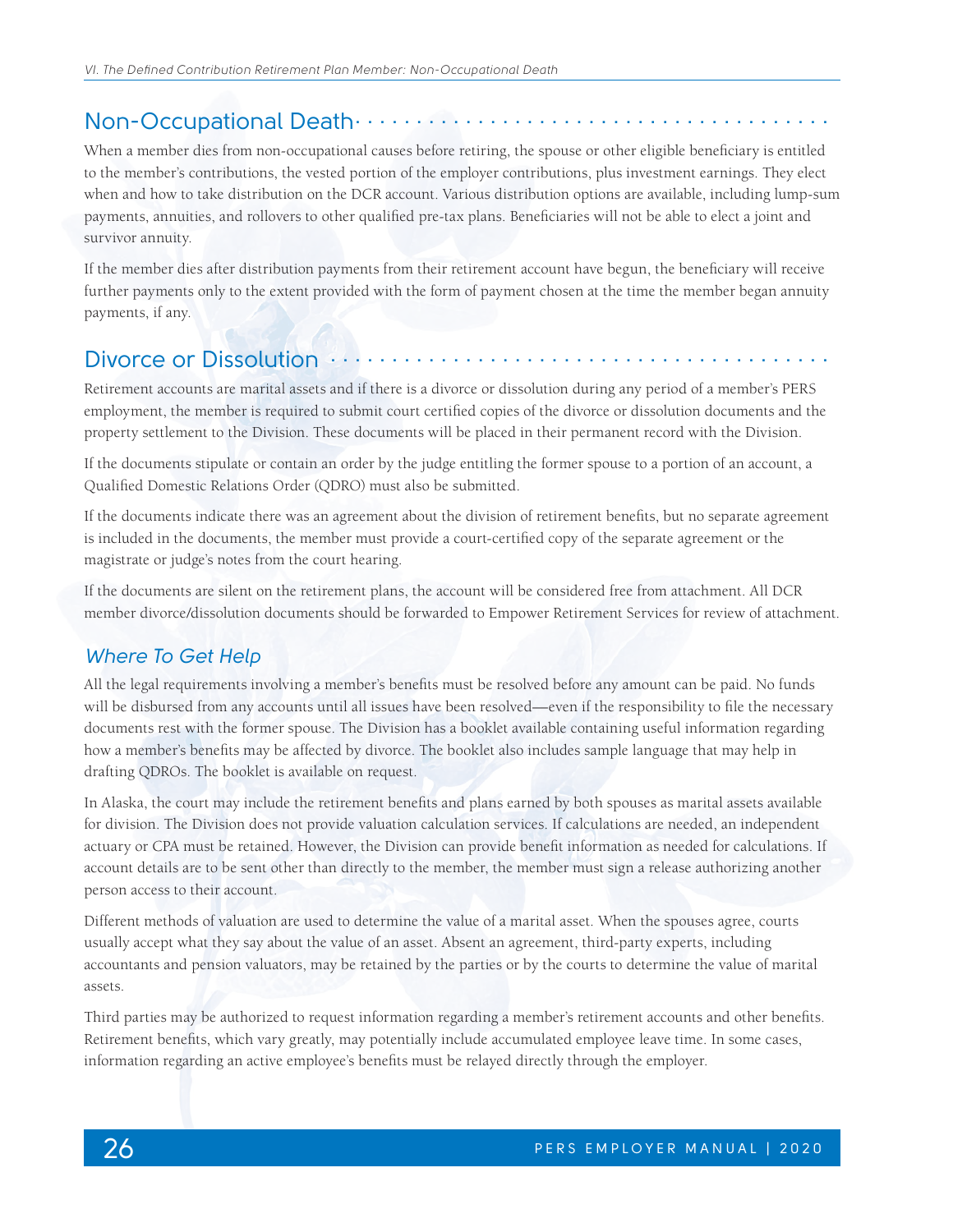# <span id="page-31-0"></span>Non-Occupational Death  $\dots\dots\dots\dots\dots\dots\dots$

When a member dies from non-occupational causes before retiring, the spouse or other eligible beneficiary is entitled to the member's contributions, the vested portion of the employer contributions, plus investment earnings. They elect when and how to take distribution on the DCR account. Various distribution options are available, including lump-sum payments, annuities, and rollovers to other qualified pre-tax plans. Beneficiaries will not be able to elect a joint and survivor annuity.

If the member dies after distribution payments from their retirement account have begun, the beneficiary will receive further payments only to the extent provided with the form of payment chosen at the time the member began annuity payments, if any.

# Divorce or Dissolution  $\dotsb$

Retirement accounts are marital assets and if there is a divorce or dissolution during any period of a member's PERS employment, the member is required to submit court certified copies of the divorce or dissolution documents and the property settlement to the Division. These documents will be placed in their permanent record with the Division.

If the documents stipulate or contain an order by the judge entitling the former spouse to a portion of an account, a Qualified Domestic Relations Order (QDRO) must also be submitted.

If the documents indicate there was an agreement about the division of retirement benefits, but no separate agreement is included in the documents, the member must provide a court-certified copy of the separate agreement or the magistrate or judge's notes from the court hearing.

If the documents are silent on the retirement plans, the account will be considered free from attachment. All DCR member divorce/dissolution documents should be forwarded to Empower Retirement Services for review of attachment.

### *Where To Get Help*

All the legal requirements involving a member's benefits must be resolved before any amount can be paid. No funds will be disbursed from any accounts until all issues have been resolved—even if the responsibility to file the necessary documents rest with the former spouse. The Division has a booklet available containing useful information regarding how a member's benefits may be affected by divorce. The booklet also includes sample language that may help in drafting QDROs. The booklet is available on request.

In Alaska, the court may include the retirement benefits and plans earned by both spouses as marital assets available for division. The Division does not provide valuation calculation services. If calculations are needed, an independent actuary or CPA must be retained. However, the Division can provide benefit information as needed for calculations. If account details are to be sent other than directly to the member, the member must sign a release authorizing another person access to their account.

Different methods of valuation are used to determine the value of a marital asset. When the spouses agree, courts usually accept what they say about the value of an asset. Absent an agreement, third-party experts, including accountants and pension valuators, may be retained by the parties or by the courts to determine the value of marital assets.

Third parties may be authorized to request information regarding a member's retirement accounts and other benefits. Retirement benefits, which vary greatly, may potentially include accumulated employee leave time. In some cases, information regarding an active employee's benefits must be relayed directly through the employer.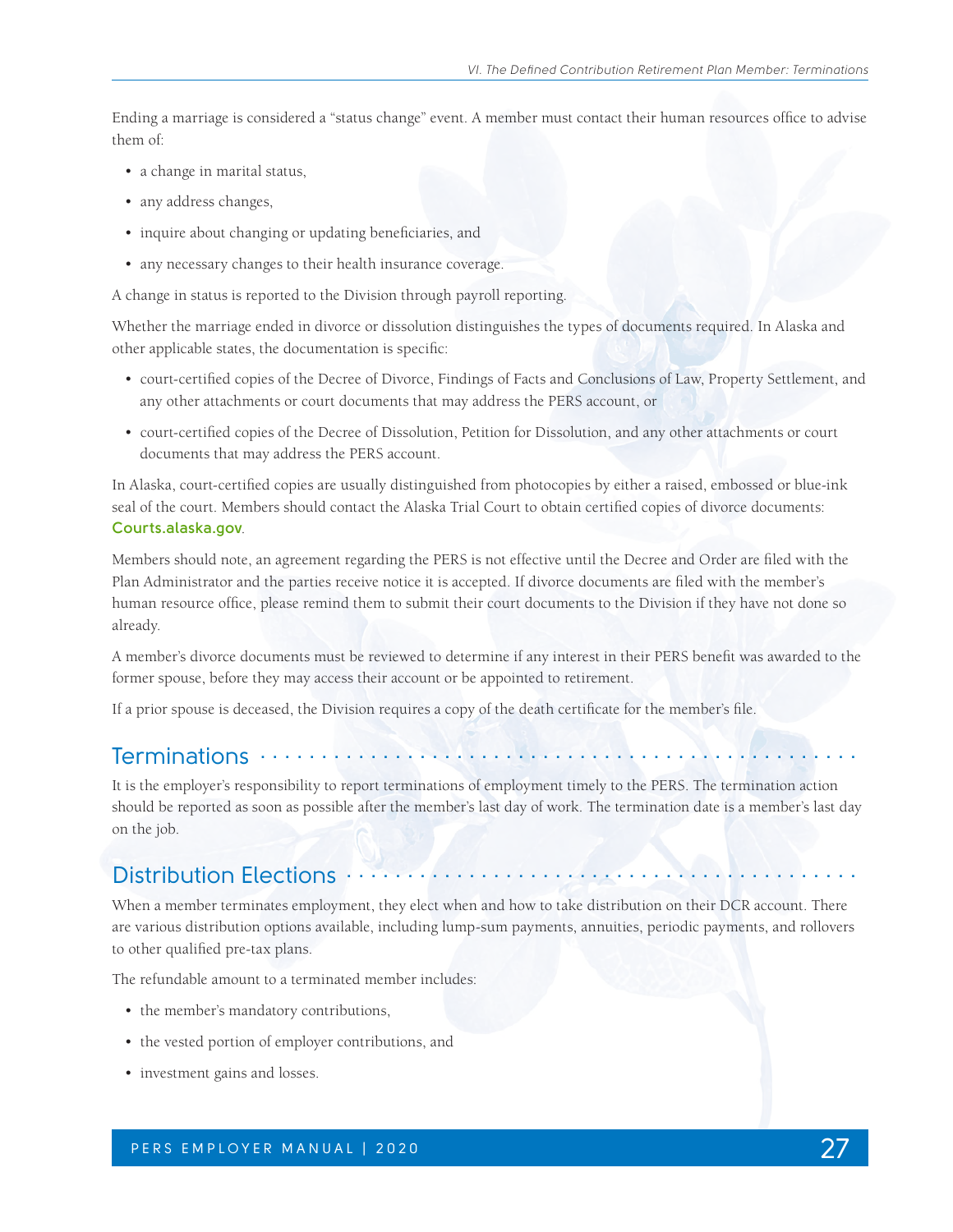<span id="page-32-0"></span>Ending a marriage is considered a "status change" event. A member must contact their human resources office to advise them of:

- a change in marital status,
- any address changes,
- inquire about changing or updating beneficiaries, and
- any necessary changes to their health insurance coverage.

A change in status is reported to the Division through payroll reporting.

Whether the marriage ended in divorce or dissolution distinguishes the types of documents required. In Alaska and other applicable states, the documentation is specific:

- court-certified copies of the Decree of Divorce, Findings of Facts and Conclusions of Law, Property Settlement, and any other attachments or court documents that may address the PERS account, or
- court-certified copies of the Decree of Dissolution, Petition for Dissolution, and any other attachments or court documents that may address the PERS account.

In Alaska, court-certified copies are usually distinguished from photocopies by either a raised, embossed or blue-ink seal of the court. Members should contact the Alaska Trial Court to obtain certified copies of divorce documents: **Courts.alaska.gov**.

Members should note, an agreement regarding the PERS is not effective until the Decree and Order are filed with the Plan Administrator and the parties receive notice it is accepted. If divorce documents are filed with the member's human resource office, please remind them to submit their court documents to the Division if they have not done so already.

A member's divorce documents must be reviewed to determine if any interest in their PERS benefit was awarded to the former spouse, before they may access their account or be appointed to retirement.

If a prior spouse is deceased, the Division requires a copy of the death certificate for the member's file.

### Terminations  $\cdots$

It is the employer's responsibility to report terminations of employment timely to the PERS. The termination action should be reported as soon as possible after the member's last day of work. The termination date is a member's last day on the job.

# Distribution Elections  $\cdots$

When a member terminates employment, they elect when and how to take distribution on their DCR account. There are various distribution options available, including lump-sum payments, annuities, periodic payments, and rollovers to other qualified pre-tax plans.

The refundable amount to a terminated member includes:

- the member's mandatory contributions,
- the vested portion of employer contributions, and
- investment gains and losses.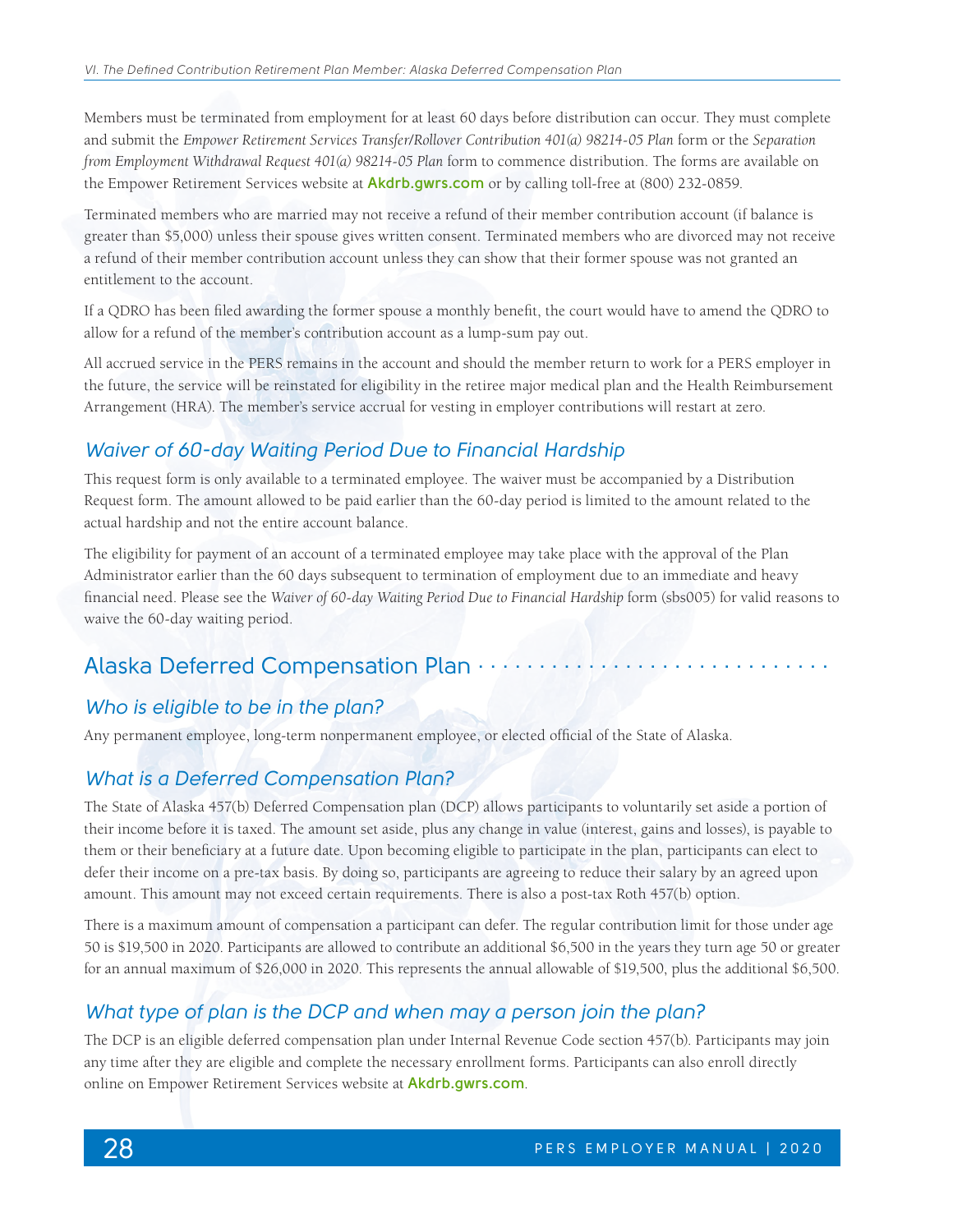<span id="page-33-0"></span>Members must be terminated from employment for at least 60 days before distribution can occur. They must complete and submit the *Empower Retirement Services Transfer/Rollover Contribution 401(a) 98214-05 Plan* form or the *Separation from Employment Withdrawal Request 401(a) 98214-05 Plan* form to commence distribution. The forms are available on the Empower Retirement Services website at **Akdrb.gwrs.com** or by calling toll-free at (800) 232-0859.

Terminated members who are married may not receive a refund of their member contribution account (if balance is greater than \$5,000) unless their spouse gives written consent. Terminated members who are divorced may not receive a refund of their member contribution account unless they can show that their former spouse was not granted an entitlement to the account.

If a QDRO has been filed awarding the former spouse a monthly benefit, the court would have to amend the QDRO to allow for a refund of the member's contribution account as a lump-sum pay out.

All accrued service in the PERS remains in the account and should the member return to work for a PERS employer in the future, the service will be reinstated for eligibility in the retiree major medical plan and the Health Reimbursement Arrangement (HRA). The member's service accrual for vesting in employer contributions will restart at zero.

### *Waiver of 60-day Waiting Period Due to Financial Hardship*

This request form is only available to a terminated employee. The waiver must be accompanied by a Distribution Request form. The amount allowed to be paid earlier than the 60-day period is limited to the amount related to the actual hardship and not the entire account balance.

The eligibility for payment of an account of a terminated employee may take place with the approval of the Plan Administrator earlier than the 60 days subsequent to termination of employment due to an immediate and heavy financial need. Please see the *Waiver of 60-day Waiting Period Due to Financial Hardship* form (sbs005) for valid reasons to waive the 60-day waiting period.

# Alaska Deferred Compensation Plan  $\cdots$

### *Who is eligible to be in the plan?*

Any permanent employee, long-term nonpermanent employee, or elected official of the State of Alaska.

### *What is a Deferred Compensation Plan?*

The State of Alaska 457(b) Deferred Compensation plan (DCP) allows participants to voluntarily set aside a portion of their income before it is taxed. The amount set aside, plus any change in value (interest, gains and losses), is payable to them or their beneficiary at a future date. Upon becoming eligible to participate in the plan, participants can elect to defer their income on a pre-tax basis. By doing so, participants are agreeing to reduce their salary by an agreed upon amount. This amount may not exceed certain requirements. There is also a post-tax Roth 457(b) option.

There is a maximum amount of compensation a participant can defer. The regular contribution limit for those under age 50 is \$19,500 in 2020. Participants are allowed to contribute an additional \$6,500 in the years they turn age 50 or greater for an annual maximum of \$26,000 in 2020. This represents the annual allowable of \$19,500, plus the additional \$6,500.

### *What type of plan is the DCP and when may a person join the plan?*

The DCP is an eligible deferred compensation plan under Internal Revenue Code section 457(b). Participants may join any time after they are eligible and complete the necessary enrollment forms. Participants can also enroll directly online on Empower Retirement Services website at **Akdrb.gwrs.com**.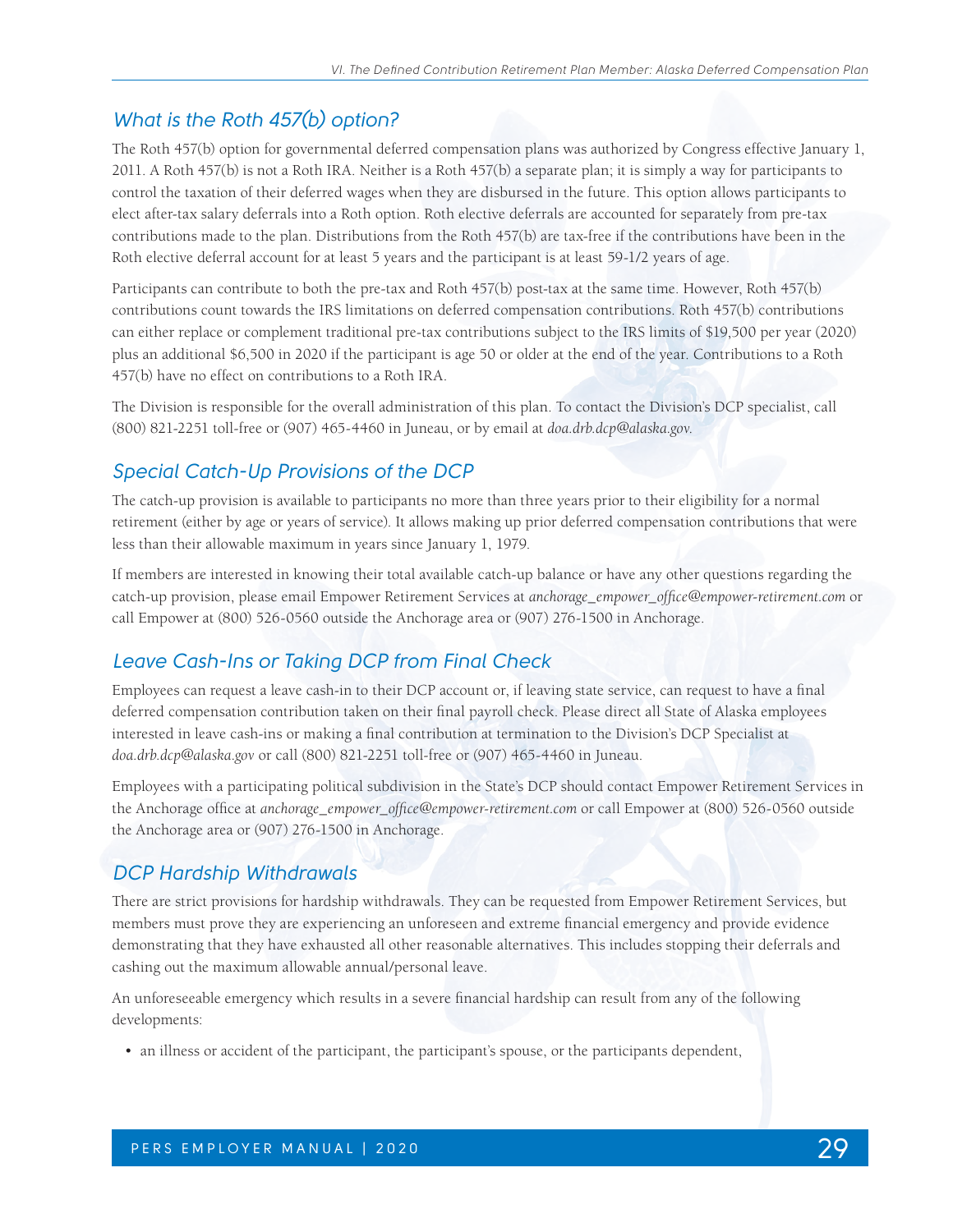# <span id="page-34-0"></span>*What is the Roth 457(b) option?*

The Roth 457(b) option for governmental deferred compensation plans was authorized by Congress effective January 1, 2011. A Roth 457(b) is not a Roth IRA. Neither is a Roth 457(b) a separate plan; it is simply a way for participants to control the taxation of their deferred wages when they are disbursed in the future. This option allows participants to elect after-tax salary deferrals into a Roth option. Roth elective deferrals are accounted for separately from pre-tax contributions made to the plan. Distributions from the Roth 457(b) are tax-free if the contributions have been in the Roth elective deferral account for at least 5 years and the participant is at least 59-1/2 years of age.

Participants can contribute to both the pre-tax and Roth 457(b) post-tax at the same time. However, Roth 457(b) contributions count towards the IRS limitations on deferred compensation contributions. Roth 457(b) contributions can either replace or complement traditional pre-tax contributions subject to the IRS limits of \$19,500 per year (2020) plus an additional \$6,500 in 2020 if the participant is age 50 or older at the end of the year. Contributions to a Roth 457(b) have no effect on contributions to a Roth IRA.

The Division is responsible for the overall administration of this plan. To contact the Division's DCP specialist, call (800) 821-2251 toll-free or (907) 465-4460 in Juneau, or by email at *doa.drb.dcp@alaska.gov*.

# *Special Catch-Up Provisions of the DCP*

The catch-up provision is available to participants no more than three years prior to their eligibility for a normal retirement (either by age or years of service). It allows making up prior deferred compensation contributions that were less than their allowable maximum in years since January 1, 1979.

If members are interested in knowing their total available catch-up balance or have any other questions regarding the catch-up provision, please email Empower Retirement Services at *anchorage\_empower\_office@empower-retirement.com* or call Empower at (800) 526-0560 outside the Anchorage area or (907) 276-1500 in Anchorage.

# *Leave Cash-Ins or Taking DCP from Final Check*

Employees can request a leave cash-in to their DCP account or, if leaving state service, can request to have a final deferred compensation contribution taken on their final payroll check. Please direct all State of Alaska employees interested in leave cash-ins or making a final contribution at termination to the Division's DCP Specialist at *doa.drb.dcp@alaska.gov* or call (800) 821-2251 toll-free or (907) 465-4460 in Juneau.

Employees with a participating political subdivision in the State's DCP should contact Empower Retirement Services in the Anchorage office at *anchorage\_empower\_office@empower-retirement.com* or call Empower at (800) 526-0560 outside the Anchorage area or (907) 276-1500 in Anchorage.

# *DCP Hardship Withdrawals*

There are strict provisions for hardship withdrawals. They can be requested from Empower Retirement Services, but members must prove they are experiencing an unforeseen and extreme financial emergency and provide evidence demonstrating that they have exhausted all other reasonable alternatives. This includes stopping their deferrals and cashing out the maximum allowable annual/personal leave.

An unforeseeable emergency which results in a severe financial hardship can result from any of the following developments:

• an illness or accident of the participant, the participant's spouse, or the participants dependent,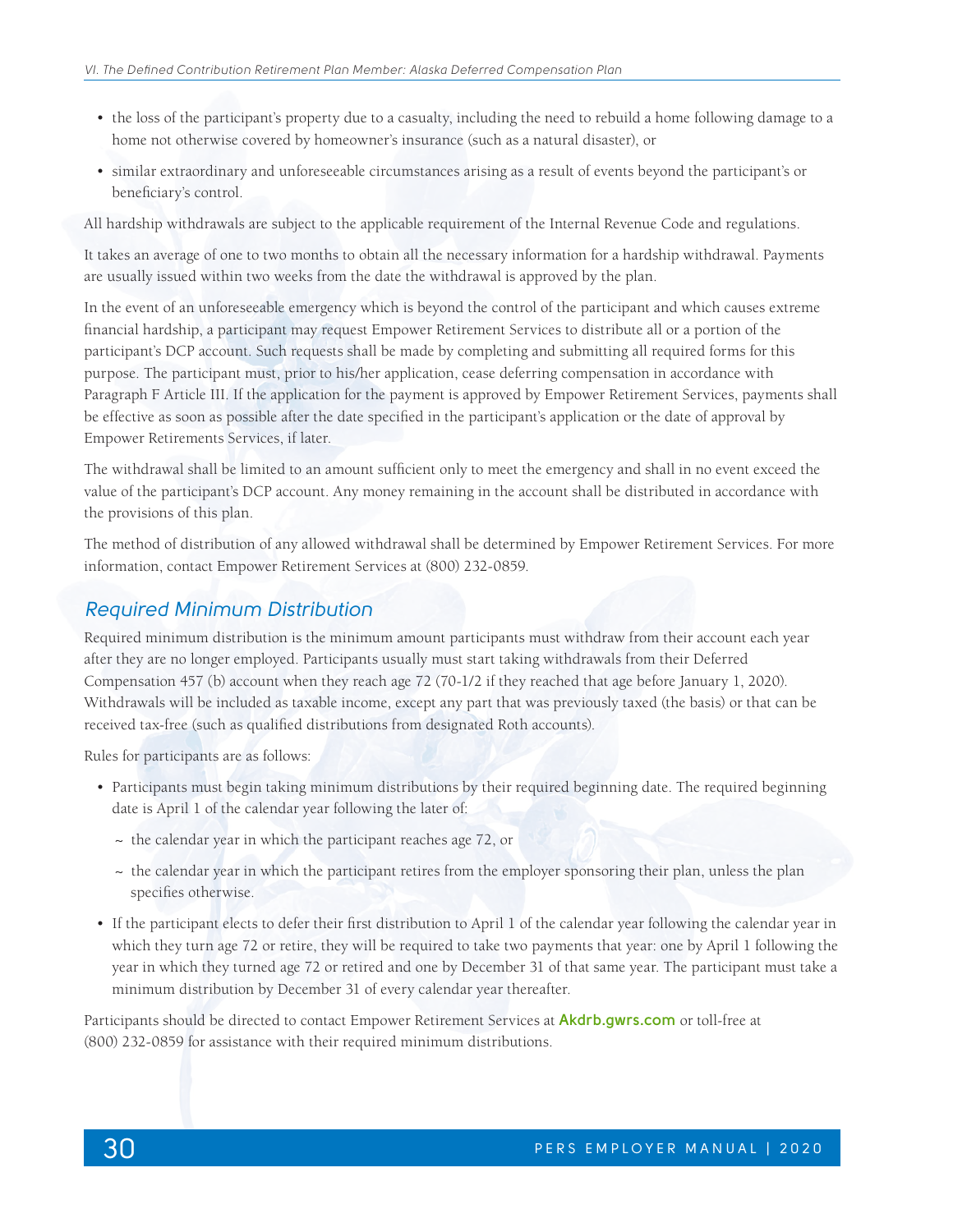- <span id="page-35-0"></span>• the loss of the participant's property due to a casualty, including the need to rebuild a home following damage to a home not otherwise covered by homeowner's insurance (such as a natural disaster), or
- similar extraordinary and unforeseeable circumstances arising as a result of events beyond the participant's or beneficiary's control.

All hardship withdrawals are subject to the applicable requirement of the Internal Revenue Code and regulations.

It takes an average of one to two months to obtain all the necessary information for a hardship withdrawal. Payments are usually issued within two weeks from the date the withdrawal is approved by the plan.

In the event of an unforeseeable emergency which is beyond the control of the participant and which causes extreme financial hardship, a participant may request Empower Retirement Services to distribute all or a portion of the participant's DCP account. Such requests shall be made by completing and submitting all required forms for this purpose. The participant must, prior to his/her application, cease deferring compensation in accordance with Paragraph F Article III. If the application for the payment is approved by Empower Retirement Services, payments shall be effective as soon as possible after the date specified in the participant's application or the date of approval by Empower Retirements Services, if later.

The withdrawal shall be limited to an amount sufficient only to meet the emergency and shall in no event exceed the value of the participant's DCP account. Any money remaining in the account shall be distributed in accordance with the provisions of this plan.

The method of distribution of any allowed withdrawal shall be determined by Empower Retirement Services. For more information, contact Empower Retirement Services at (800) 232-0859.

### *Required Minimum Distribution*

Required minimum distribution is the minimum amount participants must withdraw from their account each year after they are no longer employed. Participants usually must start taking withdrawals from their Deferred Compensation 457 (b) account when they reach age 72 (70-1/2 if they reached that age before January 1, 2020). Withdrawals will be included as taxable income, except any part that was previously taxed (the basis) or that can be received tax-free (such as qualified distributions from designated Roth accounts).

Rules for participants are as follows:

- Participants must begin taking minimum distributions by their required beginning date. The required beginning date is April 1 of the calendar year following the later of:
	- $\sim$  the calendar year in which the participant reaches age 72, or
	- $\sim$  the calendar year in which the participant retires from the employer sponsoring their plan, unless the plan specifies otherwise.
- If the participant elects to defer their first distribution to April 1 of the calendar year following the calendar year in which they turn age 72 or retire, they will be required to take two payments that year: one by April 1 following the year in which they turned age 72 or retired and one by December 31 of that same year. The participant must take a minimum distribution by December 31 of every calendar year thereafter.

Participants should be directed to contact Empower Retirement Services at **Akdrb.gwrs.com** or toll-free at (800) 232-0859 for assistance with their required minimum distributions.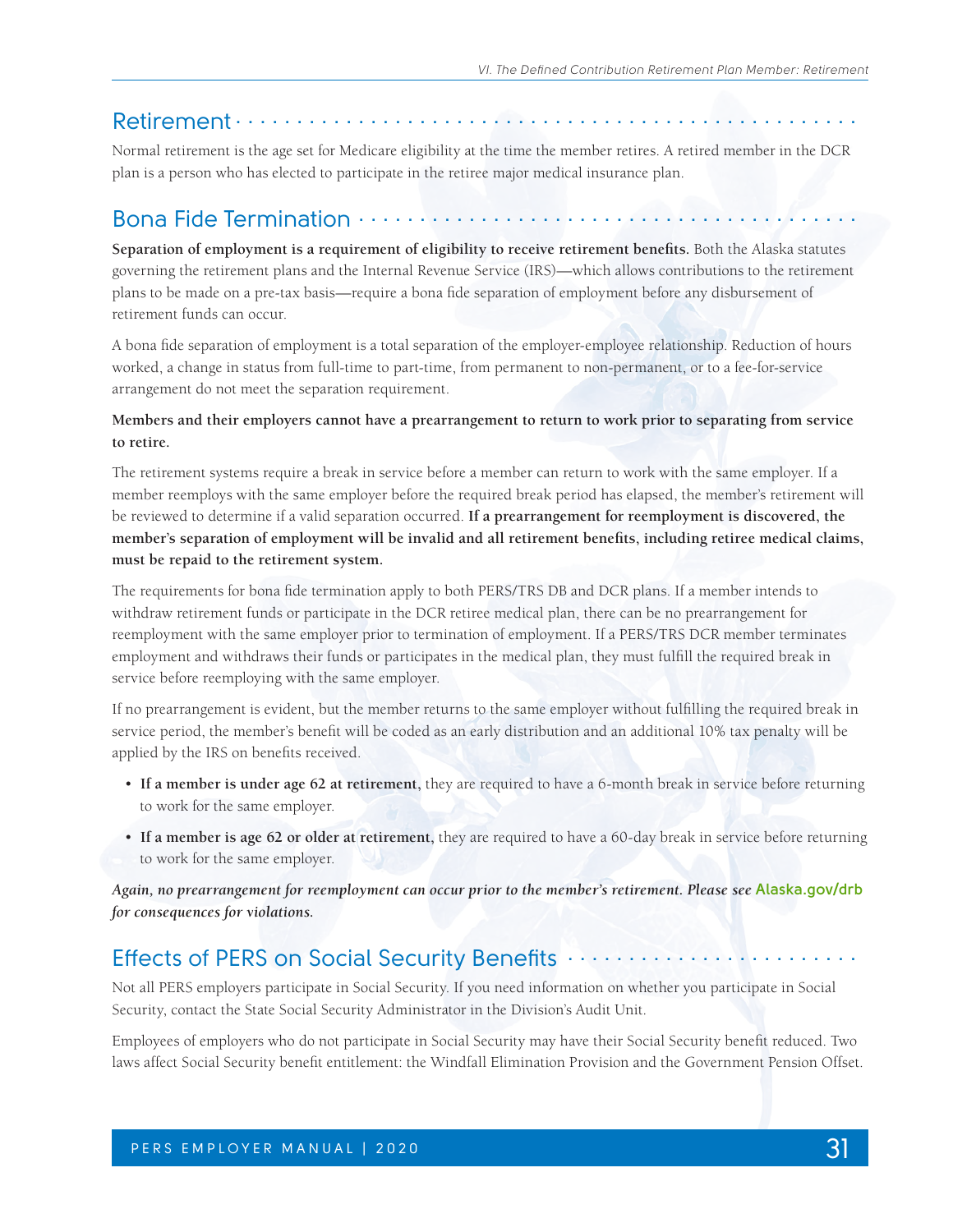## $Retirement \cdot \cdot \cdot \cdot \cdot \cdot \cdot \cdot \cdot$

Normal retirement is the age set for Medicare eligibility at the time the member retires. A retired member in the DCR plan is a person who has elected to participate in the retiree major medical insurance plan.

## Bona Fide Termination  $\dots \dots \dots \dots \dots$

**Separation of employment is a requirement of eligibility to receive retirement benefits.** Both the Alaska statutes governing the retirement plans and the Internal Revenue Service (IRS)—which allows contributions to the retirement plans to be made on a pre-tax basis—require a bona fide separation of employment before any disbursement of retirement funds can occur.

A bona fide separation of employment is a total separation of the employer-employee relationship. Reduction of hours worked, a change in status from full-time to part-time, from permanent to non-permanent, or to a fee-for-service arrangement do not meet the separation requirement.

#### **Members and their employers cannot have a prearrangement to return to work prior to separating from service to retire.**

The retirement systems require a break in service before a member can return to work with the same employer. If a member reemploys with the same employer before the required break period has elapsed, the member's retirement will be reviewed to determine if a valid separation occurred. **If a prearrangement for reemployment is discovered, the member's separation of employment will be invalid and all retirement benefits, including retiree medical claims, must be repaid to the retirement system.** 

The requirements for bona fide termination apply to both PERS/TRS DB and DCR plans. If a member intends to withdraw retirement funds or participate in the DCR retiree medical plan, there can be no prearrangement for reemployment with the same employer prior to termination of employment. If a PERS/TRS DCR member terminates employment and withdraws their funds or participates in the medical plan, they must fulfill the required break in service before reemploying with the same employer.

If no prearrangement is evident, but the member returns to the same employer without fulfilling the required break in service period, the member's benefit will be coded as an early distribution and an additional 10% tax penalty will be applied by the IRS on benefits received.

- **If a member is under age 62 at retirement,** they are required to have a 6-month break in service before returning to work for the same employer.
- **If a member is age 62 or older at retirement,** they are required to have a 60-day break in service before returning to work for the same employer.

*Again, no prearrangement for reemployment can occur prior to the member's retirement. Please see* **Alaska.gov/drb** *for consequences for violations.*

## Effects of PERS on Social Security Benefits  $\cdots$

Not all PERS employers participate in Social Security. If you need information on whether you participate in Social Security, contact the State Social Security Administrator in the Division's Audit Unit.

Employees of employers who do not participate in Social Security may have their Social Security benefit reduced. Two laws affect Social Security benefit entitlement: the Windfall Elimination Provision and the Government Pension Offset.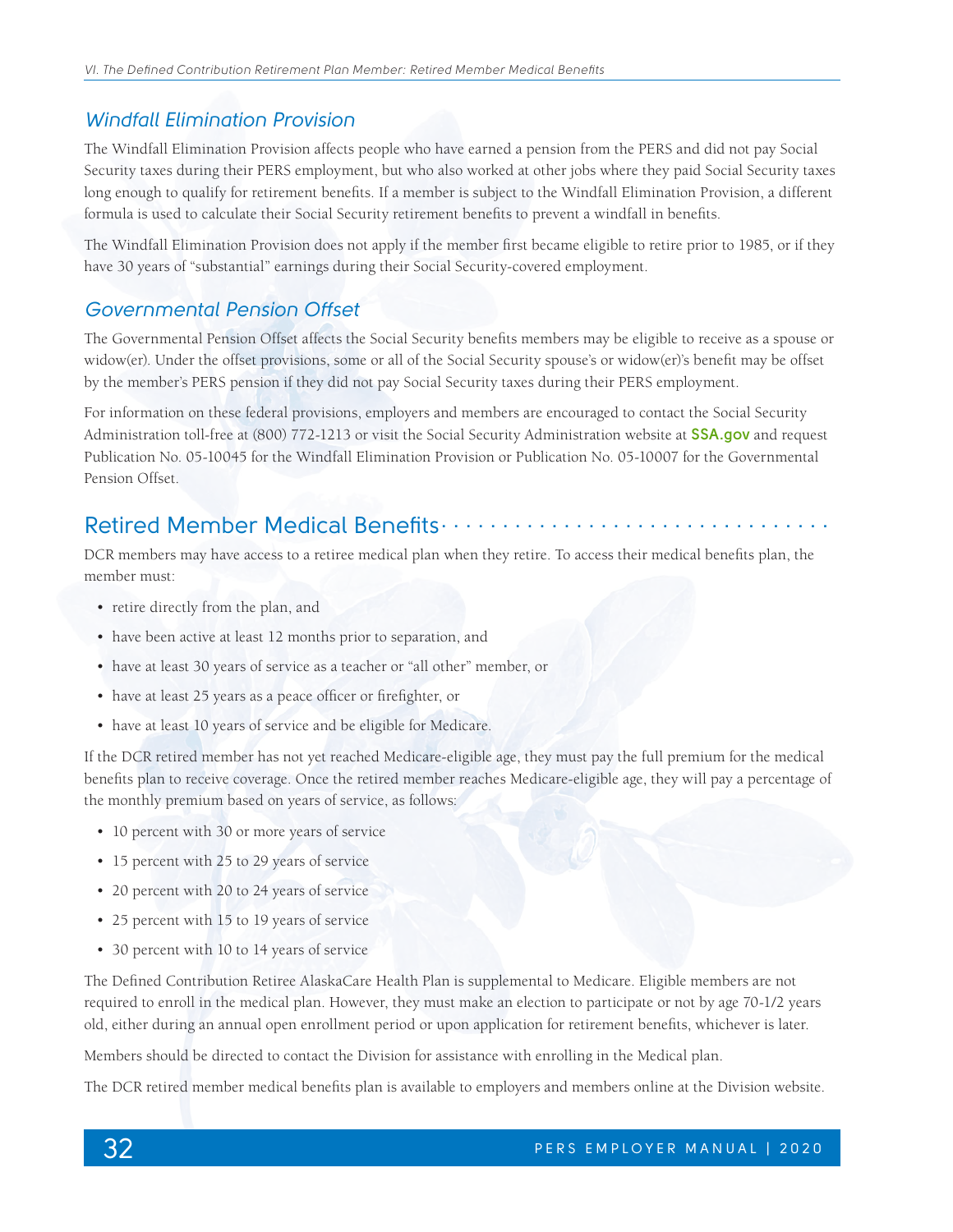## *Windfall Elimination Provision*

The Windfall Elimination Provision affects people who have earned a pension from the PERS and did not pay Social Security taxes during their PERS employment, but who also worked at other jobs where they paid Social Security taxes long enough to qualify for retirement benefits. If a member is subject to the Windfall Elimination Provision, a different formula is used to calculate their Social Security retirement benefits to prevent a windfall in benefits.

The Windfall Elimination Provision does not apply if the member first became eligible to retire prior to 1985, or if they have 30 years of "substantial" earnings during their Social Security-covered employment.

## *Governmental Pension Offset*

The Governmental Pension Offset affects the Social Security benefits members may be eligible to receive as a spouse or widow(er). Under the offset provisions, some or all of the Social Security spouse's or widow(er)'s benefit may be offset by the member's PERS pension if they did not pay Social Security taxes during their PERS employment.

For information on these federal provisions, employers and members are encouraged to contact the Social Security Administration toll-free at (800) 772-1213 or visit the Social Security Administration website at **SSA.gov** and request Publication No. 05-10045 for the Windfall Elimination Provision or Publication No. 05-10007 for the Governmental Pension Offset.

## Retired Member Medical Benefits  $\dots\dots\dots\dots\dots\dots\dots\dots\dots\dots$

DCR members may have access to a retiree medical plan when they retire. To access their medical benefits plan, the member must:

- retire directly from the plan, and
- have been active at least 12 months prior to separation, and
- have at least 30 years of service as a teacher or "all other" member, or
- have at least 25 years as a peace officer or firefighter, or
- have at least 10 years of service and be eligible for Medicare.

If the DCR retired member has not yet reached Medicare-eligible age, they must pay the full premium for the medical benefits plan to receive coverage. Once the retired member reaches Medicare-eligible age, they will pay a percentage of the monthly premium based on years of service, as follows:

- 10 percent with 30 or more years of service
- 15 percent with 25 to 29 years of service
- 20 percent with 20 to 24 years of service
- 25 percent with 15 to 19 years of service
- 30 percent with 10 to 14 years of service

The Defined Contribution Retiree AlaskaCare Health Plan is supplemental to Medicare. Eligible members are not required to enroll in the medical plan. However, they must make an election to participate or not by age 70-1/2 years old, either during an annual open enrollment period or upon application for retirement benefits, whichever is later.

Members should be directed to contact the Division for assistance with enrolling in the Medical plan.

The DCR retired member medical benefits plan is available to employers and members online at the Division website.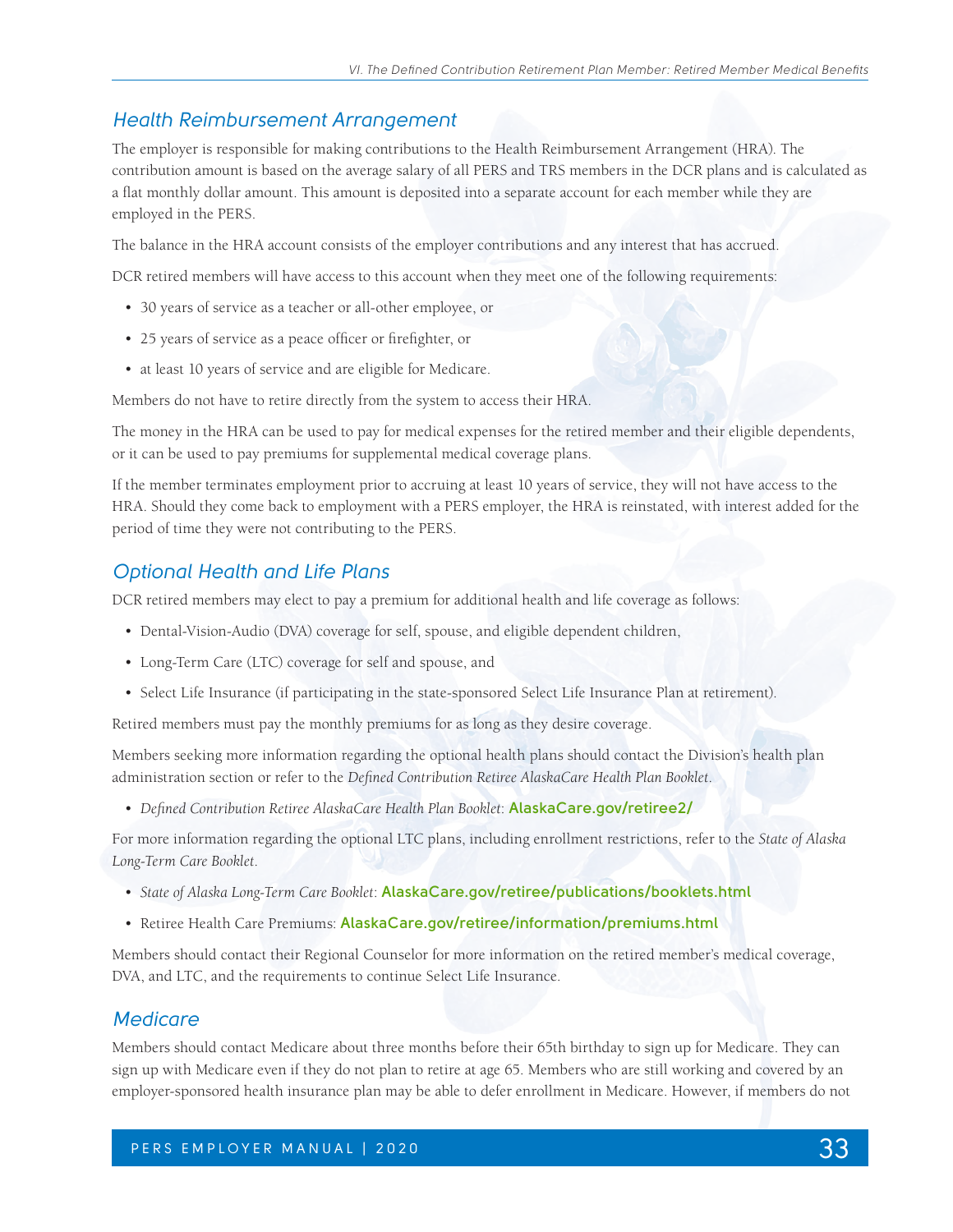## *Health Reimbursement Arrangement*

The employer is responsible for making contributions to the Health Reimbursement Arrangement (HRA). The contribution amount is based on the average salary of all PERS and TRS members in the DCR plans and is calculated as a flat monthly dollar amount. This amount is deposited into a separate account for each member while they are employed in the PERS.

The balance in the HRA account consists of the employer contributions and any interest that has accrued.

DCR retired members will have access to this account when they meet one of the following requirements:

- 30 years of service as a teacher or all-other employee, or
- 25 years of service as a peace officer or firefighter, or
- at least 10 years of service and are eligible for Medicare.

Members do not have to retire directly from the system to access their HRA.

The money in the HRA can be used to pay for medical expenses for the retired member and their eligible dependents, or it can be used to pay premiums for supplemental medical coverage plans.

If the member terminates employment prior to accruing at least 10 years of service, they will not have access to the HRA. Should they come back to employment with a PERS employer, the HRA is reinstated, with interest added for the period of time they were not contributing to the PERS.

#### *Optional Health and Life Plans*

DCR retired members may elect to pay a premium for additional health and life coverage as follows:

- Dental-Vision-Audio (DVA) coverage for self, spouse, and eligible dependent children,
- Long-Term Care (LTC) coverage for self and spouse, and
- Select Life Insurance (if participating in the state-sponsored Select Life Insurance Plan at retirement).

Retired members must pay the monthly premiums for as long as they desire coverage.

Members seeking more information regarding the optional health plans should contact the Division's health plan administration section or refer to the *Defined Contribution Retiree AlaskaCare Health Plan Booklet*.

• *Defined Contribution Retiree AlaskaCare Health Plan Booklet*: **AlaskaCare.gov/retiree2/**

For more information regarding the optional LTC plans, including enrollment restrictions, refer to the *State of Alaska Long-Term Care Booklet*.

- *[State of Alaska Long-Term Care Booklet](http://doa.alaska.gov/drb/ghlb/retiree/pdf/bronzebw.pdf)*: **AlaskaCare.gov/retiree/publications/booklets.html**
- Retiree Health Care Premiums: **AlaskaCare.gov/retiree/information/premiums.html**

Members should contact their Regional Counselor for more information on the retired member's medical coverage, DVA, and LTC, and the requirements to continue Select Life Insurance.

#### *Medicare*

Members should contact Medicare about three months before their 65th birthday to sign up for Medicare. They can sign up with Medicare even if they do not plan to retire at age 65. Members who are still working and covered by an employer-sponsored health insurance plan may be able to defer enrollment in Medicare. However, if members do not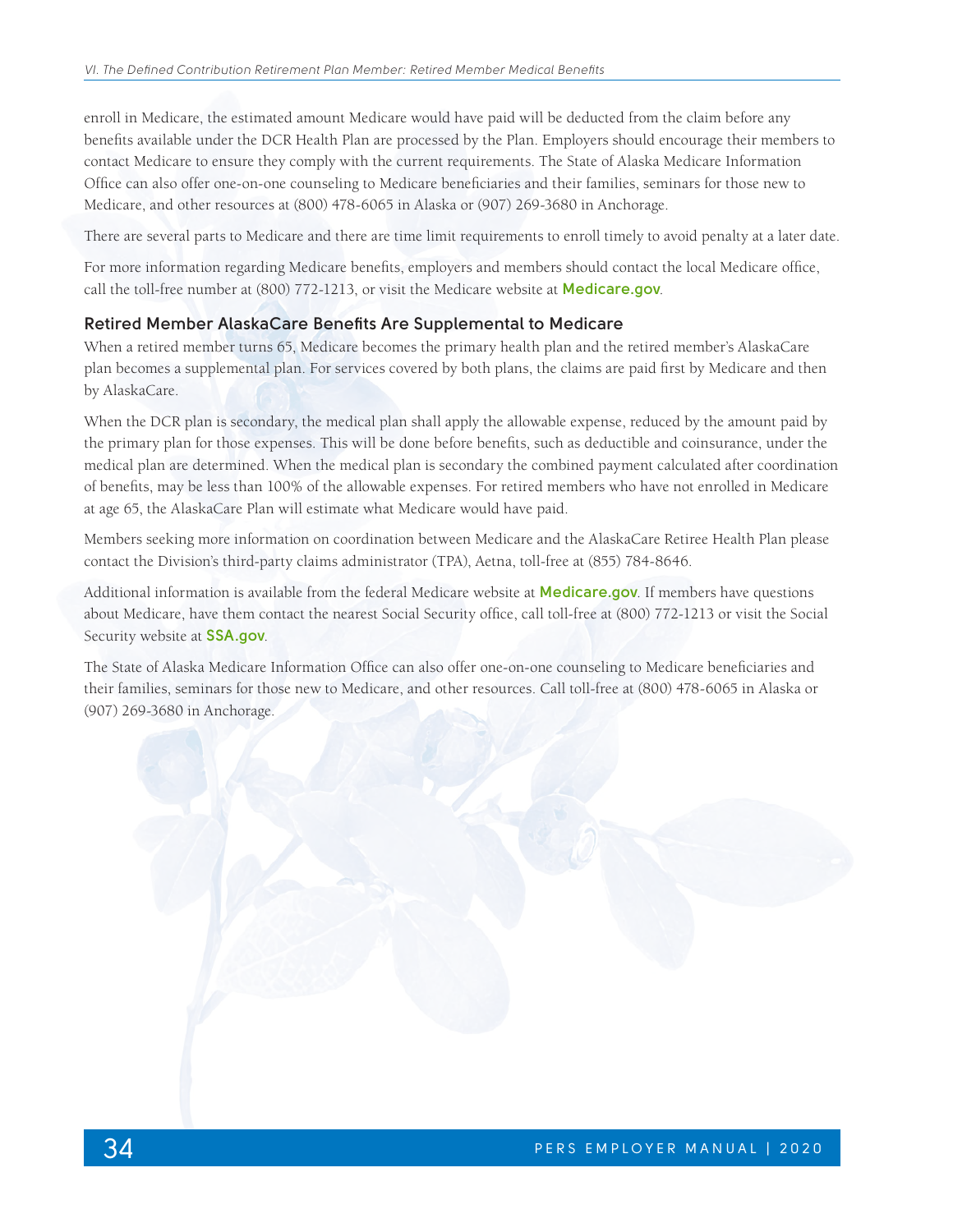enroll in Medicare, the estimated amount Medicare would have paid will be deducted from the claim before any benefits available under the DCR Health Plan are processed by the Plan. Employers should encourage their members to contact Medicare to ensure they comply with the current requirements. The State of Alaska Medicare Information Office can also offer one-on-one counseling to Medicare beneficiaries and their families, seminars for those new to Medicare, and other resources at (800) 478-6065 in Alaska or (907) 269-3680 in Anchorage.

There are several parts to Medicare and there are time limit requirements to enroll timely to avoid penalty at a later date.

For more information regarding Medicare benefits, employers and members should contact the local Medicare office, call the toll-free number at (800) 772-1213, or visit the Medicare website at **Medicare.gov**.

#### **Retired Member AlaskaCare Benefits Are Supplemental to Medicare**

When a retired member turns 65, Medicare becomes the primary health plan and the retired member's AlaskaCare plan becomes a supplemental plan. For services covered by both plans, the claims are paid first by Medicare and then by AlaskaCare.

When the DCR plan is secondary, the medical plan shall apply the allowable expense, reduced by the amount paid by the primary plan for those expenses. This will be done before benefits, such as deductible and coinsurance, under the medical plan are determined. When the medical plan is secondary the combined payment calculated after coordination of benefits, may be less than 100% of the allowable expenses. For retired members who have not enrolled in Medicare at age 65, the AlaskaCare Plan will estimate what Medicare would have paid.

Members seeking more information on coordination between Medicare and the AlaskaCare Retiree Health Plan please contact the Division's third-party claims administrator (TPA), Aetna, toll-free at (855) 784-8646.

Additional information is available from the federal Medicare website at **Medicare.gov**. If members have questions about Medicare, have them contact the nearest Social Security office, call toll-free at (800) 772-1213 or visit the Social Security website at **SSA.gov**.

The State of Alaska Medicare Information Office can also offer one-on-one counseling to Medicare beneficiaries and their families, seminars for those new to Medicare, and other resources. Call toll-free at (800) 478-6065 in Alaska or (907) 269-3680 in Anchorage.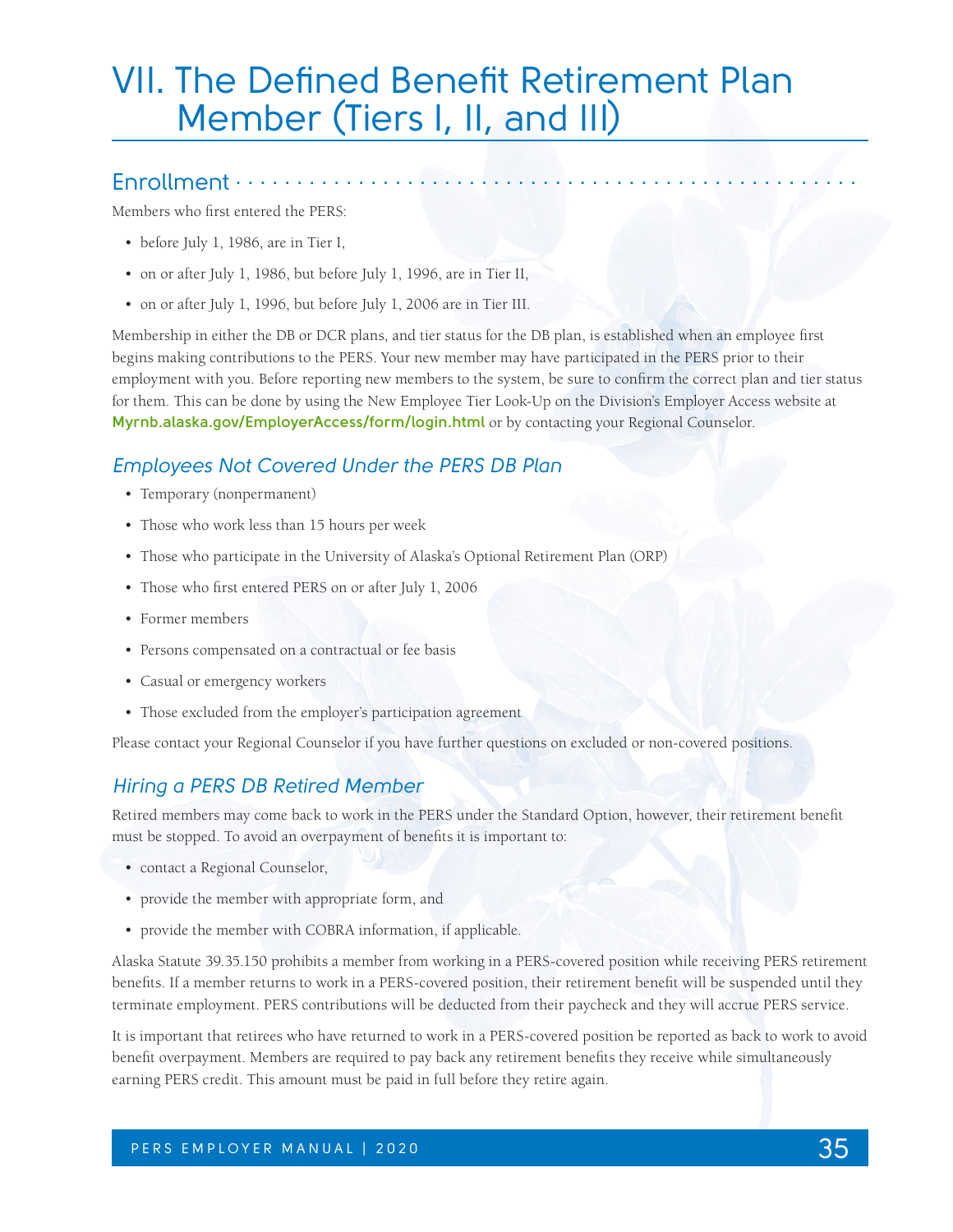# VII. The Defined Benefit Retirement Plan Member (Tiers I, II, and III)

## Enrollment  $\cdots$

Members who first entered the PERS:

- before July 1, 1986, are in Tier I,
- on or after July 1, 1986, but before July 1, 1996, are in Tier II,
- on or after July 1, 1996, but before July 1, 2006 are in Tier III.

Membership in either the DB or DCR plans, and tier status for the DB plan, is established when an employee first begins making contributions to the PERS. Your new member may have participated in the PERS prior to their employment with you. Before reporting new members to the system, be sure to confirm the correct plan and tier status for them. This can be done by using the New Employee Tier Look-Up on the Division's Employer Access website at **Myrnb.alaska.gov/EmployerAccess/form/login.html** or by contacting your Regional Counselor.

## *Employees Not Covered Under the PERS DB Plan*

- Temporary (nonpermanent)
- Those who work less than 15 hours per week
- Those who participate in the University of Alaska's Optional Retirement Plan (ORP)
- Those who first entered PERS on or after July 1, 2006
- Former members
- Persons compensated on a contractual or fee basis
- Casual or emergency workers
- Those excluded from the employer's participation agreement

Please contact your Regional Counselor if you have further questions on excluded or non-covered positions.

## *Hiring a PERS DB Retired Member*

Retired members may come back to work in the PERS under the Standard Option, however, their retirement benefit must be stopped. To avoid an overpayment of benefits it is important to:

- contact a Regional Counselor,
- provide the member with appropriate form, and
- provide the member with COBRA information, if applicable.

Alaska Statute 39.35.150 prohibits a member from working in a PERS-covered position while receiving PERS retirement benefits. If a member returns to work in a PERS-covered position, their retirement benefit will be suspended until they terminate employment. PERS contributions will be deducted from their paycheck and they will accrue PERS service.

It is important that retirees who have returned to work in a PERS-covered position be reported as back to work to avoid benefit overpayment. Members are required to pay back any retirement benefits they receive while simultaneously earning PERS credit. This amount must be paid in full before they retire again.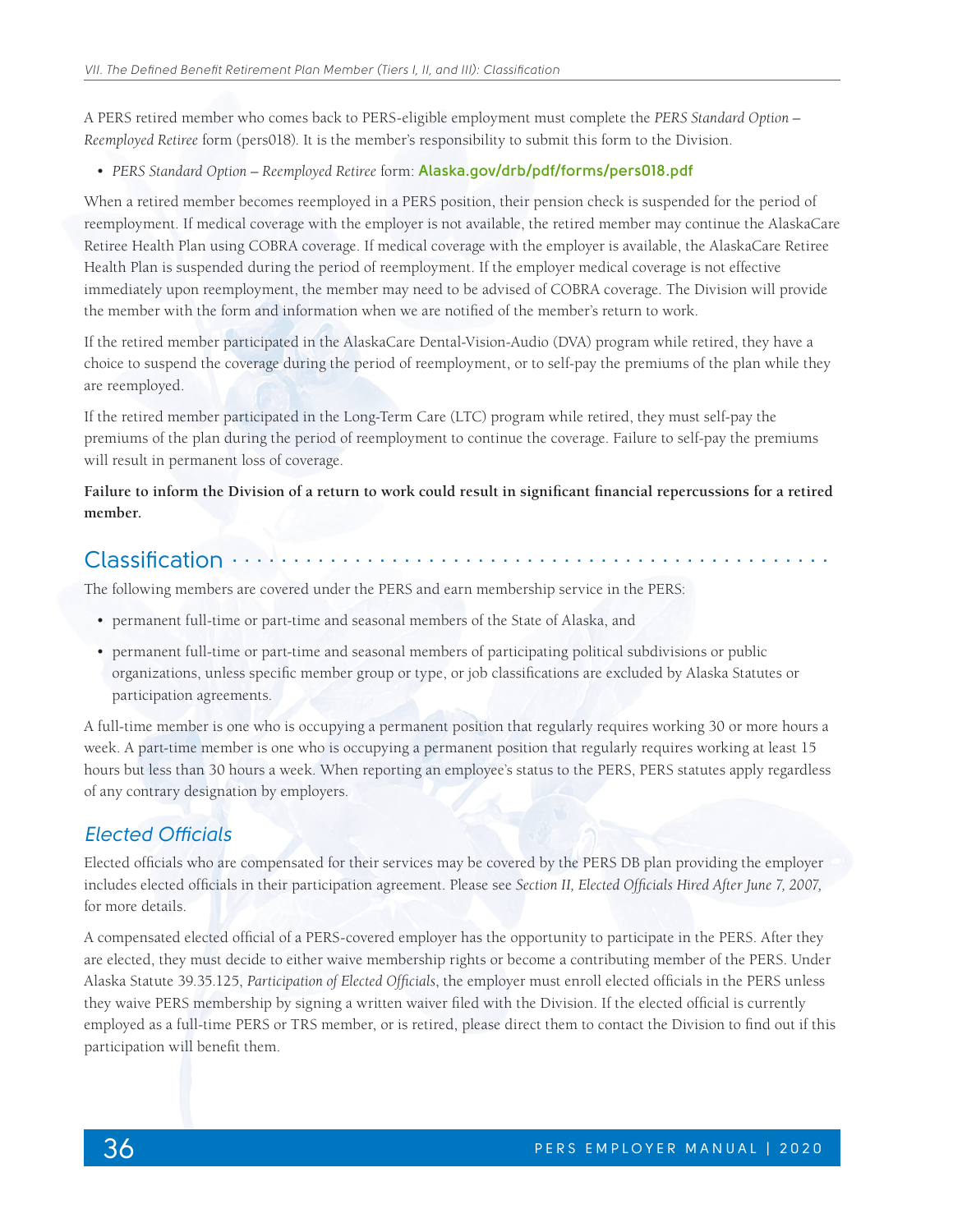A PERS retired member who comes back to PERS-eligible employment must complete the *PERS Standard Option – Reemployed Retiree* form (pers018). It is the member's responsibility to submit this form to the Division.

• *PERS Standard Option – Reemployed Retiree* form: **[Alaska.gov/drb/pdf/forms/pers018.pdf](http://doa.alaska.gov/drb/forms/pdf/pers018.pdf)**

When a retired member becomes reemployed in a PERS position, their pension check is suspended for the period of reemployment. If medical coverage with the employer is not available, the retired member may continue the AlaskaCare Retiree Health Plan using COBRA coverage. If medical coverage with the employer is available, the AlaskaCare Retiree Health Plan is suspended during the period of reemployment. If the employer medical coverage is not effective immediately upon reemployment, the member may need to be advised of COBRA coverage. The Division will provide the member with the form and information when we are notified of the member's return to work.

If the retired member participated in the AlaskaCare Dental-Vision-Audio (DVA) program while retired, they have a choice to suspend the coverage during the period of reemployment, or to self-pay the premiums of the plan while they are reemployed.

If the retired member participated in the Long-Term Care (LTC) program while retired, they must self-pay the premiums of the plan during the period of reemployment to continue the coverage. Failure to self-pay the premiums will result in permanent loss of coverage.

**Failure to inform the Division of a return to work could result in significant financial repercussions for a retired member.**

#### $\Box$  assification  $\cdots$   $\cdots$   $\cdots$   $\cdots$   $\cdots$   $\cdots$   $\cdots$   $\cdots$   $\cdots$   $\cdots$   $\cdots$   $\cdots$   $\cdots$   $\cdots$

The following members are covered under the PERS and earn membership service in the PERS:

- permanent full-time or part-time and seasonal members of the State of Alaska, and
- permanent full-time or part-time and seasonal members of participating political subdivisions or public organizations, unless specific member group or type, or job classifications are excluded by Alaska Statutes or participation agreements.

A full-time member is one who is occupying a permanent position that regularly requires working 30 or more hours a week. A part-time member is one who is occupying a permanent position that regularly requires working at least 15 hours but less than 30 hours a week. When reporting an employee's status to the PERS, PERS statutes apply regardless of any contrary designation by employers.

## *Elected Officials*

Elected officials who are compensated for their services may be covered by the PERS DB plan providing the employer includes elected officials in their participation agreement. Please see *Section II, Elected Officials Hired After June 7, 2007,* for more details.

A compensated elected official of a PERS-covered employer has the opportunity to participate in the PERS. After they are elected, they must decide to either waive membership rights or become a contributing member of the PERS. Under Alaska Statute 39.35.125, *Participation of Elected Officials*, the employer must enroll elected officials in the PERS unless they waive PERS membership by signing a written waiver filed with the Division. If the elected official is currently employed as a full-time PERS or TRS member, or is retired, please direct them to contact the Division to find out if this participation will benefit them.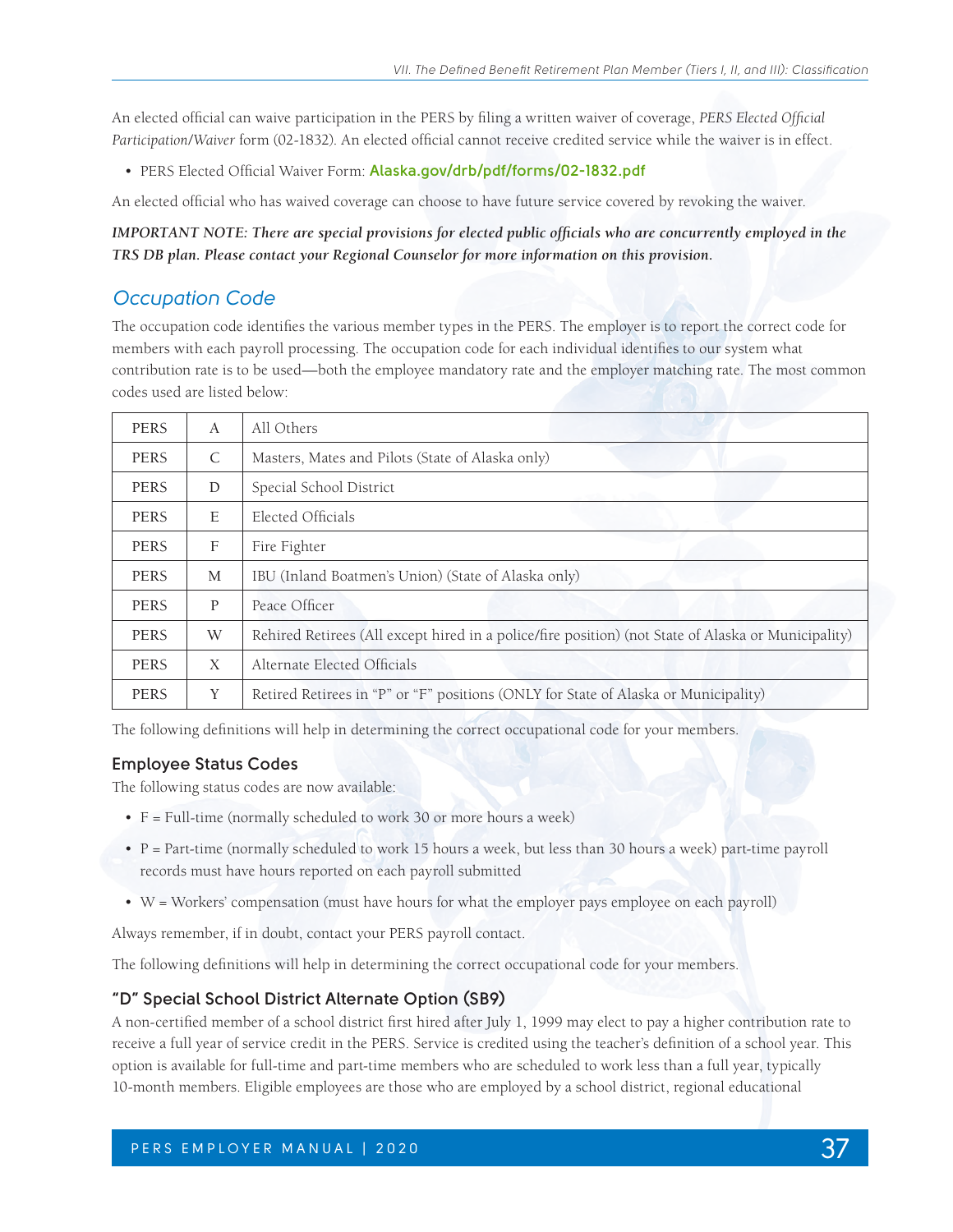An elected official can waive participation in the PERS by filing a written waiver of coverage, *PERS Elected Official Participation/Waiver* form (02-1832). An elected official cannot receive credited service while the waiver is in effect.

• PERS Elected Official Waiver Form: **[Alaska.gov/drb/pdf/forms/02-1832.pdf](http://doa.alaska.gov/drb/forms/pdf/02-1832.pdf)**

An elected official who has waived coverage can choose to have future service covered by revoking the waiver.

*IMPORTANT NOTE: There are special provisions for elected public officials who are concurrently employed in the TRS DB plan. Please contact your Regional Counselor for more information on this provision.* 

## *Occupation Code*

The occupation code identifies the various member types in the PERS. The employer is to report the correct code for members with each payroll processing. The occupation code for each individual identifies to our system what contribution rate is to be used—both the employee mandatory rate and the employer matching rate. The most common codes used are listed below:

| <b>PERS</b> | A | All Others                                                                                          |
|-------------|---|-----------------------------------------------------------------------------------------------------|
| PERS        | C | Masters, Mates and Pilots (State of Alaska only)                                                    |
| <b>PERS</b> | D | Special School District                                                                             |
| <b>PERS</b> | E | Elected Officials                                                                                   |
| PERS        | F | Fire Fighter                                                                                        |
| <b>PERS</b> | M | IBU (Inland Boatmen's Union) (State of Alaska only)                                                 |
| <b>PERS</b> | P | Peace Officer                                                                                       |
| <b>PERS</b> | W | Rehired Retirees (All except hired in a police/fire position) (not State of Alaska or Municipality) |
| PERS        | X | Alternate Elected Officials                                                                         |
| PERS        | Y | Retired Retirees in "P" or "F" positions (ONLY for State of Alaska or Municipality)                 |

The following definitions will help in determining the correct occupational code for your members.

#### **Employee Status Codes**

The following status codes are now available:

- F = Full-time (normally scheduled to work 30 or more hours a week)
- P = Part-time (normally scheduled to work 15 hours a week, but less than 30 hours a week) part-time payroll records must have hours reported on each payroll submitted
- W = Workers' compensation (must have hours for what the employer pays employee on each payroll)

Always remember, if in doubt, contact your PERS payroll contact.

The following definitions will help in determining the correct occupational code for your members.

#### **"D" Special School District Alternate Option (SB9)**

A non-certified member of a school district first hired after July 1, 1999 may elect to pay a higher contribution rate to receive a full year of service credit in the PERS. Service is credited using the teacher's definition of a school year. This option is available for full-time and part-time members who are scheduled to work less than a full year, typically 10-month members. Eligible employees are those who are employed by a school district, regional educational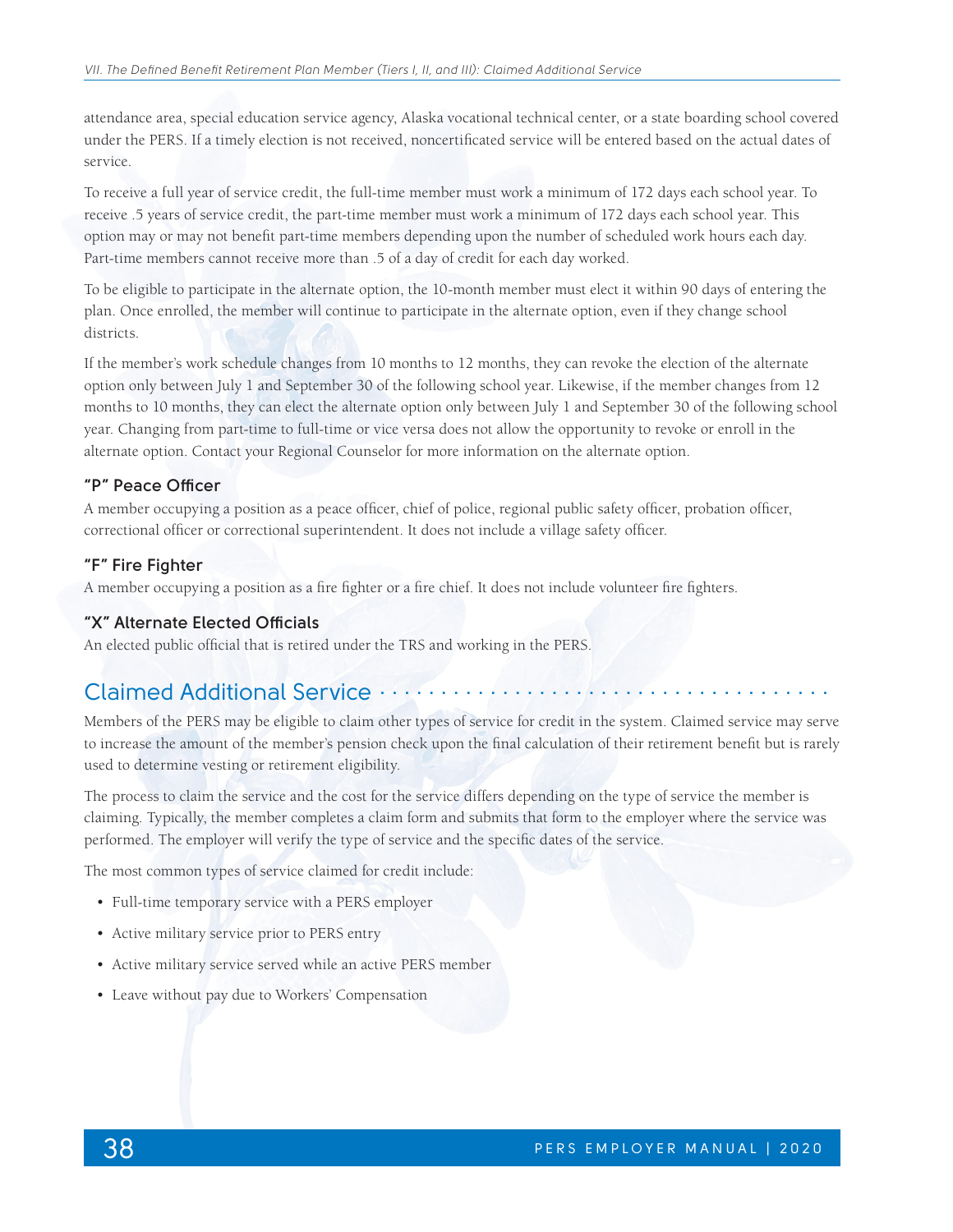attendance area, special education service agency, Alaska vocational technical center, or a state boarding school covered under the PERS. If a timely election is not received, noncertificated service will be entered based on the actual dates of service.

To receive a full year of service credit, the full-time member must work a minimum of 172 days each school year. To receive .5 years of service credit, the part-time member must work a minimum of 172 days each school year. This option may or may not benefit part-time members depending upon the number of scheduled work hours each day. Part-time members cannot receive more than .5 of a day of credit for each day worked.

To be eligible to participate in the alternate option, the 10-month member must elect it within 90 days of entering the plan. Once enrolled, the member will continue to participate in the alternate option, even if they change school districts.

If the member's work schedule changes from 10 months to 12 months, they can revoke the election of the alternate option only between July 1 and September 30 of the following school year. Likewise, if the member changes from 12 months to 10 months, they can elect the alternate option only between July 1 and September 30 of the following school year. Changing from part-time to full-time or vice versa does not allow the opportunity to revoke or enroll in the alternate option. Contact your Regional Counselor for more information on the alternate option.

#### **"P" Peace Officer**

A member occupying a position as a peace officer, chief of police, regional public safety officer, probation officer, correctional officer or correctional superintendent. It does not include a village safety officer.

#### **"F" Fire Fighter**

A member occupying a position as a fire fighter or a fire chief. It does not include volunteer fire fighters.

#### **"X" Alternate Elected Officials**

An elected public official that is retired under the TRS and working in the PERS.

## Claimed Additional Service  $\dots\dots\dots$

Members of the PERS may be eligible to claim other types of service for credit in the system. Claimed service may serve to increase the amount of the member's pension check upon the final calculation of their retirement benefit but is rarely used to determine vesting or retirement eligibility.

The process to claim the service and the cost for the service differs depending on the type of service the member is claiming. Typically, the member completes a claim form and submits that form to the employer where the service was performed. The employer will verify the type of service and the specific dates of the service.

The most common types of service claimed for credit include:

- Full-time temporary service with a PERS employer
- Active military service prior to PERS entry
- Active military service served while an active PERS member
- Leave without pay due to Workers' Compensation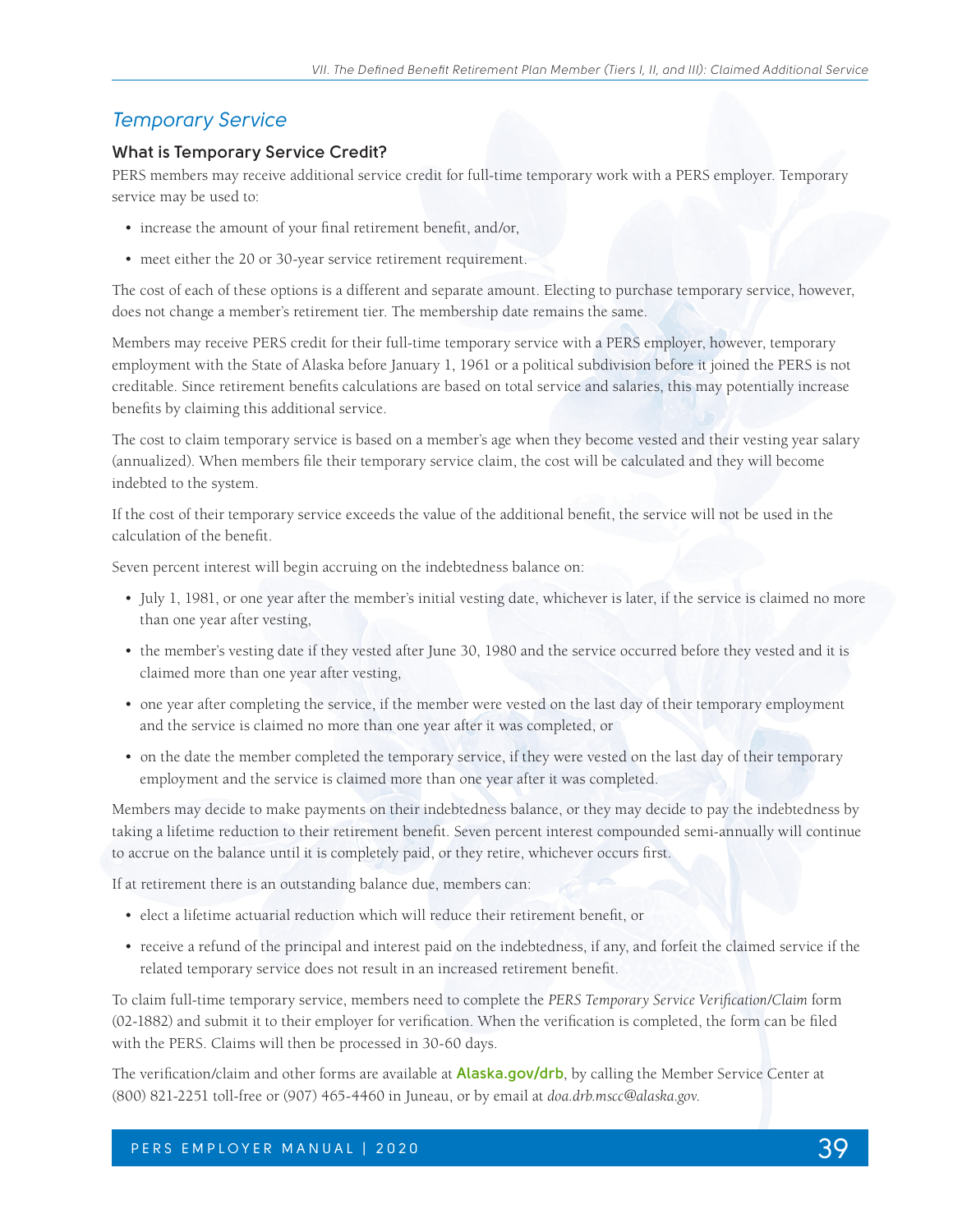## *Temporary Service*

#### **What is Temporary Service Credit?**

PERS members may receive additional service credit for full-time temporary work with a PERS employer. Temporary service may be used to:

- increase the amount of your final retirement benefit, and/or,
- meet either the 20 or 30-year service retirement requirement.

The cost of each of these options is a different and separate amount. Electing to purchase temporary service, however, does not change a member's retirement tier. The membership date remains the same.

Members may receive PERS credit for their full-time temporary service with a PERS employer, however, temporary employment with the State of Alaska before January 1, 1961 or a political subdivision before it joined the PERS is not creditable. Since retirement benefits calculations are based on total service and salaries, this may potentially increase benefits by claiming this additional service.

The cost to claim temporary service is based on a member's age when they become vested and their vesting year salary (annualized). When members file their temporary service claim, the cost will be calculated and they will become indebted to the system.

If the cost of their temporary service exceeds the value of the additional benefit, the service will not be used in the calculation of the benefit.

Seven percent interest will begin accruing on the indebtedness balance on:

- July 1, 1981, or one year after the member's initial vesting date, whichever is later, if the service is claimed no more than one year after vesting,
- the member's vesting date if they vested after June 30, 1980 and the service occurred before they vested and it is claimed more than one year after vesting,
- one year after completing the service, if the member were vested on the last day of their temporary employment and the service is claimed no more than one year after it was completed, or
- on the date the member completed the temporary service, if they were vested on the last day of their temporary employment and the service is claimed more than one year after it was completed.

Members may decide to make payments on their indebtedness balance, or they may decide to pay the indebtedness by taking a lifetime reduction to their retirement benefit. Seven percent interest compounded semi-annually will continue to accrue on the balance until it is completely paid, or they retire, whichever occurs first.

If at retirement there is an outstanding balance due, members can:

- elect a lifetime actuarial reduction which will reduce their retirement benefit, or
- receive a refund of the principal and interest paid on the indebtedness, if any, and forfeit the claimed service if the related temporary service does not result in an increased retirement benefit.

To claim full-time temporary service, members need to complete the *PERS Temporary Service Verification/Claim* form (02-1882) and submit it to their employer for verification. When the verification is completed, the form can be filed with the PERS. Claims will then be processed in 30-60 days.

The verification/claim and other forms are available at **Alaska.gov/drb**, by calling the Member Service Center at (800) 821-2251 toll-free or (907) 465-4460 in Juneau, or by email at *doa.drb.mscc@alaska.gov*.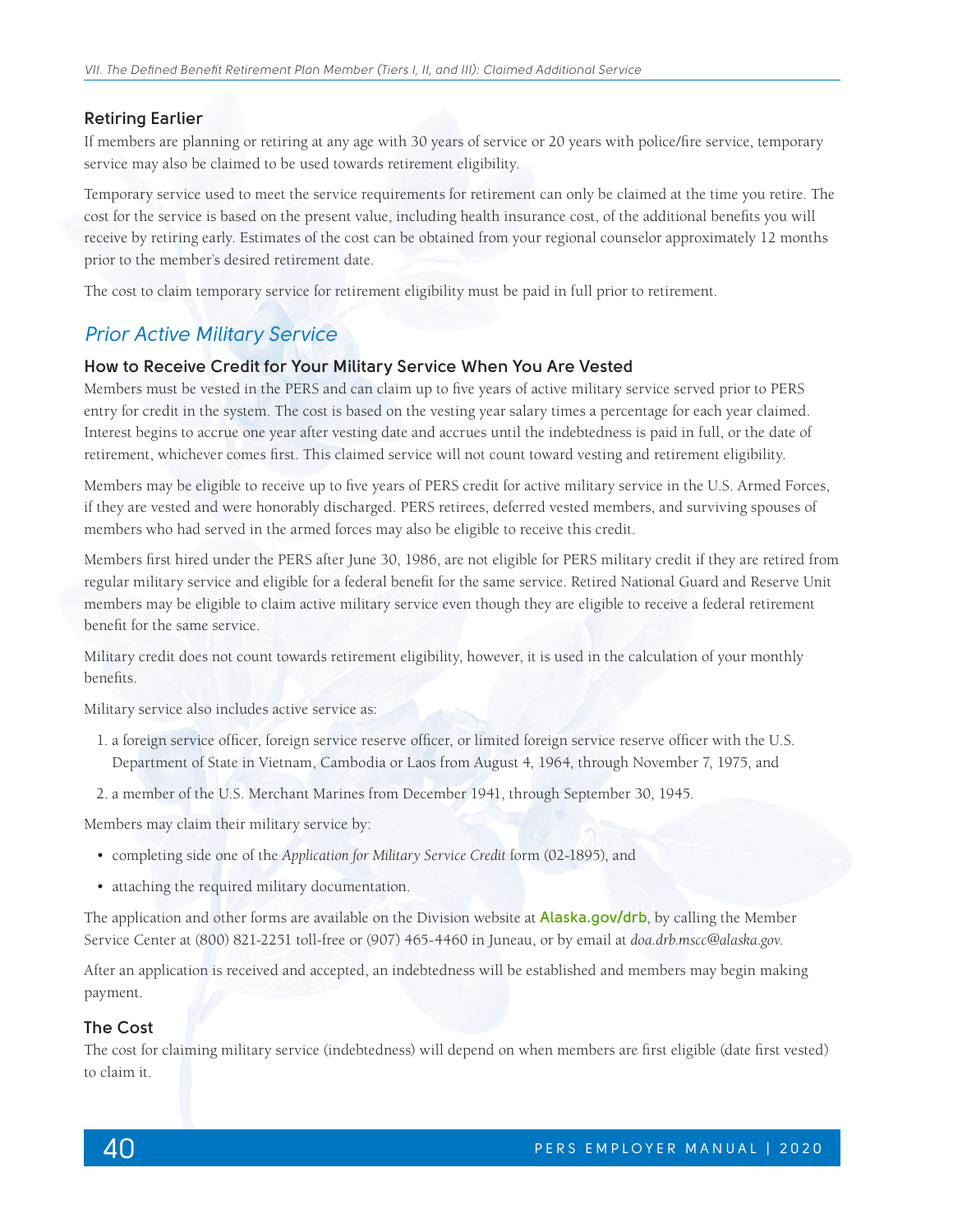#### **Retiring Earlier**

If members are planning or retiring at any age with 30 years of service or 20 years with police/fire service, temporary service may also be claimed to be used towards retirement eligibility.

Temporary service used to meet the service requirements for retirement can only be claimed at the time you retire. The cost for the service is based on the present value, including health insurance cost, of the additional benefits you will receive by retiring early. Estimates of the cost can be obtained from your regional counselor approximately 12 months prior to the member's desired retirement date.

The cost to claim temporary service for retirement eligibility must be paid in full prior to retirement.

#### *Prior Active Military Service*

#### **How to Receive Credit for Your Military Service When You Are Vested**

Members must be vested in the PERS and can claim up to five years of active military service served prior to PERS entry for credit in the system. The cost is based on the vesting year salary times a percentage for each year claimed. Interest begins to accrue one year after vesting date and accrues until the indebtedness is paid in full, or the date of retirement, whichever comes first. This claimed service will not count toward vesting and retirement eligibility.

Members may be eligible to receive up to five years of PERS credit for active military service in the U.S. Armed Forces, if they are vested and were honorably discharged. PERS retirees, deferred vested members, and surviving spouses of members who had served in the armed forces may also be eligible to receive this credit.

Members first hired under the PERS after June 30, 1986, are not eligible for PERS military credit if they are retired from regular military service and eligible for a federal benefit for the same service. Retired National Guard and Reserve Unit members may be eligible to claim active military service even though they are eligible to receive a federal retirement benefit for the same service.

Military credit does not count towards retirement eligibility, however, it is used in the calculation of your monthly benefits.

Military service also includes active service as:

- 1. a foreign service officer, foreign service reserve officer, or limited foreign service reserve officer with the U.S. Department of State in Vietnam, Cambodia or Laos from August 4, 1964, through November 7, 1975, and
- 2. a member of the U.S. Merchant Marines from December 1941, through September 30, 1945.

Members may claim their military service by:

- completing side one of the *Application for Military Service Credit* form (02-1895), and
- attaching the required military documentation.

The application and other forms are available on the Division website at **Alaska.gov/drb**, by calling the Member Service Center at (800) 821-2251 toll-free or (907) 465-4460 in Juneau, or by email at *doa.drb.mscc@alaska.gov*.

After an application is received and accepted, an indebtedness will be established and members may begin making payment.

#### **The Cost**

The cost for claiming military service (indebtedness) will depend on when members are first eligible (date first vested) to claim it.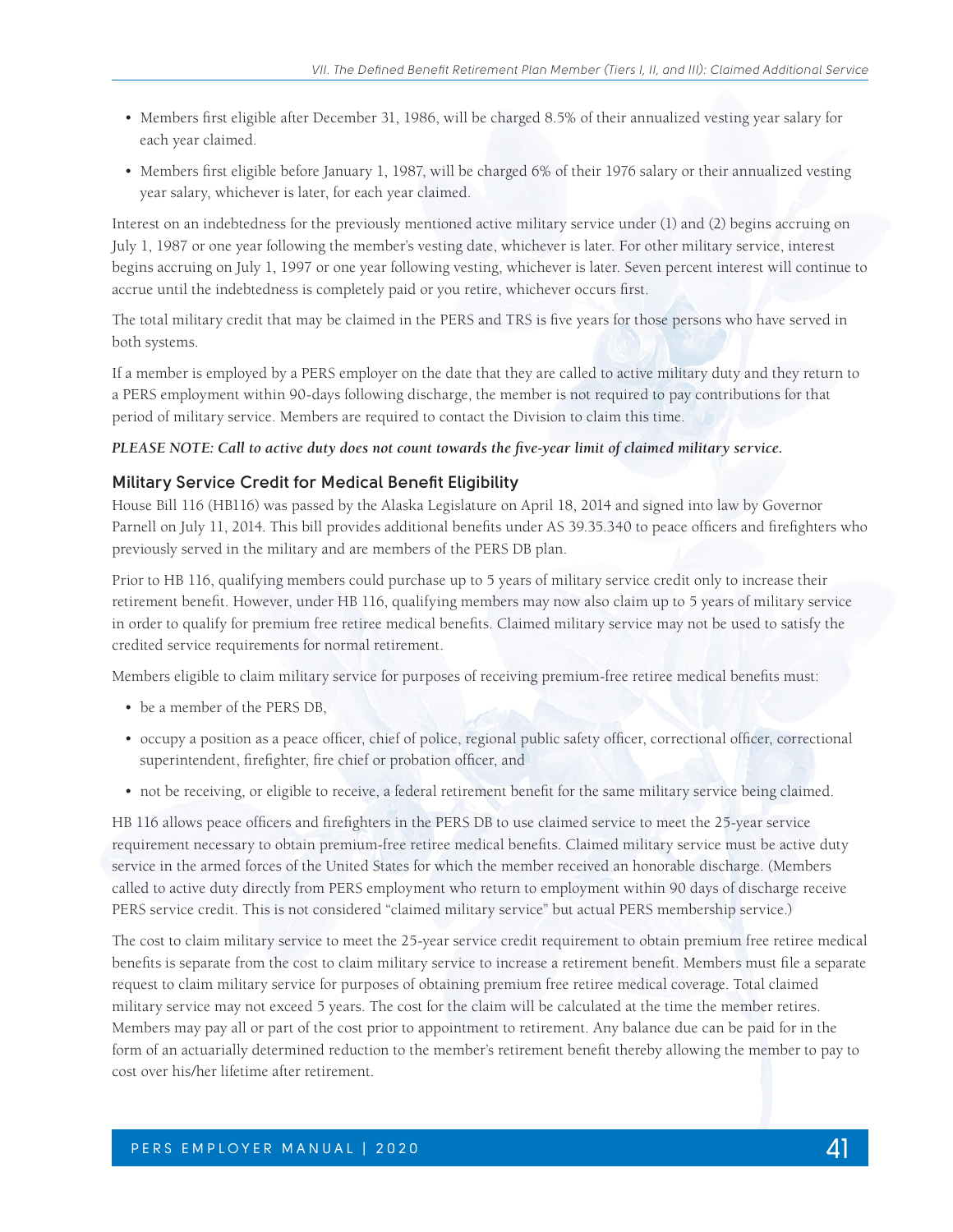- Members first eligible after December 31, 1986, will be charged 8.5% of their annualized vesting year salary for each year claimed.
- Members first eligible before January 1, 1987, will be charged 6% of their 1976 salary or their annualized vesting year salary, whichever is later, for each year claimed.

Interest on an indebtedness for the previously mentioned active military service under (1) and (2) begins accruing on July 1, 1987 or one year following the member's vesting date, whichever is later. For other military service, interest begins accruing on July 1, 1997 or one year following vesting, whichever is later. Seven percent interest will continue to accrue until the indebtedness is completely paid or you retire, whichever occurs first.

The total military credit that may be claimed in the PERS and TRS is five years for those persons who have served in both systems.

If a member is employed by a PERS employer on the date that they are called to active military duty and they return to a PERS employment within 90-days following discharge, the member is not required to pay contributions for that period of military service. Members are required to contact the Division to claim this time.

#### *PLEASE NOTE: Call to active duty does not count towards the five-year limit of claimed military service.*

#### **Military Service Credit for Medical Benefit Eligibility**

House Bill 116 (HB116) was passed by the Alaska Legislature on April 18, 2014 and signed into law by Governor Parnell on July 11, 2014. This bill provides additional benefits under AS 39.35.340 to peace officers and firefighters who previously served in the military and are members of the PERS DB plan.

Prior to HB 116, qualifying members could purchase up to 5 years of military service credit only to increase their retirement benefit. However, under HB 116, qualifying members may now also claim up to 5 years of military service in order to qualify for premium free retiree medical benefits. Claimed military service may not be used to satisfy the credited service requirements for normal retirement.

Members eligible to claim military service for purposes of receiving premium-free retiree medical benefits must:

- be a member of the PERS DB,
- occupy a position as a peace officer, chief of police, regional public safety officer, correctional officer, correctional superintendent, firefighter, fire chief or probation officer, and
- not be receiving, or eligible to receive, a federal retirement benefit for the same military service being claimed.

HB 116 allows peace officers and firefighters in the PERS DB to use claimed service to meet the 25-year service requirement necessary to obtain premium-free retiree medical benefits. Claimed military service must be active duty service in the armed forces of the United States for which the member received an honorable discharge. (Members called to active duty directly from PERS employment who return to employment within 90 days of discharge receive PERS service credit. This is not considered "claimed military service" but actual PERS membership service.)

The cost to claim military service to meet the 25-year service credit requirement to obtain premium free retiree medical benefits is separate from the cost to claim military service to increase a retirement benefit. Members must file a separate request to claim military service for purposes of obtaining premium free retiree medical coverage. Total claimed military service may not exceed 5 years. The cost for the claim will be calculated at the time the member retires. Members may pay all or part of the cost prior to appointment to retirement. Any balance due can be paid for in the form of an actuarially determined reduction to the member's retirement benefit thereby allowing the member to pay to cost over his/her lifetime after retirement.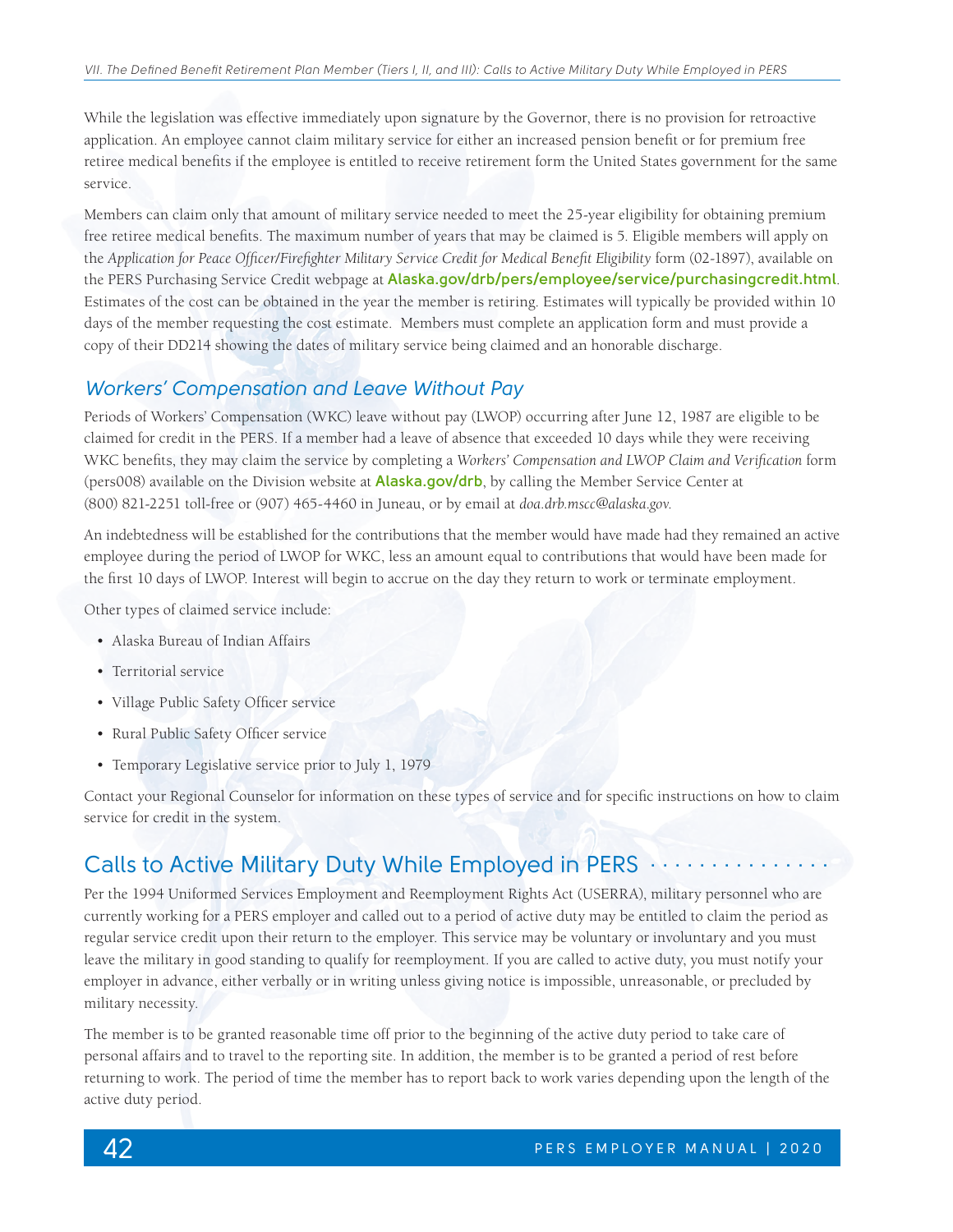While the legislation was effective immediately upon signature by the Governor, there is no provision for retroactive application. An employee cannot claim military service for either an increased pension benefit or for premium free retiree medical benefits if the employee is entitled to receive retirement form the United States government for the same service.

Members can claim only that amount of military service needed to meet the 25-year eligibility for obtaining premium free retiree medical benefits. The maximum number of years that may be claimed is 5. Eligible members will apply on the *Application for Peace Officer/Firefighter Military Service Credit for Medical Benefit Eligibility* form (02-1897), available on the PERS Purchasing Service Credit webpage at **Alaska.gov/drb/pers/employee/service/purchasingcredit.html**. Estimates of the cost can be obtained in the year the member is retiring. Estimates will typically be provided within 10 days of the member requesting the cost estimate. Members must complete an application form and must provide a copy of their DD214 showing the dates of military service being claimed and an honorable discharge.

## *Workers' Compensation and Leave Without Pay*

Periods of Workers' Compensation (WKC) leave without pay (LWOP) occurring after June 12, 1987 are eligible to be claimed for credit in the PERS. If a member had a leave of absence that exceeded 10 days while they were receiving WKC benefits, they may claim the service by completing a *Workers' Compensation and LWOP Claim and Verification* form (pers008) available on the Division website at **Alaska.gov/drb**, by calling the Member Service Center at (800) 821-2251 toll-free or (907) 465-4460 in Juneau, or by email at *doa.drb.mscc@alaska.gov*.

An indebtedness will be established for the contributions that the member would have made had they remained an active employee during the period of LWOP for WKC, less an amount equal to contributions that would have been made for the first 10 days of LWOP. Interest will begin to accrue on the day they return to work or terminate employment.

Other types of claimed service include:

- Alaska Bureau of Indian Affairs
- Territorial service
- Village Public Safety Officer service
- Rural Public Safety Officer service
- Temporary Legislative service prior to July 1, 1979

Contact your Regional Counselor for information on these types of service and for specific instructions on how to claim service for credit in the system.

## Calls to Active Military Duty While Employed in PERS  $\dots$

Per the 1994 Uniformed Services Employment and Reemployment Rights Act (USERRA), military personnel who are currently working for a PERS employer and called out to a period of active duty may be entitled to claim the period as regular service credit upon their return to the employer. This service may be voluntary or involuntary and you must leave the military in good standing to qualify for reemployment. If you are called to active duty, you must notify your employer in advance, either verbally or in writing unless giving notice is impossible, unreasonable, or precluded by military necessity.

The member is to be granted reasonable time off prior to the beginning of the active duty period to take care of personal affairs and to travel to the reporting site. In addition, the member is to be granted a period of rest before returning to work. The period of time the member has to report back to work varies depending upon the length of the active duty period.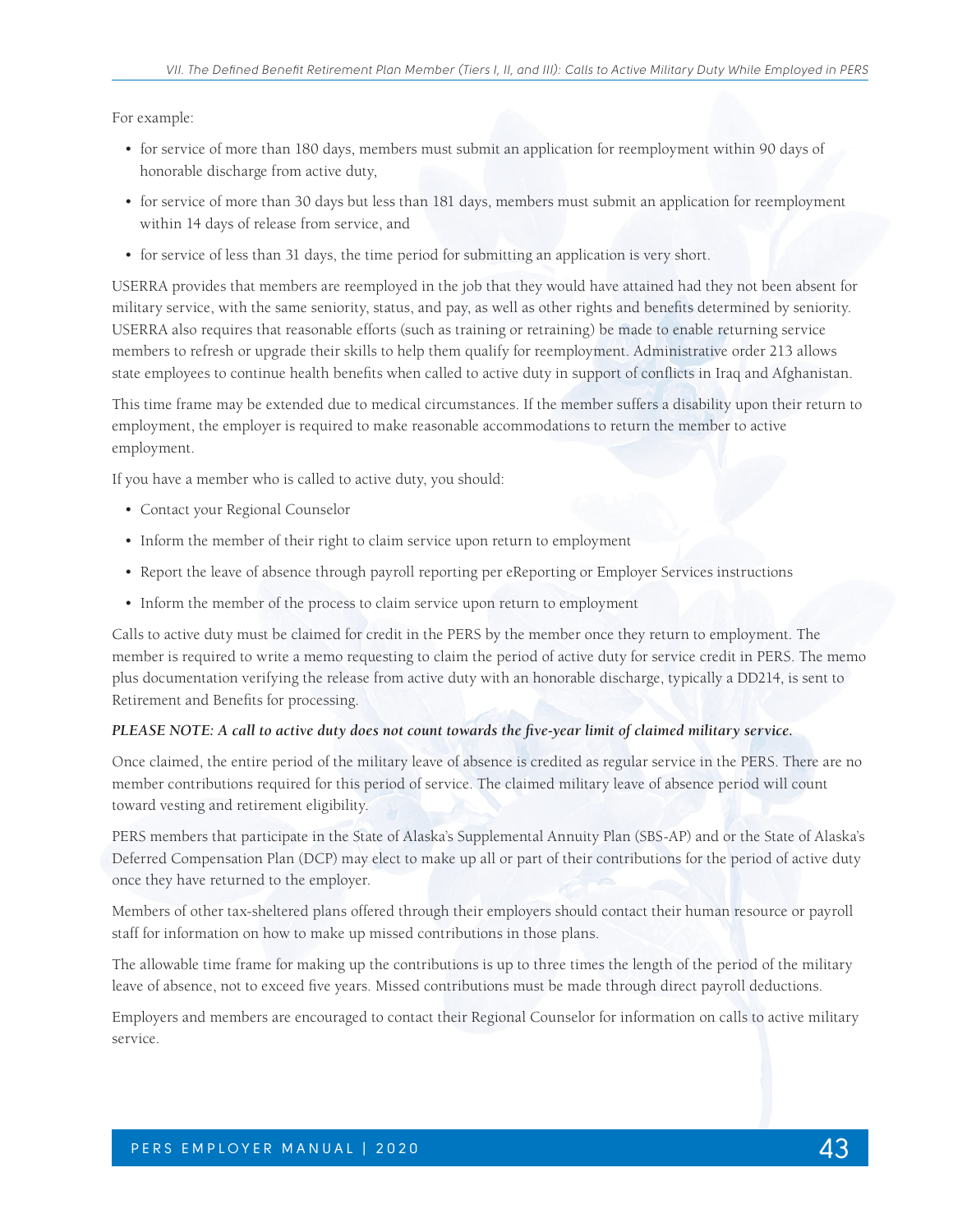For example:

- for service of more than 180 days, members must submit an application for reemployment within 90 days of honorable discharge from active duty,
- for service of more than 30 days but less than 181 days, members must submit an application for reemployment within 14 days of release from service, and
- for service of less than 31 days, the time period for submitting an application is very short.

USERRA provides that members are reemployed in the job that they would have attained had they not been absent for military service, with the same seniority, status, and pay, as well as other rights and benefits determined by seniority. USERRA also requires that reasonable efforts (such as training or retraining) be made to enable returning service members to refresh or upgrade their skills to help them qualify for reemployment. Administrative order 213 allows state employees to continue health benefits when called to active duty in support of conflicts in Iraq and Afghanistan.

This time frame may be extended due to medical circumstances. If the member suffers a disability upon their return to employment, the employer is required to make reasonable accommodations to return the member to active employment.

If you have a member who is called to active duty, you should:

- Contact your Regional Counselor
- Inform the member of their right to claim service upon return to employment
- Report the leave of absence through payroll reporting per eReporting or Employer Services instructions
- Inform the member of the process to claim service upon return to employment

Calls to active duty must be claimed for credit in the PERS by the member once they return to employment. The member is required to write a memo requesting to claim the period of active duty for service credit in PERS. The memo plus documentation verifying the release from active duty with an honorable discharge, typically a DD214, is sent to Retirement and Benefits for processing.

#### *PLEASE NOTE: A call to active duty does not count towards the five-year limit of claimed military service.*

Once claimed, the entire period of the military leave of absence is credited as regular service in the PERS. There are no member contributions required for this period of service. The claimed military leave of absence period will count toward vesting and retirement eligibility.

PERS members that participate in the State of Alaska's Supplemental Annuity Plan (SBS-AP) and or the State of Alaska's Deferred Compensation Plan (DCP) may elect to make up all or part of their contributions for the period of active duty once they have returned to the employer.

Members of other tax-sheltered plans offered through their employers should contact their human resource or payroll staff for information on how to make up missed contributions in those plans.

The allowable time frame for making up the contributions is up to three times the length of the period of the military leave of absence, not to exceed five years. Missed contributions must be made through direct payroll deductions.

Employers and members are encouraged to contact their Regional Counselor for information on calls to active military service.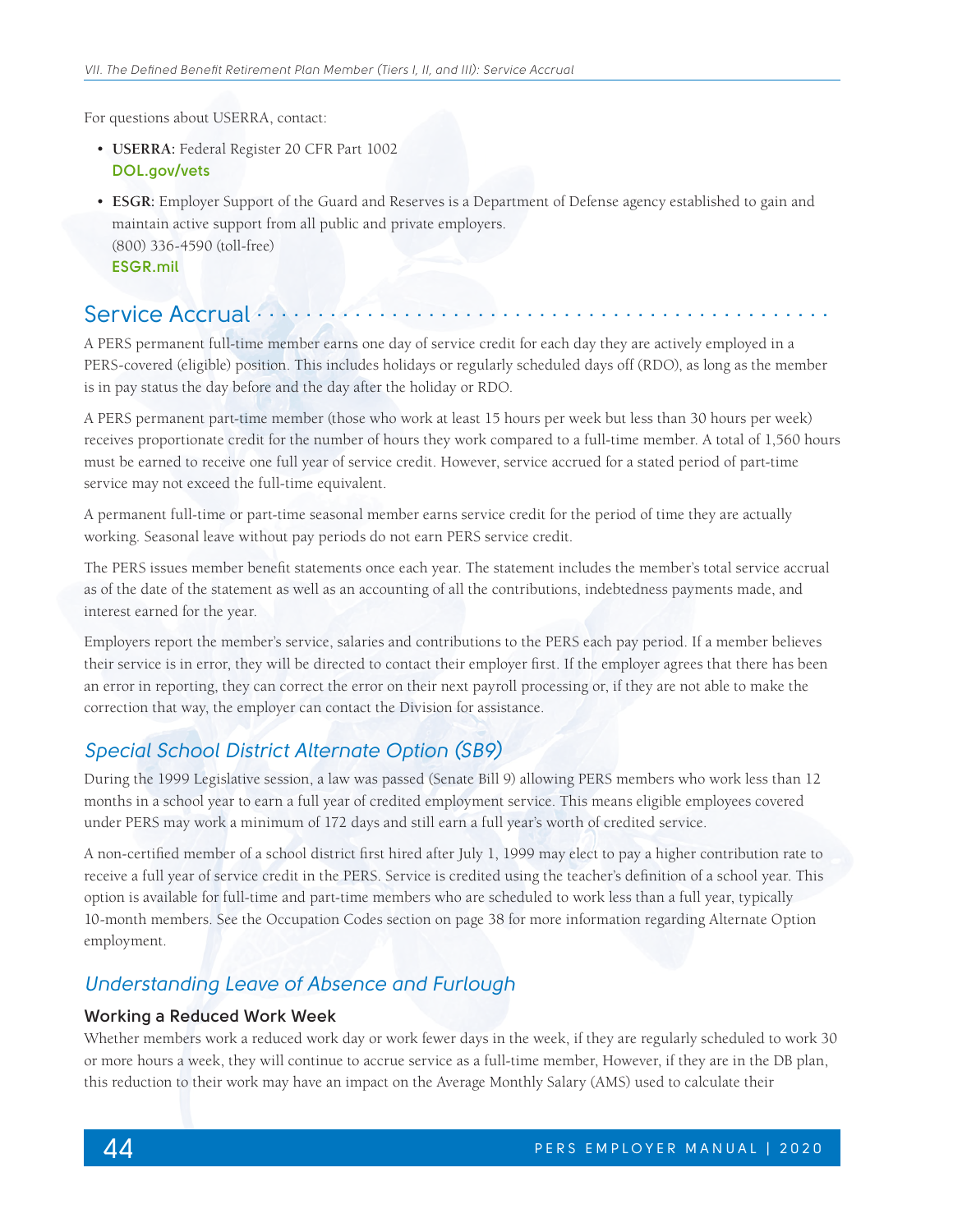For questions about USERRA, contact:

- **USERRA:** Federal Register 20 CFR Part 1002 **DOL.gov/vets**
- **ESGR:** Employer Support of the Guard and Reserves is a Department of Defense agency established to gain and maintain active support from all public and private employers. (800) 336-4590 (toll-free) **ESGR.mil**

## Service Accrual  $\cdots$

A PERS permanent full-time member earns one day of service credit for each day they are actively employed in a PERS-covered (eligible) position. This includes holidays or regularly scheduled days off (RDO), as long as the member is in pay status the day before and the day after the holiday or RDO.

A PERS permanent part-time member (those who work at least 15 hours per week but less than 30 hours per week) receives proportionate credit for the number of hours they work compared to a full-time member. A total of 1,560 hours must be earned to receive one full year of service credit. However, service accrued for a stated period of part-time service may not exceed the full-time equivalent.

A permanent full-time or part-time seasonal member earns service credit for the period of time they are actually working. Seasonal leave without pay periods do not earn PERS service credit.

The PERS issues member benefit statements once each year. The statement includes the member's total service accrual as of the date of the statement as well as an accounting of all the contributions, indebtedness payments made, and interest earned for the year.

Employers report the member's service, salaries and contributions to the PERS each pay period. If a member believes their service is in error, they will be directed to contact their employer first. If the employer agrees that there has been an error in reporting, they can correct the error on their next payroll processing or, if they are not able to make the correction that way, the employer can contact the Division for assistance.

## *Special School District Alternate Option (SB9)*

During the 1999 Legislative session, a law was passed (Senate Bill 9) allowing PERS members who work less than 12 months in a school year to earn a full year of credited employment service. This means eligible employees covered under PERS may work a minimum of 172 days and still earn a full year's worth of credited service.

A non-certified member of a school district first hired after July 1, 1999 may elect to pay a higher contribution rate to receive a full year of service credit in the PERS. Service is credited using the teacher's definition of a school year. This option is available for full-time and part-time members who are scheduled to work less than a full year, typically 10-month members. See the Occupation Codes section on page 38 for more information regarding Alternate Option employment.

## *Understanding Leave of Absence and Furlough*

#### **Working a Reduced Work Week**

Whether members work a reduced work day or work fewer days in the week, if they are regularly scheduled to work 30 or more hours a week, they will continue to accrue service as a full-time member, However, if they are in the DB plan, this reduction to their work may have an impact on the Average Monthly Salary (AMS) used to calculate their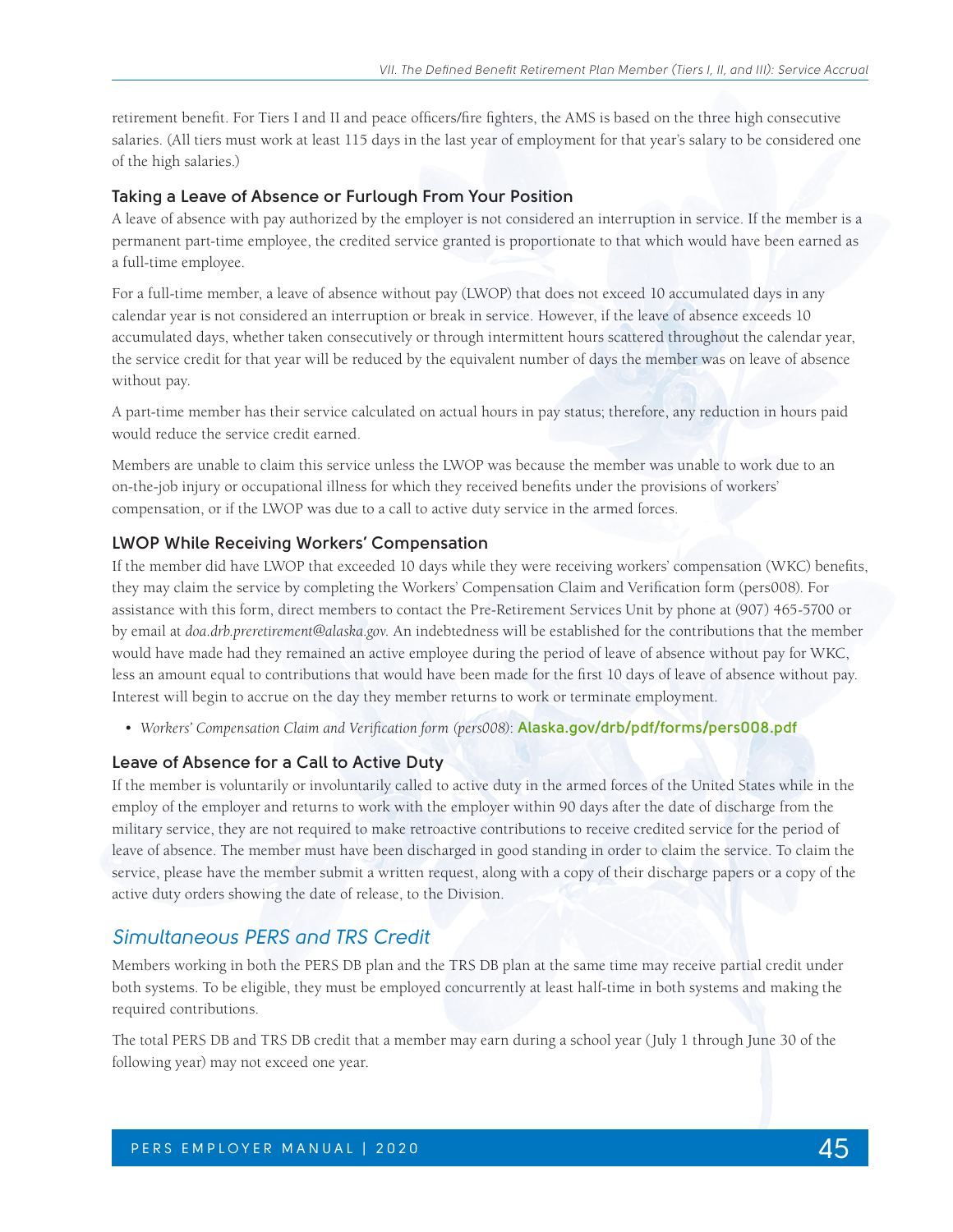retirement benefit. For Tiers I and II and peace officers/fire fighters, the AMS is based on the three high consecutive salaries. (All tiers must work at least 115 days in the last year of employment for that year's salary to be considered one of the high salaries.)

#### **Taking a Leave of Absence or Furlough From Your Position**

A leave of absence with pay authorized by the employer is not considered an interruption in service. If the member is a permanent part-time employee, the credited service granted is proportionate to that which would have been earned as a full-time employee.

For a full-time member, a leave of absence without pay (LWOP) that does not exceed 10 accumulated days in any calendar year is not considered an interruption or break in service. However, if the leave of absence exceeds 10 accumulated days, whether taken consecutively or through intermittent hours scattered throughout the calendar year, the service credit for that year will be reduced by the equivalent number of days the member was on leave of absence without pay.

A part-time member has their service calculated on actual hours in pay status; therefore, any reduction in hours paid would reduce the service credit earned.

Members are unable to claim this service unless the LWOP was because the member was unable to work due to an on-the-job injury or occupational illness for which they received benefits under the provisions of workers' compensation, or if the LWOP was due to a call to active duty service in the armed forces.

#### **LWOP While Receiving Workers' Compensation**

If the member did have LWOP that exceeded 10 days while they were receiving workers' compensation (WKC) benefits, they may claim the service by completing the Workers' Compensation Claim and Verification form (pers008). For assistance with this form, direct members to contact the Pre-Retirement Services Unit by phone at (907) 465-5700 or by email at *doa.drb.preretirement@alaska.gov.* An indebtedness will be established for the contributions that the member would have made had they remained an active employee during the period of leave of absence without pay for WKC, less an amount equal to contributions that would have been made for the first 10 days of leave of absence without pay. Interest will begin to accrue on the day they member returns to work or terminate employment.

• *Workers' Compensation Claim and Verification form (pers008)*: **Alaska.gov/drb/pdf/forms/pers008.pdf**

#### **Leave of Absence for a Call to Active Duty**

If the member is voluntarily or involuntarily called to active duty in the armed forces of the United States while in the employ of the employer and returns to work with the employer within 90 days after the date of discharge from the military service, they are not required to make retroactive contributions to receive credited service for the period of leave of absence. The member must have been discharged in good standing in order to claim the service. To claim the service, please have the member submit a written request, along with a copy of their discharge papers or a copy of the active duty orders showing the date of release, to the Division.

#### *Simultaneous PERS and TRS Credit*

Members working in both the PERS DB plan and the TRS DB plan at the same time may receive partial credit under both systems. To be eligible, they must be employed concurrently at least half-time in both systems and making the required contributions.

The total PERS DB and TRS DB credit that a member may earn during a school year (July 1 through June 30 of the following year) may not exceed one year.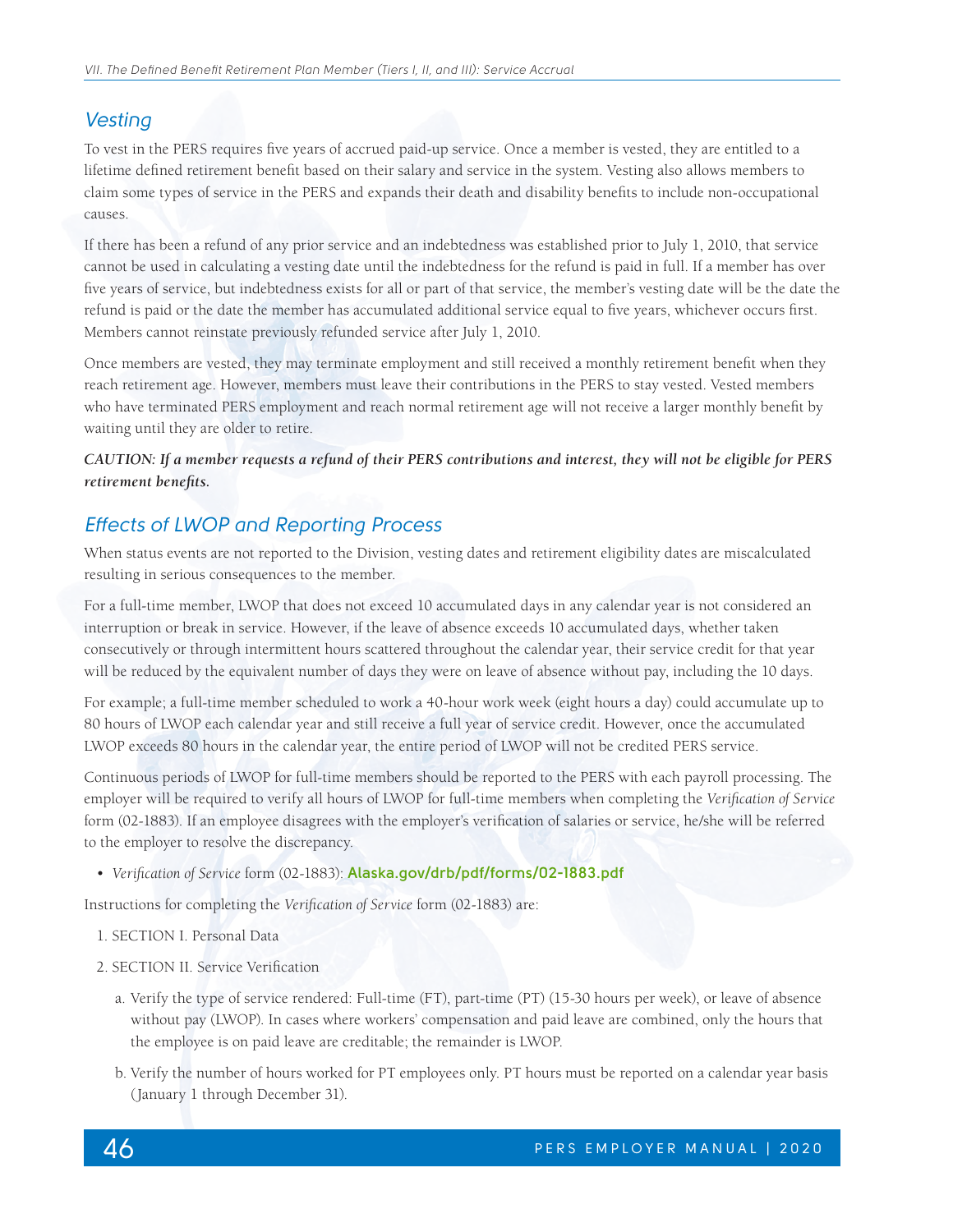#### *Vesting*

To vest in the PERS requires five years of accrued paid-up service. Once a member is vested, they are entitled to a lifetime defined retirement benefit based on their salary and service in the system. Vesting also allows members to claim some types of service in the PERS and expands their death and disability benefits to include non-occupational causes.

If there has been a refund of any prior service and an indebtedness was established prior to July 1, 2010, that service cannot be used in calculating a vesting date until the indebtedness for the refund is paid in full. If a member has over five years of service, but indebtedness exists for all or part of that service, the member's vesting date will be the date the refund is paid or the date the member has accumulated additional service equal to five years, whichever occurs first. Members cannot reinstate previously refunded service after July 1, 2010.

Once members are vested, they may terminate employment and still received a monthly retirement benefit when they reach retirement age. However, members must leave their contributions in the PERS to stay vested. Vested members who have terminated PERS employment and reach normal retirement age will not receive a larger monthly benefit by waiting until they are older to retire.

#### *CAUTION: If a member requests a refund of their PERS contributions and interest, they will not be eligible for PERS retirement benefits.*

## *Effects of LWOP and Reporting Process*

When status events are not reported to the Division, vesting dates and retirement eligibility dates are miscalculated resulting in serious consequences to the member.

For a full-time member, LWOP that does not exceed 10 accumulated days in any calendar year is not considered an interruption or break in service. However, if the leave of absence exceeds 10 accumulated days, whether taken consecutively or through intermittent hours scattered throughout the calendar year, their service credit for that year will be reduced by the equivalent number of days they were on leave of absence without pay, including the 10 days.

For example; a full-time member scheduled to work a 40-hour work week (eight hours a day) could accumulate up to 80 hours of LWOP each calendar year and still receive a full year of service credit. However, once the accumulated LWOP exceeds 80 hours in the calendar year, the entire period of LWOP will not be credited PERS service.

Continuous periods of LWOP for full-time members should be reported to the PERS with each payroll processing. The employer will be required to verify all hours of LWOP for full-time members when completing the *Verification of Service* form (02-1883). If an employee disagrees with the employer's verification of salaries or service, he/she will be referred to the employer to resolve the discrepancy.

• *Verification of Service* form (02-1883): **Alaska.gov/drb/pdf/forms/02-1883.pdf**

Instructions for completing the *Verification of Service* form (02-1883) are:

- 1. SECTION I. Personal Data
- 2. SECTION II. Service Verification
	- a. Verify the type of service rendered: Full-time (FT), part-time (PT) (15-30 hours per week), or leave of absence without pay (LWOP). In cases where workers' compensation and paid leave are combined, only the hours that the employee is on paid leave are creditable; the remainder is LWOP.
	- b. Verify the number of hours worked for PT employees only. PT hours must be reported on a calendar year basis (January 1 through December 31).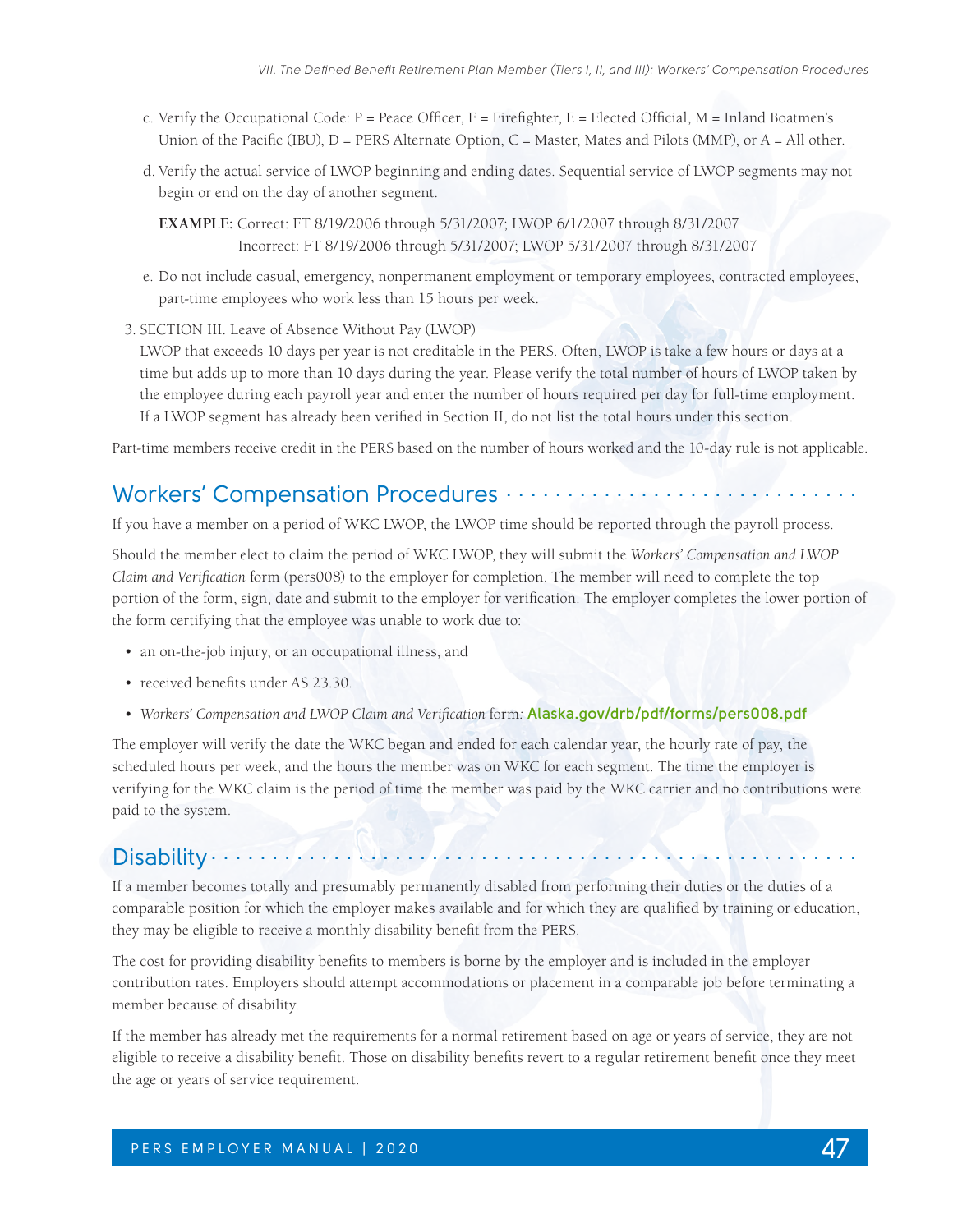- c. Verify the Occupational Code:  $P = Peace$  Officer,  $F = Firefigure$ ,  $E = Elected$  Official,  $M = Inland$  Boatmen's Union of the Pacific (IBU),  $D = PERS$  Alternate Option,  $C = Master$ , Mates and Pilots (MMP), or  $A = All$  other.
- d. Verify the actual service of LWOP beginning and ending dates. Sequential service of LWOP segments may not begin or end on the day of another segment.

**EXAMPLE:** Correct: FT 8/19/2006 through 5/31/2007; LWOP 6/1/2007 through 8/31/2007 Incorrect: FT 8/19/2006 through 5/31/2007; LWOP 5/31/2007 through 8/31/2007

- e. Do not include casual, emergency, nonpermanent employment or temporary employees, contracted employees, part-time employees who work less than 15 hours per week.
- 3. SECTION III. Leave of Absence Without Pay (LWOP)

LWOP that exceeds 10 days per year is not creditable in the PERS. Often, LWOP is take a few hours or days at a time but adds up to more than 10 days during the year. Please verify the total number of hours of LWOP taken by the employee during each payroll year and enter the number of hours required per day for full-time employment. If a LWOP segment has already been verified in Section II, do not list the total hours under this section.

Part-time members receive credit in the PERS based on the number of hours worked and the 10-day rule is not applicable.

## Workers' Compensation Procedures  $\cdots$   $\cdots$   $\cdots$   $\cdots$   $\cdots$   $\cdots$   $\cdots$

If you have a member on a period of WKC LWOP, the LWOP time should be reported through the payroll process.

Should the member elect to claim the period of WKC LWOP, they will submit the *Workers' Compensation and LWOP Claim and Verification* form (pers008) to the employer for completion. The member will need to complete the top portion of the form, sign, date and submit to the employer for verification. The employer completes the lower portion of the form certifying that the employee was unable to work due to:

- an on-the-job injury, or an occupational illness, and
- received benefits under AS 23.30.
- *[Workers' Compensation and LWOP Claim and Verification](http://doa.alaska.gov/drb/forms/pdf/pers008.pdf)* form*:* **Alaska.gov/drb/pdf/forms/pers008.pdf**

The employer will verify the date the WKC began and ended for each calendar year, the hourly rate of pay, the scheduled hours per week, and the hours the member was on WKC for each segment. The time the employer is verifying for the WKC claim is the period of time the member was paid by the WKC carrier and no contributions were paid to the system.

#### Disability  $\cdots$   $\cdots$   $\cdots$   $\cdots$   $\cdots$

If a member becomes totally and presumably permanently disabled from performing their duties or the duties of a comparable position for which the employer makes available and for which they are qualified by training or education, they may be eligible to receive a monthly disability benefit from the PERS.

The cost for providing disability benefits to members is borne by the employer and is included in the employer contribution rates. Employers should attempt accommodations or placement in a comparable job before terminating a member because of disability.

If the member has already met the requirements for a normal retirement based on age or years of service, they are not eligible to receive a disability benefit. Those on disability benefits revert to a regular retirement benefit once they meet the age or years of service requirement.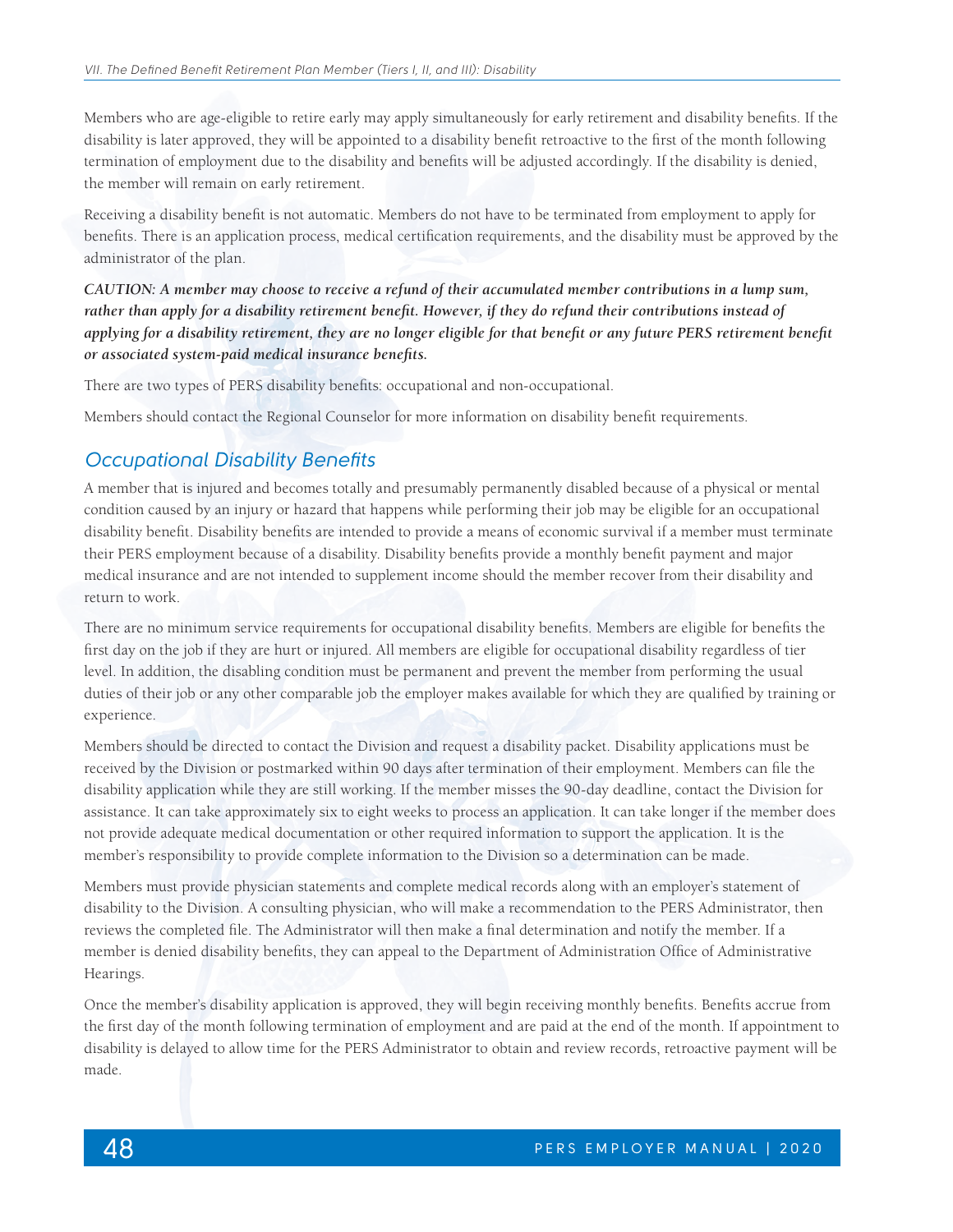Members who are age-eligible to retire early may apply simultaneously for early retirement and disability benefits. If the disability is later approved, they will be appointed to a disability benefit retroactive to the first of the month following termination of employment due to the disability and benefits will be adjusted accordingly. If the disability is denied, the member will remain on early retirement.

Receiving a disability benefit is not automatic. Members do not have to be terminated from employment to apply for benefits. There is an application process, medical certification requirements, and the disability must be approved by the administrator of the plan.

#### *CAUTION: A member may choose to receive a refund of their accumulated member contributions in a lump sum,*  rather than apply for a disability retirement benefit. However, if they do refund their contributions instead of *applying for a disability retirement, they are no longer eligible for that benefit or any future PERS retirement benefit or associated system-paid medical insurance benefits.*

There are two types of PERS disability benefits: occupational and non-occupational.

Members should contact the Regional Counselor for more information on disability benefit requirements.

## *Occupational Disability Benefits*

A member that is injured and becomes totally and presumably permanently disabled because of a physical or mental condition caused by an injury or hazard that happens while performing their job may be eligible for an occupational disability benefit. Disability benefits are intended to provide a means of economic survival if a member must terminate their PERS employment because of a disability. Disability benefits provide a monthly benefit payment and major medical insurance and are not intended to supplement income should the member recover from their disability and return to work.

There are no minimum service requirements for occupational disability benefits. Members are eligible for benefits the first day on the job if they are hurt or injured. All members are eligible for occupational disability regardless of tier level. In addition, the disabling condition must be permanent and prevent the member from performing the usual duties of their job or any other comparable job the employer makes available for which they are qualified by training or experience.

Members should be directed to contact the Division and request a disability packet. Disability applications must be received by the Division or postmarked within 90 days after termination of their employment. Members can file the disability application while they are still working. If the member misses the 90-day deadline, contact the Division for assistance. It can take approximately six to eight weeks to process an application. It can take longer if the member does not provide adequate medical documentation or other required information to support the application. It is the member's responsibility to provide complete information to the Division so a determination can be made.

Members must provide physician statements and complete medical records along with an employer's statement of disability to the Division. A consulting physician, who will make a recommendation to the PERS Administrator, then reviews the completed file. The Administrator will then make a final determination and notify the member. If a member is denied disability benefits, they can appeal to the Department of Administration Office of Administrative Hearings.

Once the member's disability application is approved, they will begin receiving monthly benefits. Benefits accrue from the first day of the month following termination of employment and are paid at the end of the month. If appointment to disability is delayed to allow time for the PERS Administrator to obtain and review records, retroactive payment will be made.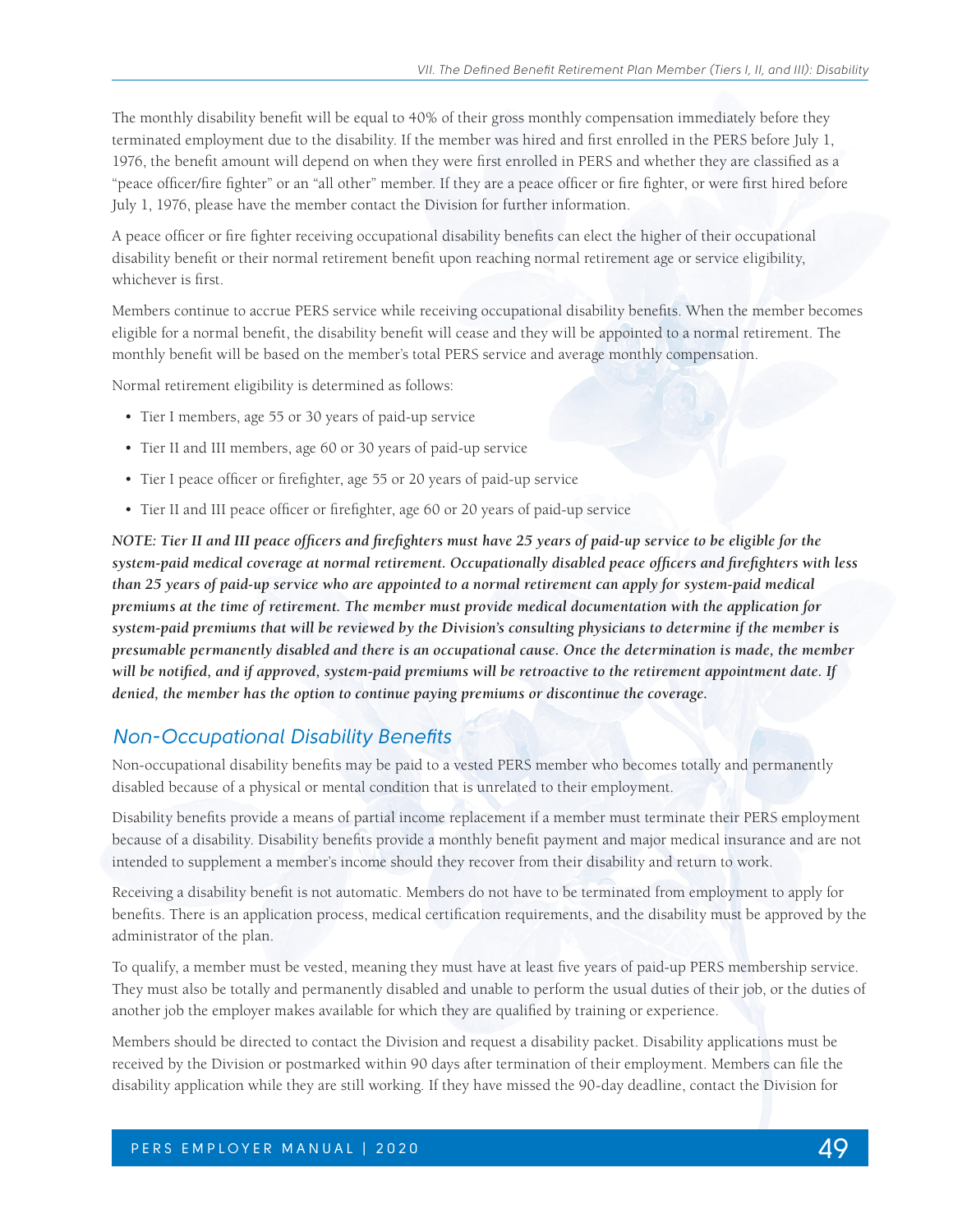The monthly disability benefit will be equal to 40% of their gross monthly compensation immediately before they terminated employment due to the disability. If the member was hired and first enrolled in the PERS before July 1, 1976, the benefit amount will depend on when they were first enrolled in PERS and whether they are classified as a "peace officer/fire fighter" or an "all other" member. If they are a peace officer or fire fighter, or were first hired before July 1, 1976, please have the member contact the Division for further information.

A peace officer or fire fighter receiving occupational disability benefits can elect the higher of their occupational disability benefit or their normal retirement benefit upon reaching normal retirement age or service eligibility, whichever is first.

Members continue to accrue PERS service while receiving occupational disability benefits. When the member becomes eligible for a normal benefit, the disability benefit will cease and they will be appointed to a normal retirement. The monthly benefit will be based on the member's total PERS service and average monthly compensation.

Normal retirement eligibility is determined as follows:

- Tier I members, age 55 or 30 years of paid-up service
- Tier II and III members, age 60 or 30 years of paid-up service
- Tier I peace officer or firefighter, age 55 or 20 years of paid-up service
- Tier II and III peace officer or firefighter, age 60 or 20 years of paid-up service

*NOTE: Tier II and III peace officers and firefighters must have 25 years of paid-up service to be eligible for the system-paid medical coverage at normal retirement. Occupationally disabled peace officers and firefighters with less than 25 years of paid-up service who are appointed to a normal retirement can apply for system-paid medical premiums at the time of retirement. The member must provide medical documentation with the application for system-paid premiums that will be reviewed by the Division's consulting physicians to determine if the member is presumable permanently disabled and there is an occupational cause. Once the determination is made, the member will be notified, and if approved, system-paid premiums will be retroactive to the retirement appointment date. If denied, the member has the option to continue paying premiums or discontinue the coverage.* 

## *Non-Occupational Disability Benefits*

Non-occupational disability benefits may be paid to a vested PERS member who becomes totally and permanently disabled because of a physical or mental condition that is unrelated to their employment.

Disability benefits provide a means of partial income replacement if a member must terminate their PERS employment because of a disability. Disability benefits provide a monthly benefit payment and major medical insurance and are not intended to supplement a member's income should they recover from their disability and return to work.

Receiving a disability benefit is not automatic. Members do not have to be terminated from employment to apply for benefits. There is an application process, medical certification requirements, and the disability must be approved by the administrator of the plan.

To qualify, a member must be vested, meaning they must have at least five years of paid-up PERS membership service. They must also be totally and permanently disabled and unable to perform the usual duties of their job, or the duties of another job the employer makes available for which they are qualified by training or experience.

Members should be directed to contact the Division and request a disability packet. Disability applications must be received by the Division or postmarked within 90 days after termination of their employment. Members can file the disability application while they are still working. If they have missed the 90-day deadline, contact the Division for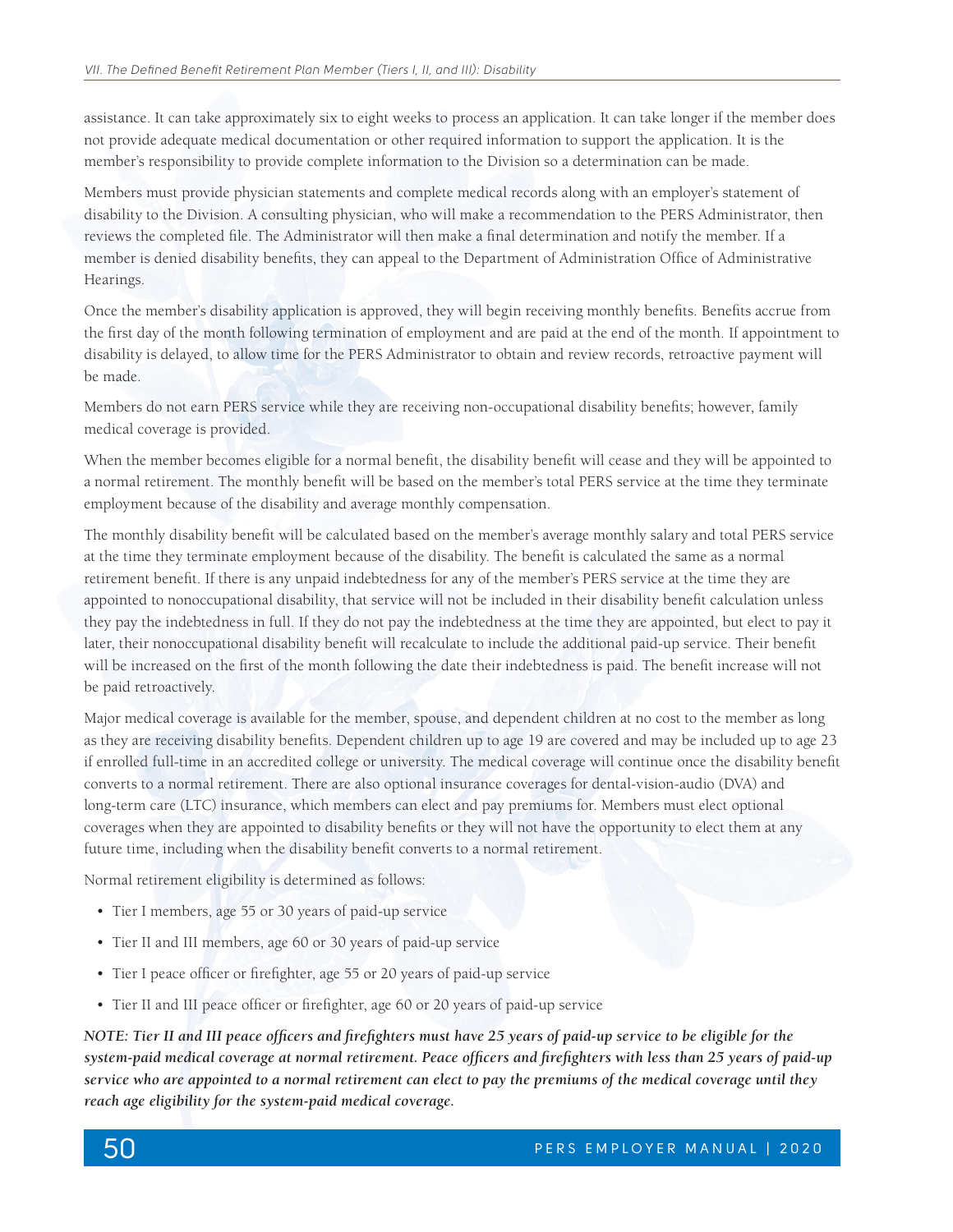assistance. It can take approximately six to eight weeks to process an application. It can take longer if the member does not provide adequate medical documentation or other required information to support the application. It is the member's responsibility to provide complete information to the Division so a determination can be made.

Members must provide physician statements and complete medical records along with an employer's statement of disability to the Division. A consulting physician, who will make a recommendation to the PERS Administrator, then reviews the completed file. The Administrator will then make a final determination and notify the member. If a member is denied disability benefits, they can appeal to the Department of Administration Office of Administrative Hearings.

Once the member's disability application is approved, they will begin receiving monthly benefits. Benefits accrue from the first day of the month following termination of employment and are paid at the end of the month. If appointment to disability is delayed, to allow time for the PERS Administrator to obtain and review records, retroactive payment will be made.

Members do not earn PERS service while they are receiving non-occupational disability benefits; however, family medical coverage is provided.

When the member becomes eligible for a normal benefit, the disability benefit will cease and they will be appointed to a normal retirement. The monthly benefit will be based on the member's total PERS service at the time they terminate employment because of the disability and average monthly compensation.

The monthly disability benefit will be calculated based on the member's average monthly salary and total PERS service at the time they terminate employment because of the disability. The benefit is calculated the same as a normal retirement benefit. If there is any unpaid indebtedness for any of the member's PERS service at the time they are appointed to nonoccupational disability, that service will not be included in their disability benefit calculation unless they pay the indebtedness in full. If they do not pay the indebtedness at the time they are appointed, but elect to pay it later, their nonoccupational disability benefit will recalculate to include the additional paid-up service. Their benefit will be increased on the first of the month following the date their indebtedness is paid. The benefit increase will not be paid retroactively.

Major medical coverage is available for the member, spouse, and dependent children at no cost to the member as long as they are receiving disability benefits. Dependent children up to age 19 are covered and may be included up to age 23 if enrolled full-time in an accredited college or university. The medical coverage will continue once the disability benefit converts to a normal retirement. There are also optional insurance coverages for dental-vision-audio (DVA) and long-term care (LTC) insurance, which members can elect and pay premiums for. Members must elect optional coverages when they are appointed to disability benefits or they will not have the opportunity to elect them at any future time, including when the disability benefit converts to a normal retirement.

Normal retirement eligibility is determined as follows:

- Tier I members, age 55 or 30 years of paid-up service
- Tier II and III members, age 60 or 30 years of paid-up service
- Tier I peace officer or firefighter, age 55 or 20 years of paid-up service
- Tier II and III peace officer or firefighter, age 60 or 20 years of paid-up service

*NOTE: Tier II and III peace officers and firefighters must have 25 years of paid-up service to be eligible for the system-paid medical coverage at normal retirement. Peace officers and firefighters with less than 25 years of paid-up service who are appointed to a normal retirement can elect to pay the premiums of the medical coverage until they reach age eligibility for the system-paid medical coverage.*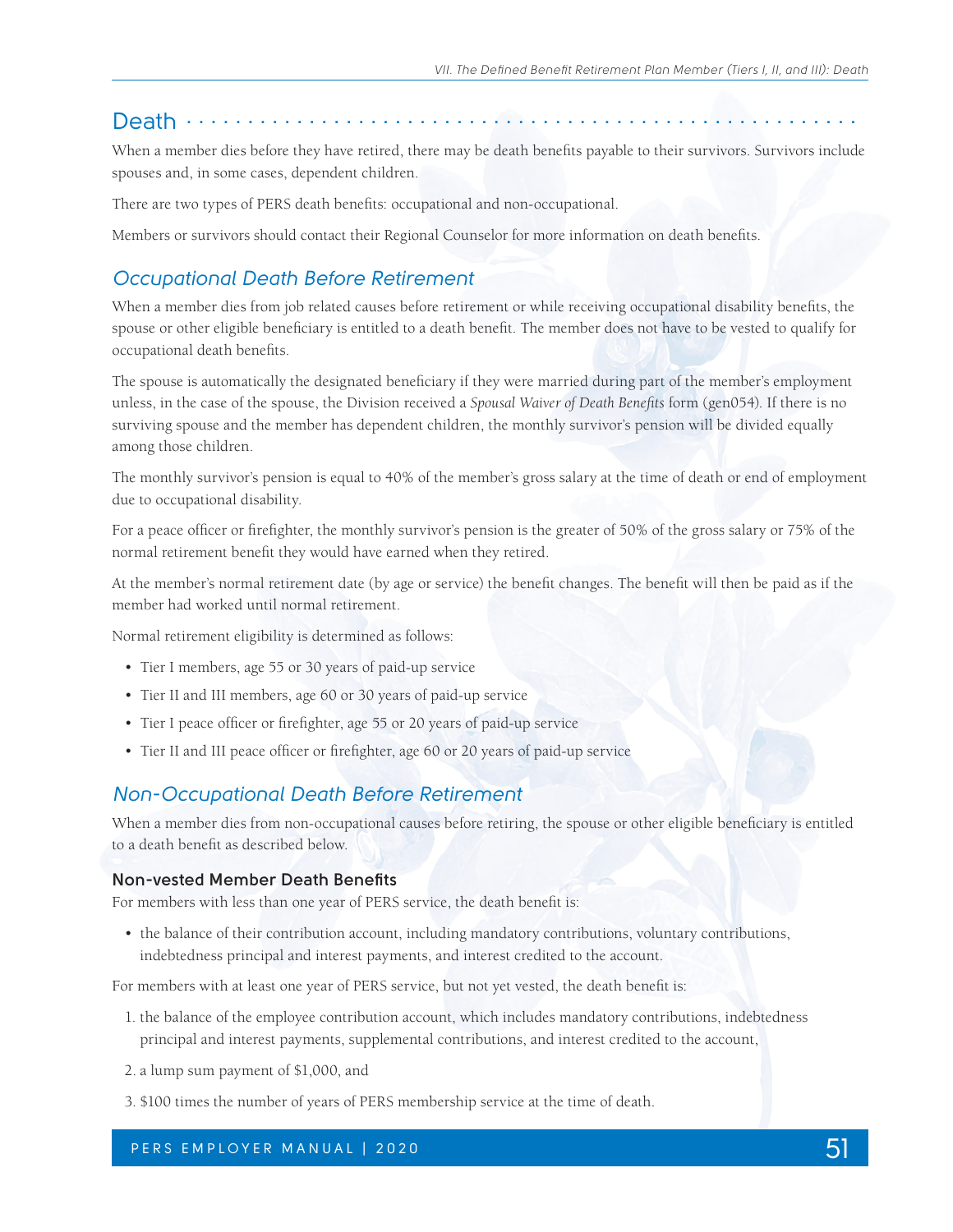#### $Death \cdot \cdot \cdot \cdot \cdot \cdot \cdot \cdot$

When a member dies before they have retired, there may be death benefits payable to their survivors. Survivors include spouses and, in some cases, dependent children.

There are two types of PERS death benefits: occupational and non-occupational.

Members or survivors should contact their Regional Counselor for more information on death benefits.

## *Occupational Death Before Retirement*

When a member dies from job related causes before retirement or while receiving occupational disability benefits, the spouse or other eligible beneficiary is entitled to a death benefit. The member does not have to be vested to qualify for occupational death benefits.

The spouse is automatically the designated beneficiary if they were married during part of the member's employment unless, in the case of the spouse, the Division received a *Spousal Waiver of Death Benefits* form (gen054). If there is no surviving spouse and the member has dependent children, the monthly survivor's pension will be divided equally among those children.

The monthly survivor's pension is equal to 40% of the member's gross salary at the time of death or end of employment due to occupational disability.

For a peace officer or firefighter, the monthly survivor's pension is the greater of 50% of the gross salary or 75% of the normal retirement benefit they would have earned when they retired.

At the member's normal retirement date (by age or service) the benefit changes. The benefit will then be paid as if the member had worked until normal retirement.

Normal retirement eligibility is determined as follows:

- Tier I members, age 55 or 30 years of paid-up service
- Tier II and III members, age 60 or 30 years of paid-up service
- Tier I peace officer or firefighter, age 55 or 20 years of paid-up service
- Tier II and III peace officer or firefighter, age 60 or 20 years of paid-up service

## *Non-Occupational Death Before Retirement*

When a member dies from non-occupational causes before retiring, the spouse or other eligible beneficiary is entitled to a death benefit as described below.

#### **Non-vested Member Death Benefits**

For members with less than one year of PERS service, the death benefit is:

• the balance of their contribution account, including mandatory contributions, voluntary contributions, indebtedness principal and interest payments, and interest credited to the account.

For members with at least one year of PERS service, but not yet vested, the death benefit is:

- 1. the balance of the employee contribution account, which includes mandatory contributions, indebtedness principal and interest payments, supplemental contributions, and interest credited to the account,
- 2. a lump sum payment of \$1,000, and
- 3. \$100 times the number of years of PERS membership service at the time of death.

#### PERS EMPLOYER MANUAL | 2020 **51 St 2020** 51 September 10 St 31 September 10 St 31 September 10 St 31 September 10 St 31 September 10 St 31 September 10 St 31 September 10 September 10 September 10 September 10 September 10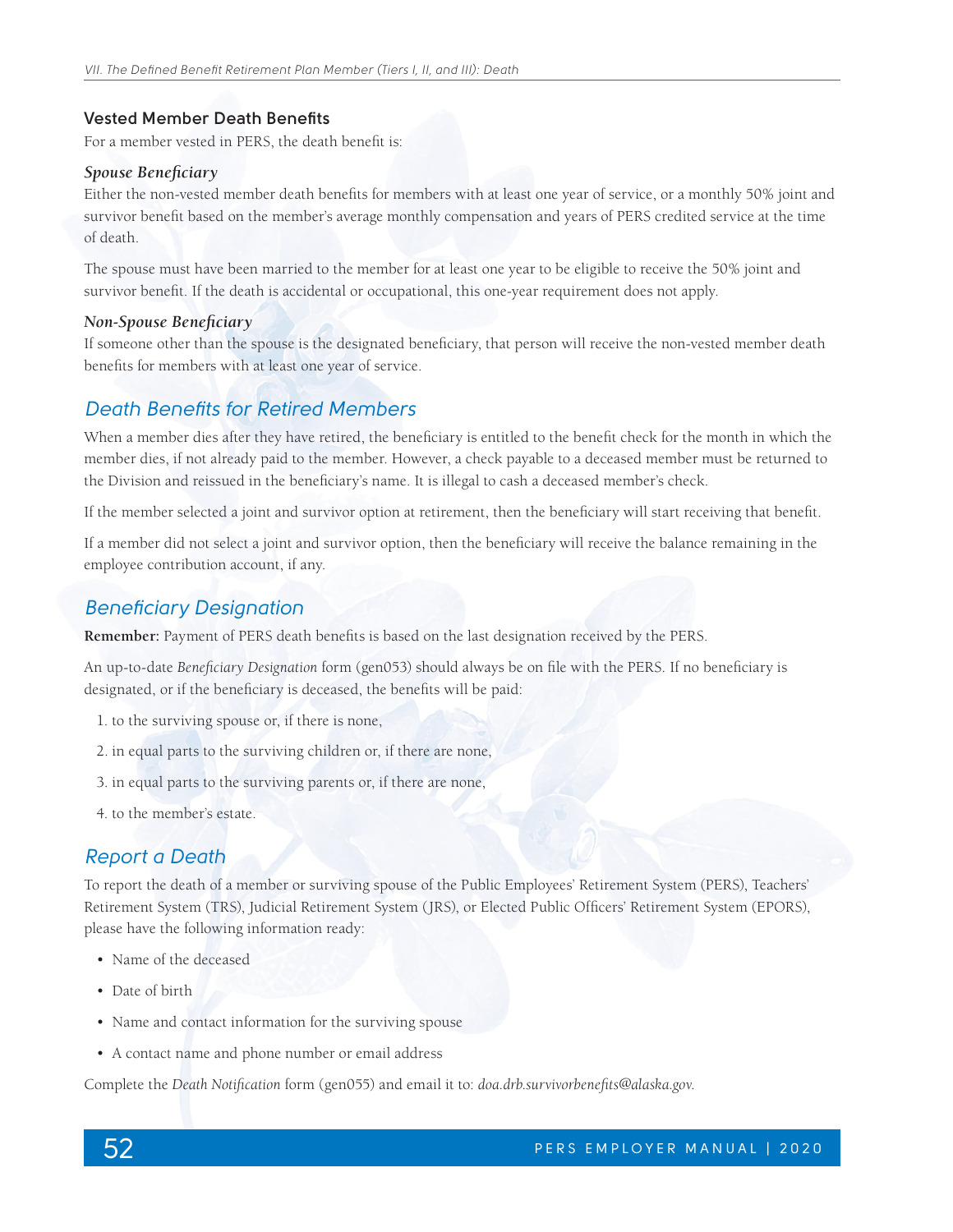#### **Vested Member Death Benefits**

For a member vested in PERS, the death benefit is:

#### *Spouse Beneficiary*

Either the non-vested member death benefits for members with at least one year of service, or a monthly 50% joint and survivor benefit based on the member's average monthly compensation and years of PERS credited service at the time of death.

The spouse must have been married to the member for at least one year to be eligible to receive the 50% joint and survivor benefit. If the death is accidental or occupational, this one-year requirement does not apply.

#### *Non-Spouse Beneficiary*

If someone other than the spouse is the designated beneficiary, that person will receive the non-vested member death benefits for members with at least one year of service.

#### *Death Benefits for Retired Members*

When a member dies after they have retired, the beneficiary is entitled to the benefit check for the month in which the member dies, if not already paid to the member. However, a check payable to a deceased member must be returned to the Division and reissued in the beneficiary's name. It is illegal to cash a deceased member's check.

If the member selected a joint and survivor option at retirement, then the beneficiary will start receiving that benefit.

If a member did not select a joint and survivor option, then the beneficiary will receive the balance remaining in the employee contribution account, if any.

#### *Beneficiary Designation*

**Remember:** Payment of PERS death benefits is based on the last designation received by the PERS.

An up-to-date *Beneficiary Designation* form (gen053) should always be on file with the PERS. If no beneficiary is designated, or if the beneficiary is deceased, the benefits will be paid:

- 1. to the surviving spouse or, if there is none,
- 2. in equal parts to the surviving children or, if there are none,
- 3. in equal parts to the surviving parents or, if there are none,
- 4. to the member's estate.

#### *Report a Death*

To report the death of a member or surviving spouse of the Public Employees' Retirement System (PERS), Teachers' Retirement System (TRS), Judicial Retirement System (JRS), or Elected Public Officers' Retirement System (EPORS), please have the following information ready:

- Name of the deceased
- Date of birth
- Name and contact information for the surviving spouse
- A contact name and phone number or email address

Complete the *Death Notification* form (gen055) and email it to: *doa.drb.survivorbenefits@alaska.gov*.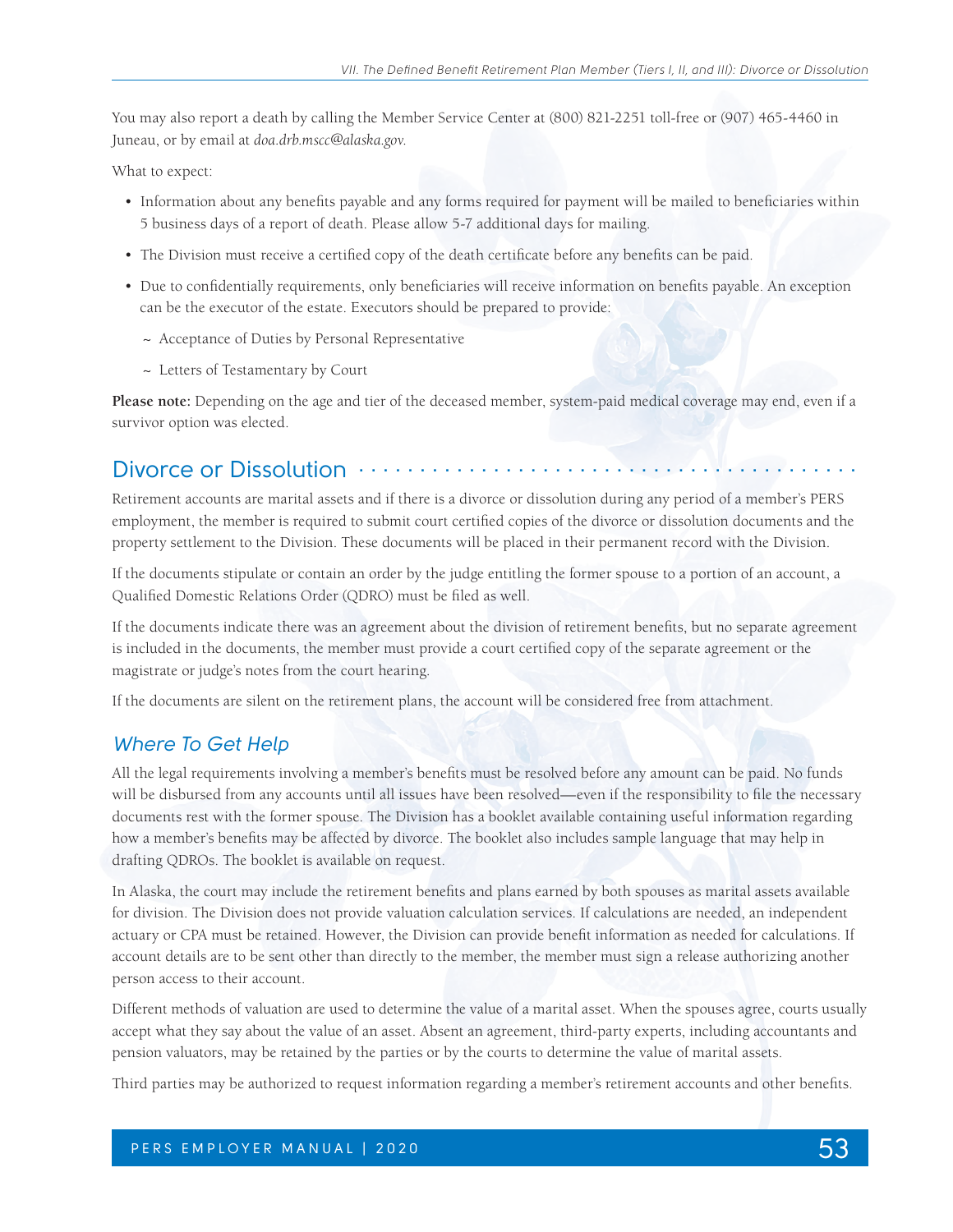You may also report a death by calling the Member Service Center at (800) 821-2251 toll-free or (907) 465-4460 in Juneau, or by email at *doa.drb.mscc@alaska.gov*.

What to expect:

- Information about any benefits payable and any forms required for payment will be mailed to beneficiaries within 5 business days of a report of death. Please allow 5-7 additional days for mailing.
- The Division must receive a certified copy of the death certificate before any benefits can be paid.
- Due to confidentially requirements, only beneficiaries will receive information on benefits payable. An exception can be the executor of the estate. Executors should be prepared to provide:
	- ~ Acceptance of Duties by Personal Representative
	- ~ Letters of Testamentary by Court

**Please note:** Depending on the age and tier of the deceased member, system-paid medical coverage may end, even if a survivor option was elected.

## Divorce or Dissolution  $\dots$

Retirement accounts are marital assets and if there is a divorce or dissolution during any period of a member's PERS employment, the member is required to submit court certified copies of the divorce or dissolution documents and the property settlement to the Division. These documents will be placed in their permanent record with the Division.

If the documents stipulate or contain an order by the judge entitling the former spouse to a portion of an account, a Qualified Domestic Relations Order (QDRO) must be filed as well.

If the documents indicate there was an agreement about the division of retirement benefits, but no separate agreement is included in the documents, the member must provide a court certified copy of the separate agreement or the magistrate or judge's notes from the court hearing.

If the documents are silent on the retirement plans, the account will be considered free from attachment.

## *Where To Get Help*

All the legal requirements involving a member's benefits must be resolved before any amount can be paid. No funds will be disbursed from any accounts until all issues have been resolved—even if the responsibility to file the necessary documents rest with the former spouse. The Division has a booklet available containing useful information regarding how a member's benefits may be affected by divorce. The booklet also includes sample language that may help in drafting QDROs. The booklet is available on request.

In Alaska, the court may include the retirement benefits and plans earned by both spouses as marital assets available for division. The Division does not provide valuation calculation services. If calculations are needed, an independent actuary or CPA must be retained. However, the Division can provide benefit information as needed for calculations. If account details are to be sent other than directly to the member, the member must sign a release authorizing another person access to their account.

Different methods of valuation are used to determine the value of a marital asset. When the spouses agree, courts usually accept what they say about the value of an asset. Absent an agreement, third-party experts, including accountants and pension valuators, may be retained by the parties or by the courts to determine the value of marital assets.

Third parties may be authorized to request information regarding a member's retirement accounts and other benefits.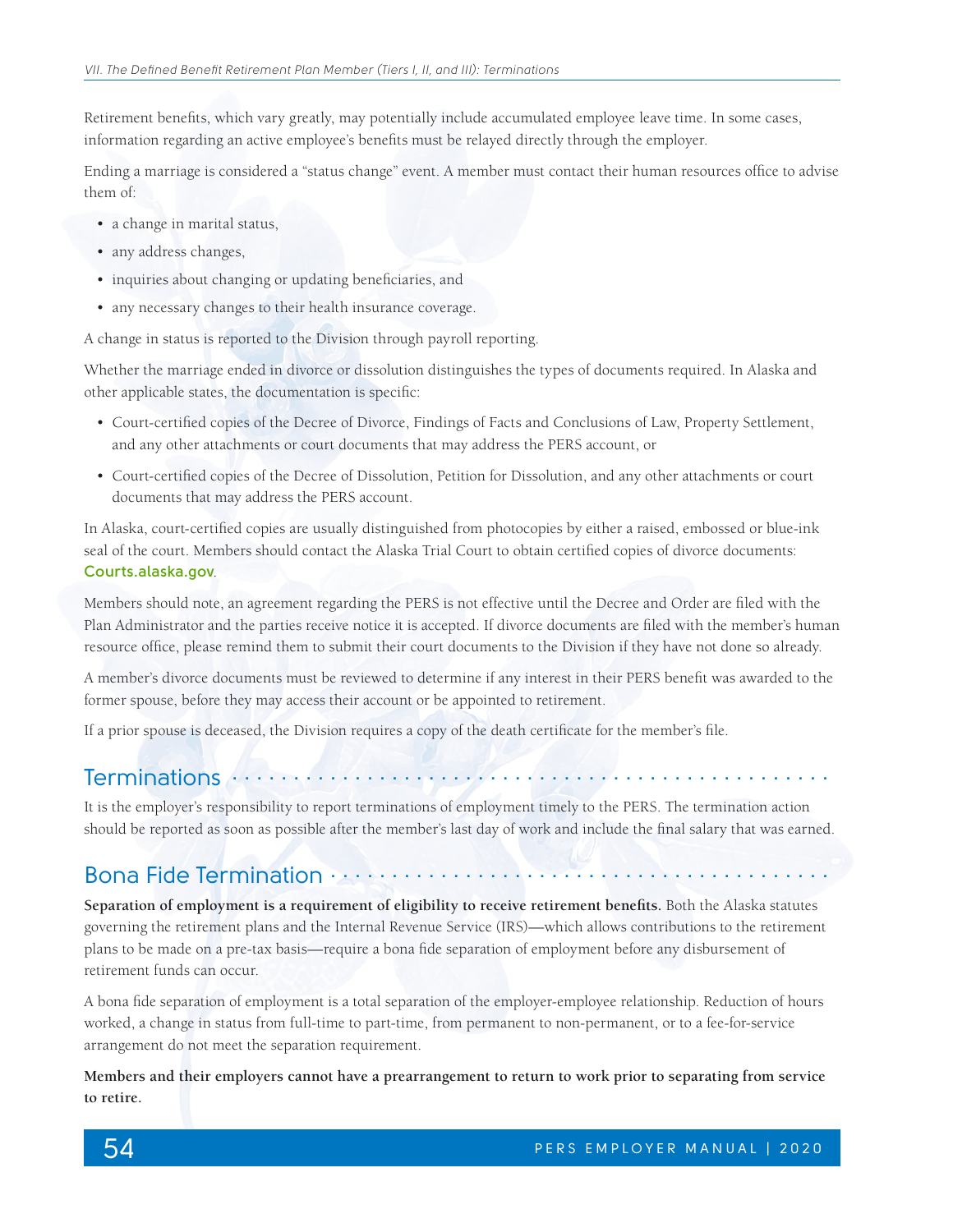Retirement benefits, which vary greatly, may potentially include accumulated employee leave time. In some cases, information regarding an active employee's benefits must be relayed directly through the employer.

Ending a marriage is considered a "status change" event. A member must contact their human resources office to advise them of:

- a change in marital status,
- any address changes,
- inquiries about changing or updating beneficiaries, and
- any necessary changes to their health insurance coverage.

A change in status is reported to the Division through payroll reporting.

Whether the marriage ended in divorce or dissolution distinguishes the types of documents required. In Alaska and other applicable states, the documentation is specific:

- Court-certified copies of the Decree of Divorce, Findings of Facts and Conclusions of Law, Property Settlement, and any other attachments or court documents that may address the PERS account, or
- Court-certified copies of the Decree of Dissolution, Petition for Dissolution, and any other attachments or court documents that may address the PERS account.

In Alaska, court-certified copies are usually distinguished from photocopies by either a raised, embossed or blue-ink seal of the court. Members should contact the Alaska Trial Court to obtain certified copies of divorce documents: **Courts.alaska.gov**.

Members should note, an agreement regarding the PERS is not effective until the Decree and Order are filed with the Plan Administrator and the parties receive notice it is accepted. If divorce documents are filed with the member's human resource office, please remind them to submit their court documents to the Division if they have not done so already.

A member's divorce documents must be reviewed to determine if any interest in their PERS benefit was awarded to the former spouse, before they may access their account or be appointed to retirement.

If a prior spouse is deceased, the Division requires a copy of the death certificate for the member's file.

## Terminations  $\dots \dots \dots \dots \dots$

It is the employer's responsibility to report terminations of employment timely to the PERS. The termination action should be reported as soon as possible after the member's last day of work and include the final salary that was earned.

#### Bona Fide Termination  $\cdots$

**Separation of employment is a requirement of eligibility to receive retirement benefits.** Both the Alaska statutes governing the retirement plans and the Internal Revenue Service (IRS)—which allows contributions to the retirement plans to be made on a pre-tax basis—require a bona fide separation of employment before any disbursement of retirement funds can occur.

A bona fide separation of employment is a total separation of the employer-employee relationship. Reduction of hours worked, a change in status from full-time to part-time, from permanent to non-permanent, or to a fee-for-service arrangement do not meet the separation requirement.

**Members and their employers cannot have a prearrangement to return to work prior to separating from service to retire.**

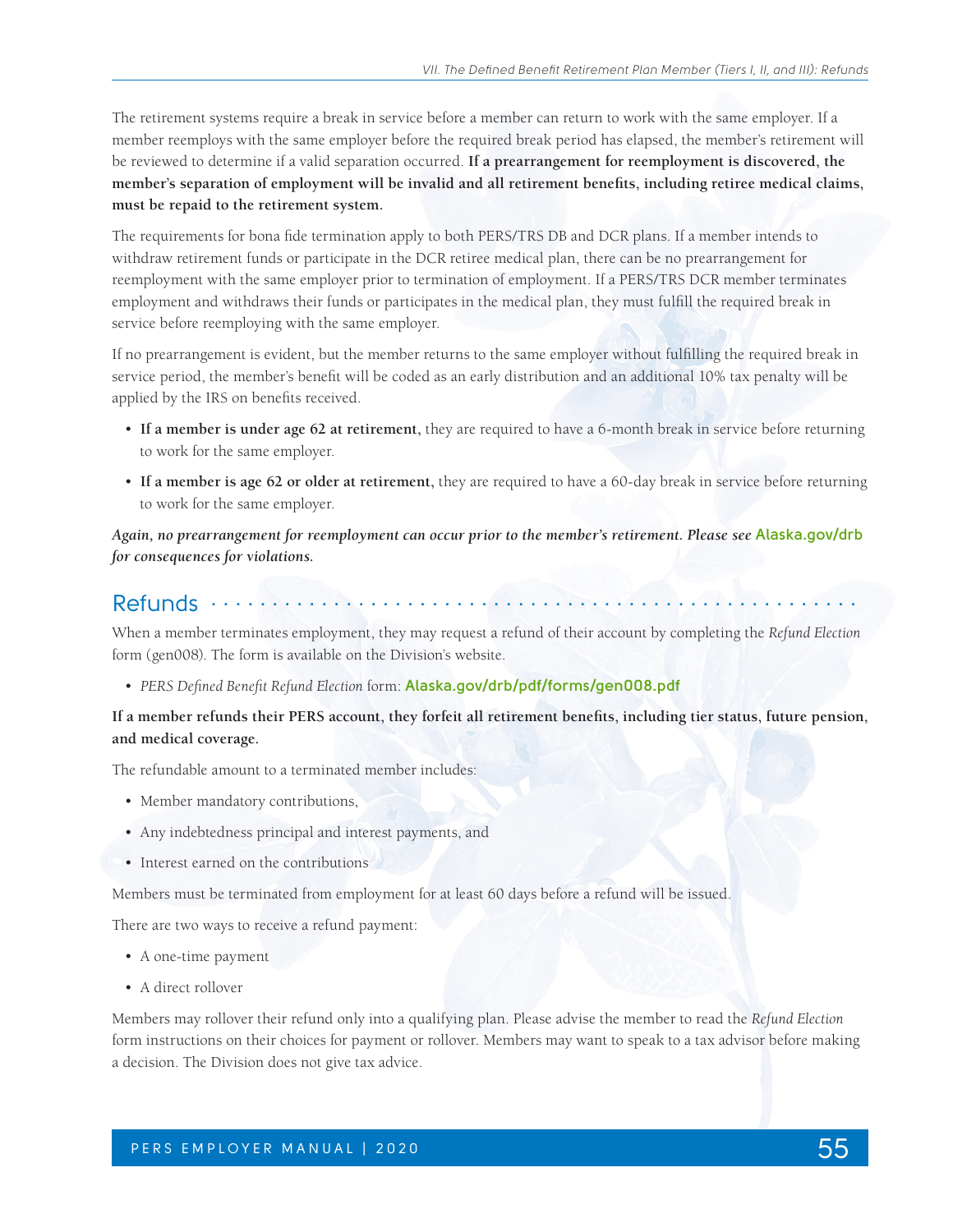The retirement systems require a break in service before a member can return to work with the same employer. If a member reemploys with the same employer before the required break period has elapsed, the member's retirement will be reviewed to determine if a valid separation occurred. **If a prearrangement for reemployment is discovered, the member's separation of employment will be invalid and all retirement benefits, including retiree medical claims, must be repaid to the retirement system.** 

The requirements for bona fide termination apply to both PERS/TRS DB and DCR plans. If a member intends to withdraw retirement funds or participate in the DCR retiree medical plan, there can be no prearrangement for reemployment with the same employer prior to termination of employment. If a PERS/TRS DCR member terminates employment and withdraws their funds or participates in the medical plan, they must fulfill the required break in service before reemploying with the same employer.

If no prearrangement is evident, but the member returns to the same employer without fulfilling the required break in service period, the member's benefit will be coded as an early distribution and an additional 10% tax penalty will be applied by the IRS on benefits received.

- **If a member is under age 62 at retirement,** they are required to have a 6-month break in service before returning to work for the same employer.
- **If a member is age 62 or older at retirement,** they are required to have a 60-day break in service before returning to work for the same employer.

*Again, no prearrangement for reemployment can occur prior to the member's retirement. Please see* **Alaska.gov/drb** *for consequences for violations.*

## Refunds � � � � � � � � � � � � � � � � � � � � � � � � � � � � � � � � � � � � � � � � � � � � � � � � � � � � �

When a member terminates employment, they may request a refund of their account by completing the *Refund Election* form (gen008). The form is available on the Division's website.

• *[PERS Defined Benefit Refund Election](http://doa.alaska.gov/drb/forms/pdf/gen008.pdf)* form: **Alaska.gov/drb/pdf/forms/gen008.pdf**

#### **If a member refunds their PERS account, they forfeit all retirement benefits, including tier status, future pension, and medical coverage.**

The refundable amount to a terminated member includes:

- Member mandatory contributions,
- Any indebtedness principal and interest payments, and
- Interest earned on the contributions

Members must be terminated from employment for at least 60 days before a refund will be issued.

There are two ways to receive a refund payment:

- A one-time payment
- A direct rollover

Members may rollover their refund only into a qualifying plan. Please advise the member to read the *Refund Election* form instructions on their choices for payment or rollover. Members may want to speak to a tax advisor before making a decision. The Division does not give tax advice.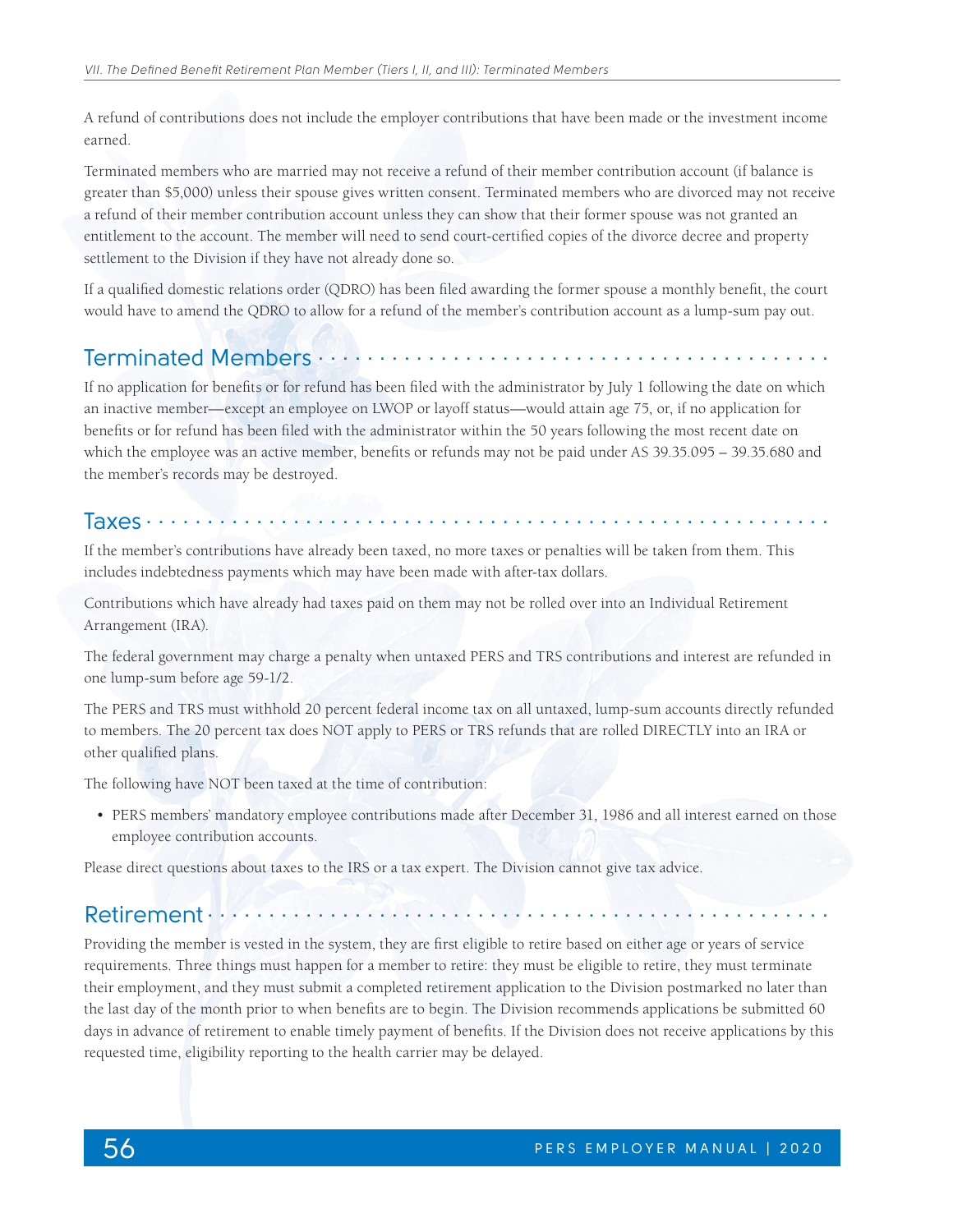A refund of contributions does not include the employer contributions that have been made or the investment income earned.

Terminated members who are married may not receive a refund of their member contribution account (if balance is greater than \$5,000) unless their spouse gives written consent. Terminated members who are divorced may not receive a refund of their member contribution account unless they can show that their former spouse was not granted an entitlement to the account. The member will need to send court-certified copies of the divorce decree and property settlement to the Division if they have not already done so.

If a qualified domestic relations order (QDRO) has been filed awarding the former spouse a monthly benefit, the court would have to amend the QDRO to allow for a refund of the member's contribution account as a lump-sum pay out.

## 

If no application for benefits or for refund has been filed with the administrator by July 1 following the date on which an inactive member—except an employee on LWOP or layoff status—would attain age 75, or, if no application for benefits or for refund has been filed with the administrator within the 50 years following the most recent date on which the employee was an active member, benefits or refunds may not be paid under AS 39.35.095 - 39.35.680 and the member's records may be destroyed.

#### 

If the member's contributions have already been taxed, no more taxes or penalties will be taken from them. This includes indebtedness payments which may have been made with after-tax dollars.

Contributions which have already had taxes paid on them may not be rolled over into an Individual Retirement Arrangement (IRA).

The federal government may charge a penalty when untaxed PERS and TRS contributions and interest are refunded in one lump-sum before age 59-1/2.

The PERS and TRS must withhold 20 percent federal income tax on all untaxed, lump-sum accounts directly refunded to members. The 20 percent tax does NOT apply to PERS or TRS refunds that are rolled DIRECTLY into an IRA or other qualified plans.

The following have NOT been taxed at the time of contribution:

• PERS members' mandatory employee contributions made after December 31, 1986 and all interest earned on those employee contribution accounts.

Please direct questions about taxes to the IRS or a tax expert. The Division cannot give tax advice.

## **Retirement** de des antes estados de contra de contra estados de la propos

Providing the member is vested in the system, they are first eligible to retire based on either age or years of service requirements. Three things must happen for a member to retire: they must be eligible to retire, they must terminate their employment, and they must submit a completed retirement application to the Division postmarked no later than the last day of the month prior to when benefits are to begin. The Division recommends applications be submitted 60 days in advance of retirement to enable timely payment of benefits. If the Division does not receive applications by this requested time, eligibility reporting to the health carrier may be delayed.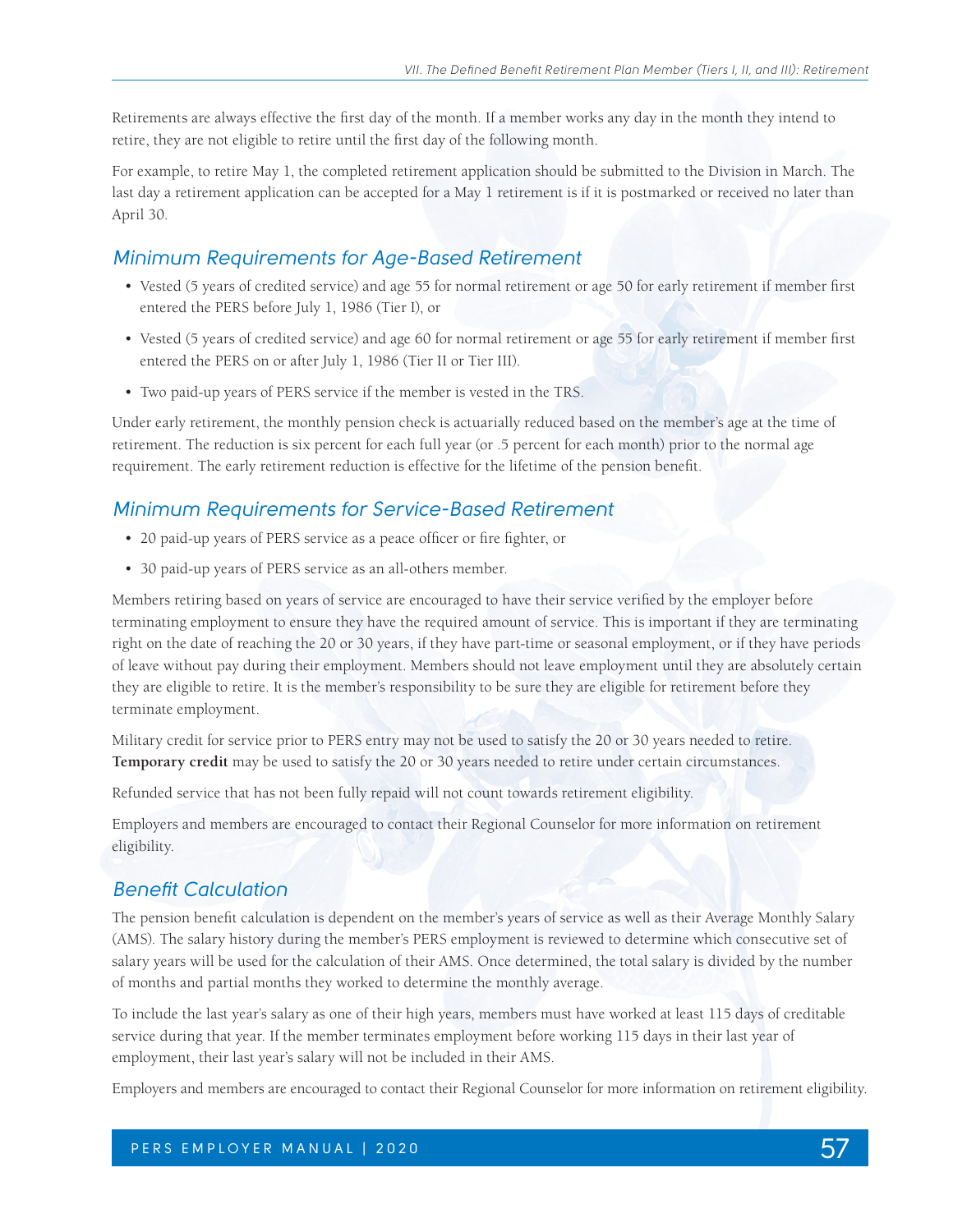Retirements are always effective the first day of the month. If a member works any day in the month they intend to retire, they are not eligible to retire until the first day of the following month.

For example, to retire May 1, the completed retirement application should be submitted to the Division in March. The last day a retirement application can be accepted for a May 1 retirement is if it is postmarked or received no later than April 30.

## *Minimum Requirements for Age-Based Retirement*

- Vested (5 years of credited service) and age 55 for normal retirement or age 50 for early retirement if member first entered the PERS before July 1, 1986 (Tier I), or
- Vested (5 years of credited service) and age 60 for normal retirement or age 55 for early retirement if member first entered the PERS on or after July 1, 1986 (Tier II or Tier III).
- Two paid-up years of PERS service if the member is vested in the TRS.

Under early retirement, the monthly pension check is actuarially reduced based on the member's age at the time of retirement. The reduction is six percent for each full year (or .5 percent for each month) prior to the normal age requirement. The early retirement reduction is effective for the lifetime of the pension benefit.

## *Minimum Requirements for Service-Based Retirement*

- 20 paid-up years of PERS service as a peace officer or fire fighter, or
- 30 paid-up years of PERS service as an all-others member.

Members retiring based on years of service are encouraged to have their service verified by the employer before terminating employment to ensure they have the required amount of service. This is important if they are terminating right on the date of reaching the 20 or 30 years, if they have part-time or seasonal employment, or if they have periods of leave without pay during their employment. Members should not leave employment until they are absolutely certain they are eligible to retire. It is the member's responsibility to be sure they are eligible for retirement before they terminate employment.

Military credit for service prior to PERS entry may not be used to satisfy the 20 or 30 years needed to retire. **Temporary credit** may be used to satisfy the 20 or 30 years needed to retire under certain circumstances.

Refunded service that has not been fully repaid will not count towards retirement eligibility.

Employers and members are encouraged to contact their Regional Counselor for more information on retirement eligibility.

## *Benefit Calculation*

The pension benefit calculation is dependent on the member's years of service as well as their Average Monthly Salary (AMS). The salary history during the member's PERS employment is reviewed to determine which consecutive set of salary years will be used for the calculation of their AMS. Once determined, the total salary is divided by the number of months and partial months they worked to determine the monthly average.

To include the last year's salary as one of their high years, members must have worked at least 115 days of creditable service during that year. If the member terminates employment before working 115 days in their last year of employment, their last year's salary will not be included in their AMS.

Employers and members are encouraged to contact their Regional Counselor for more information on retirement eligibility.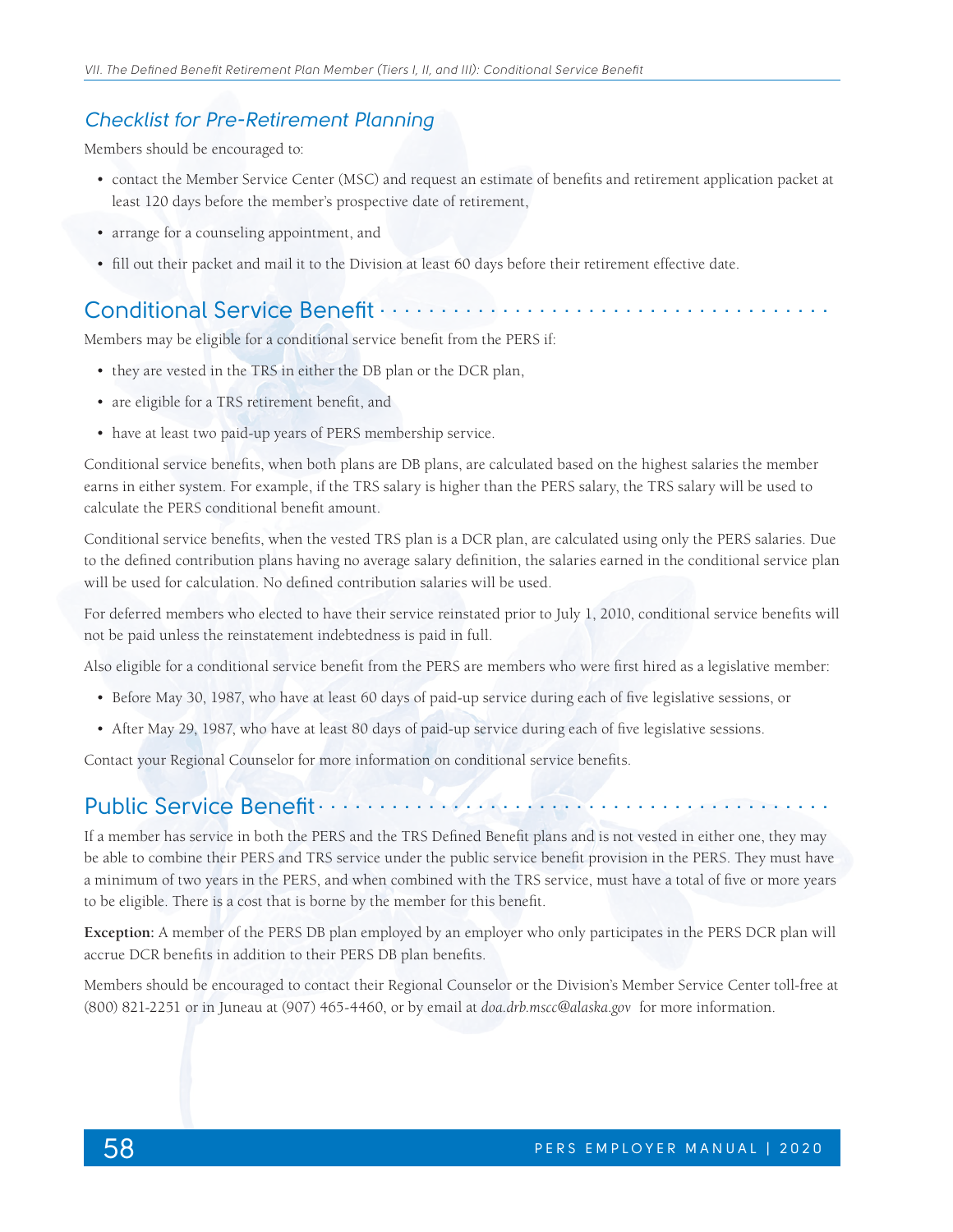## *Checklist for Pre-Retirement Planning*

Members should be encouraged to:

- contact the Member Service Center (MSC) and request an estimate of benefits and retirement application packet at least 120 days before the member's prospective date of retirement,
- arrange for a counseling appointment, and
- fill out their packet and mail it to the Division at least 60 days before their retirement effective date.

## Conditional Service Benefit  $\cdots$   $\cdots$   $\cdots$   $\cdots$   $\cdots$   $\cdots$

Members may be eligible for a conditional service benefit from the PERS if:

- they are vested in the TRS in either the DB plan or the DCR plan,
- are eligible for a TRS retirement benefit, and
- have at least two paid-up years of PERS membership service.

Conditional service benefits, when both plans are DB plans, are calculated based on the highest salaries the member earns in either system. For example, if the TRS salary is higher than the PERS salary, the TRS salary will be used to calculate the PERS conditional benefit amount.

Conditional service benefits, when the vested TRS plan is a DCR plan, are calculated using only the PERS salaries. Due to the defined contribution plans having no average salary definition, the salaries earned in the conditional service plan will be used for calculation. No defined contribution salaries will be used.

For deferred members who elected to have their service reinstated prior to July 1, 2010, conditional service benefits will not be paid unless the reinstatement indebtedness is paid in full.

Also eligible for a conditional service benefit from the PERS are members who were first hired as a legislative member:

- Before May 30, 1987, who have at least 60 days of paid-up service during each of five legislative sessions, or
- After May 29, 1987, who have at least 80 days of paid-up service during each of five legislative sessions.

Contact your Regional Counselor for more information on conditional service benefits.

## Public Service Benefit  $\dots \dots \dots \dots$

If a member has service in both the PERS and the TRS Defined Benefit plans and is not vested in either one, they may be able to combine their PERS and TRS service under the public service benefit provision in the PERS. They must have a minimum of two years in the PERS, and when combined with the TRS service, must have a total of five or more years to be eligible. There is a cost that is borne by the member for this benefit.

**Exception:** A member of the PERS DB plan employed by an employer who only participates in the PERS DCR plan will accrue DCR benefits in addition to their PERS DB plan benefits.

Members should be encouraged to contact their Regional Counselor or the Division's Member Service Center toll-free at (800) 821-2251 or in Juneau at (907) 465-4460, or by email at *doa.drb.mscc@alaska.gov* for more information.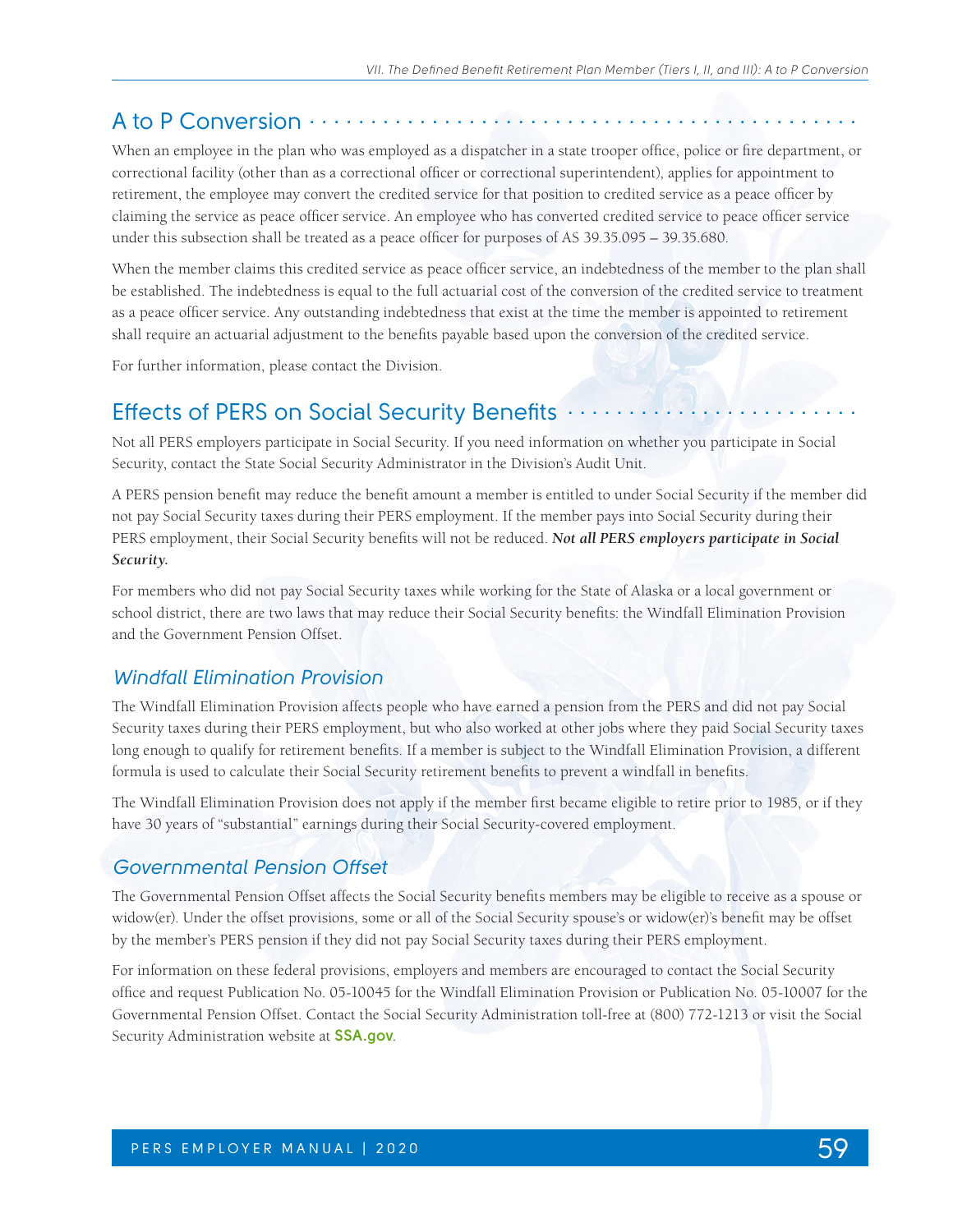# A to P Conversion  $\cdots$

When an employee in the plan who was employed as a dispatcher in a state trooper office, police or fire department, or correctional facility (other than as a correctional officer or correctional superintendent), applies for appointment to retirement, the employee may convert the credited service for that position to credited service as a peace officer by claiming the service as peace officer service. An employee who has converted credited service to peace officer service under this subsection shall be treated as a peace officer for purposes of AS 39.35.095 – 39.35.680.

When the member claims this credited service as peace officer service, an indebtedness of the member to the plan shall be established. The indebtedness is equal to the full actuarial cost of the conversion of the credited service to treatment as a peace officer service. Any outstanding indebtedness that exist at the time the member is appointed to retirement shall require an actuarial adjustment to the benefits payable based upon the conversion of the credited service.

For further information, please contact the Division.

## Effects of PERS on Social Security Benefits  $\cdots$

Not all PERS employers participate in Social Security. If you need information on whether you participate in Social Security, contact the State Social Security Administrator in the Division's Audit Unit.

A PERS pension benefit may reduce the benefit amount a member is entitled to under Social Security if the member did not pay Social Security taxes during their PERS employment. If the member pays into Social Security during their PERS employment, their Social Security benefits will not be reduced. *Not all PERS employers participate in Social Security.*

For members who did not pay Social Security taxes while working for the State of Alaska or a local government or school district, there are two laws that may reduce their Social Security benefits: the Windfall Elimination Provision and the Government Pension Offset.

## *Windfall Elimination Provision*

The Windfall Elimination Provision affects people who have earned a pension from the PERS and did not pay Social Security taxes during their PERS employment, but who also worked at other jobs where they paid Social Security taxes long enough to qualify for retirement benefits. If a member is subject to the Windfall Elimination Provision, a different formula is used to calculate their Social Security retirement benefits to prevent a windfall in benefits.

The Windfall Elimination Provision does not apply if the member first became eligible to retire prior to 1985, or if they have 30 years of "substantial" earnings during their Social Security-covered employment.

## *Governmental Pension Offset*

The Governmental Pension Offset affects the Social Security benefits members may be eligible to receive as a spouse or widow(er). Under the offset provisions, some or all of the Social Security spouse's or widow(er)'s benefit may be offset by the member's PERS pension if they did not pay Social Security taxes during their PERS employment.

For information on these federal provisions, employers and members are encouraged to contact the Social Security office and request Publication No. 05-10045 for the Windfall Elimination Provision or Publication No. 05-10007 for the Governmental Pension Offset. Contact the Social Security Administration toll-free at (800) 772-1213 or visit the Social Security Administration website at **SSA.gov**.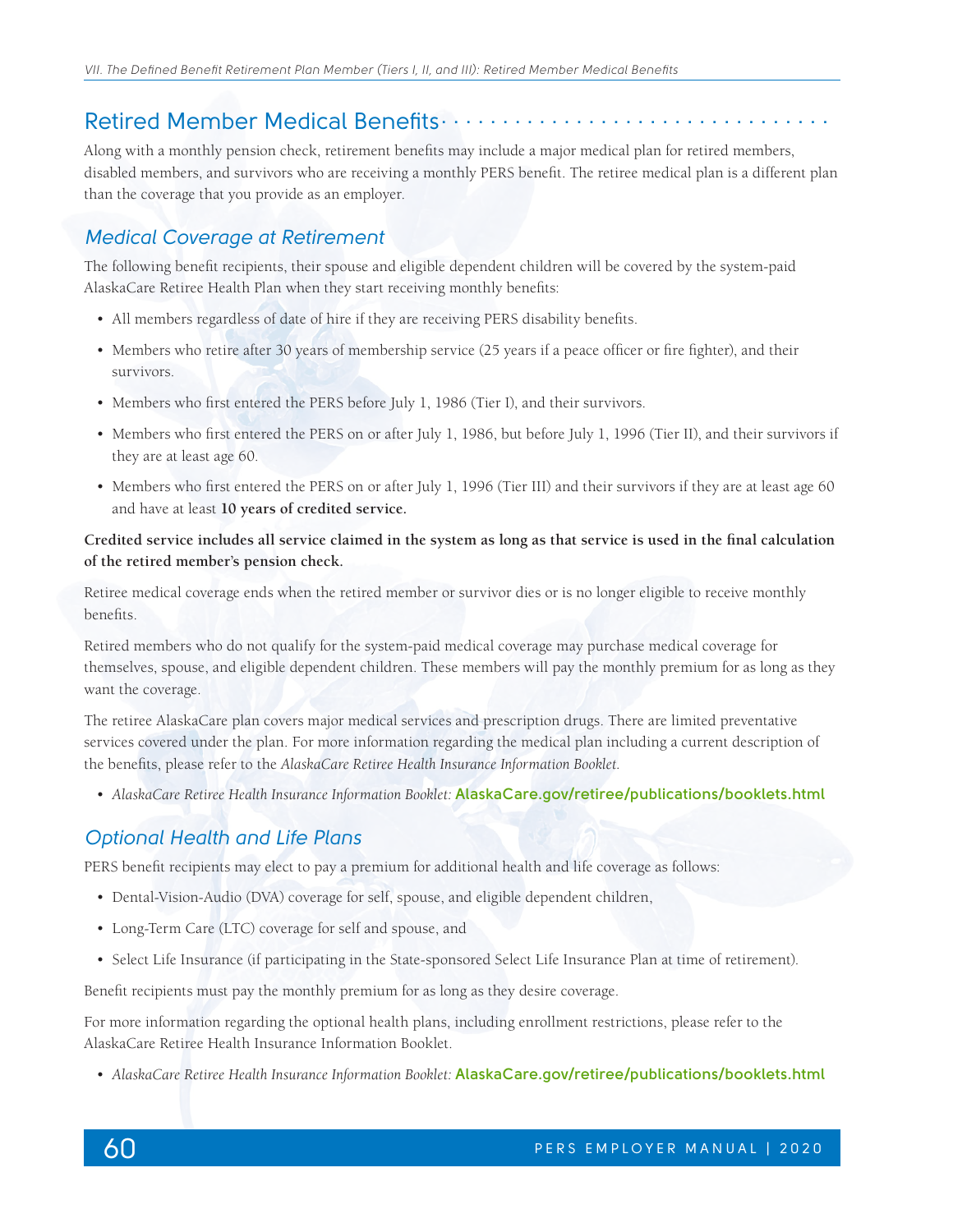## Retired Member Medical Benefits  $\cdots$

Along with a monthly pension check, retirement benefits may include a major medical plan for retired members, disabled members, and survivors who are receiving a monthly PERS benefit. The retiree medical plan is a different plan than the coverage that you provide as an employer.

## *Medical Coverage at Retirement*

The following benefit recipients, their spouse and eligible dependent children will be covered by the system-paid AlaskaCare Retiree Health Plan when they start receiving monthly benefits:

- All members regardless of date of hire if they are receiving PERS disability benefits.
- Members who retire after 30 years of membership service (25 years if a peace officer or fire fighter), and their survivors.
- Members who first entered the PERS before July 1, 1986 (Tier I), and their survivors.
- Members who first entered the PERS on or after July 1, 1986, but before July 1, 1996 (Tier II), and their survivors if they are at least age 60.
- Members who first entered the PERS on or after July 1, 1996 (Tier III) and their survivors if they are at least age 60 and have at least **10 years of credited service.**

#### **Credited service includes all service claimed in the system as long as that service is used in the final calculation of the retired member's pension check.**

Retiree medical coverage ends when the retired member or survivor dies or is no longer eligible to receive monthly benefits.

Retired members who do not qualify for the system-paid medical coverage may purchase medical coverage for themselves, spouse, and eligible dependent children. These members will pay the monthly premium for as long as they want the coverage.

The retiree AlaskaCare plan covers major medical services and prescription drugs. There are limited preventative services covered under the plan. For more information regarding the medical plan including a current description of the benefits, please refer to the *AlaskaCare Retiree Health Insurance Information Booklet.*

• *[AlaskaCare Retiree Health Insurance Information Booklet:](http://doa.alaska.gov/drb/ghlb/retiree/pdf/2003-retiree-handbook.pdf)* **AlaskaCare.gov/retiree/publications/booklets.html**

## *Optional Health and Life Plans*

PERS benefit recipients may elect to pay a premium for additional health and life coverage as follows:

- Dental-Vision-Audio (DVA) coverage for self, spouse, and eligible dependent children,
- Long-Term Care (LTC) coverage for self and spouse, and
- Select Life Insurance (if participating in the State-sponsored Select Life Insurance Plan at time of retirement).

Benefit recipients must pay the monthly premium for as long as they desire coverage.

For more information regarding the optional health plans, including enrollment restrictions, please refer to the AlaskaCare Retiree Health Insurance Information Booklet.

• *[AlaskaCare Retiree Health Insurance Information Booklet:](http://doa.alaska.gov/drb/ghlb/retiree/pdf/2003-retiree-handbook.pdf)* **AlaskaCare.gov/retiree/publications/booklets.html**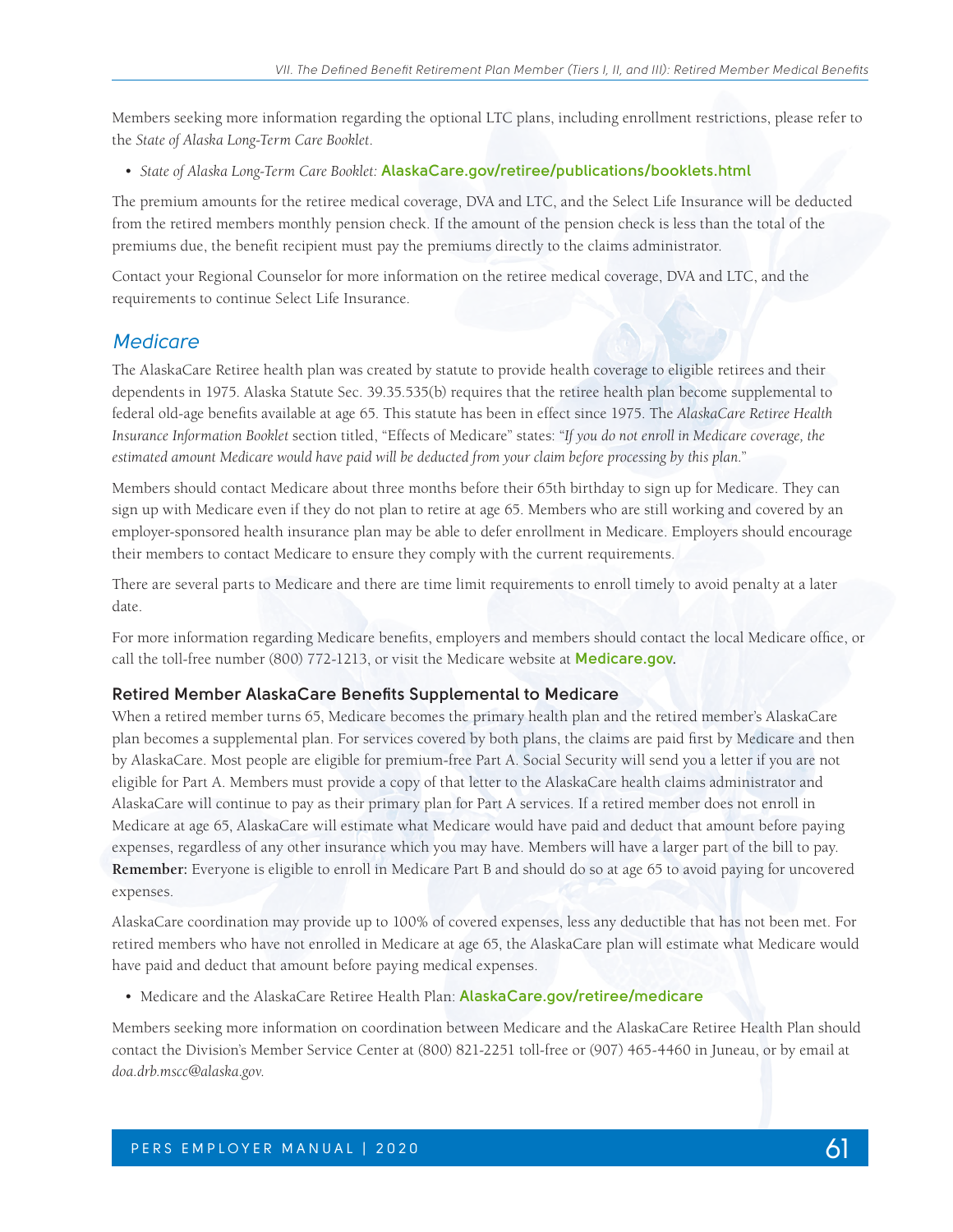Members seeking more information regarding the optional LTC plans, including enrollment restrictions, please refer to the *State of Alaska Long-Term Care Booklet*.

• *[State of Alaska Long-Term Care Booklet:](http://doa.alaska.gov/drb/ghlb/retiree/pdf/bronzebw.pdf)* **AlaskaCare.gov/retiree/publications/booklets.html**

The premium amounts for the retiree medical coverage, DVA and LTC, and the Select Life Insurance will be deducted from the retired members monthly pension check. If the amount of the pension check is less than the total of the premiums due, the benefit recipient must pay the premiums directly to the claims administrator.

Contact your Regional Counselor for more information on the retiree medical coverage, DVA and LTC, and the requirements to continue Select Life Insurance.

#### *Medicare*

The AlaskaCare Retiree health plan was created by statute to provide health coverage to eligible retirees and their dependents in 1975. Alaska Statute Sec. 39.35.535(b) requires that the retiree health plan become supplemental to federal old-age benefits available at age 65. This statute has been in effect since 1975. The *AlaskaCare Retiree Health Insurance Information Booklet* section titled, "Effects of Medicare" states: "*If you do not enroll in Medicare coverage, the estimated amount Medicare would have paid will be deducted from your claim before processing by this plan.*"

Members should contact Medicare about three months before their 65th birthday to sign up for Medicare. They can sign up with Medicare even if they do not plan to retire at age 65. Members who are still working and covered by an employer-sponsored health insurance plan may be able to defer enrollment in Medicare. Employers should encourage their members to contact Medicare to ensure they comply with the current requirements.

There are several parts to Medicare and there are time limit requirements to enroll timely to avoid penalty at a later date.

For more information regarding Medicare benefits, employers and members should contact the local Medicare office, or call the toll-free number (800) 772-1213, or visit the Medicare website at **Medicare.gov.**

#### **Retired Member AlaskaCare Benefits Supplemental to Medicare**

When a retired member turns 65, Medicare becomes the primary health plan and the retired member's AlaskaCare plan becomes a supplemental plan. For services covered by both plans, the claims are paid first by Medicare and then by AlaskaCare. Most people are eligible for premium-free Part A. Social Security will send you a letter if you are not eligible for Part A. Members must provide a copy of that letter to the AlaskaCare health claims administrator and AlaskaCare will continue to pay as their primary plan for Part A services. If a retired member does not enroll in Medicare at age 65, AlaskaCare will estimate what Medicare would have paid and deduct that amount before paying expenses, regardless of any other insurance which you may have. Members will have a larger part of the bill to pay. **Remember:** Everyone is eligible to enroll in Medicare Part B and should do so at age 65 to avoid paying for uncovered expenses.

AlaskaCare coordination may provide up to 100% of covered expenses, less any deductible that has not been met. For retired members who have not enrolled in Medicare at age 65, the AlaskaCare plan will estimate what Medicare would have paid and deduct that amount before paying medical expenses.

• [Medicare and the AlaskaCare Retiree Health Plan](http://doa.alaska.gov/drb/ghlb/retiree/retiree-medicare-information.html): **AlaskaCare.gov/retiree/medicare**

Members seeking more information on coordination between Medicare and the AlaskaCare Retiree Health Plan should contact the Division's Member Service Center at (800) 821-2251 toll-free or (907) 465-4460 in Juneau, or by email at *doa.drb.mscc@alaska.gov*.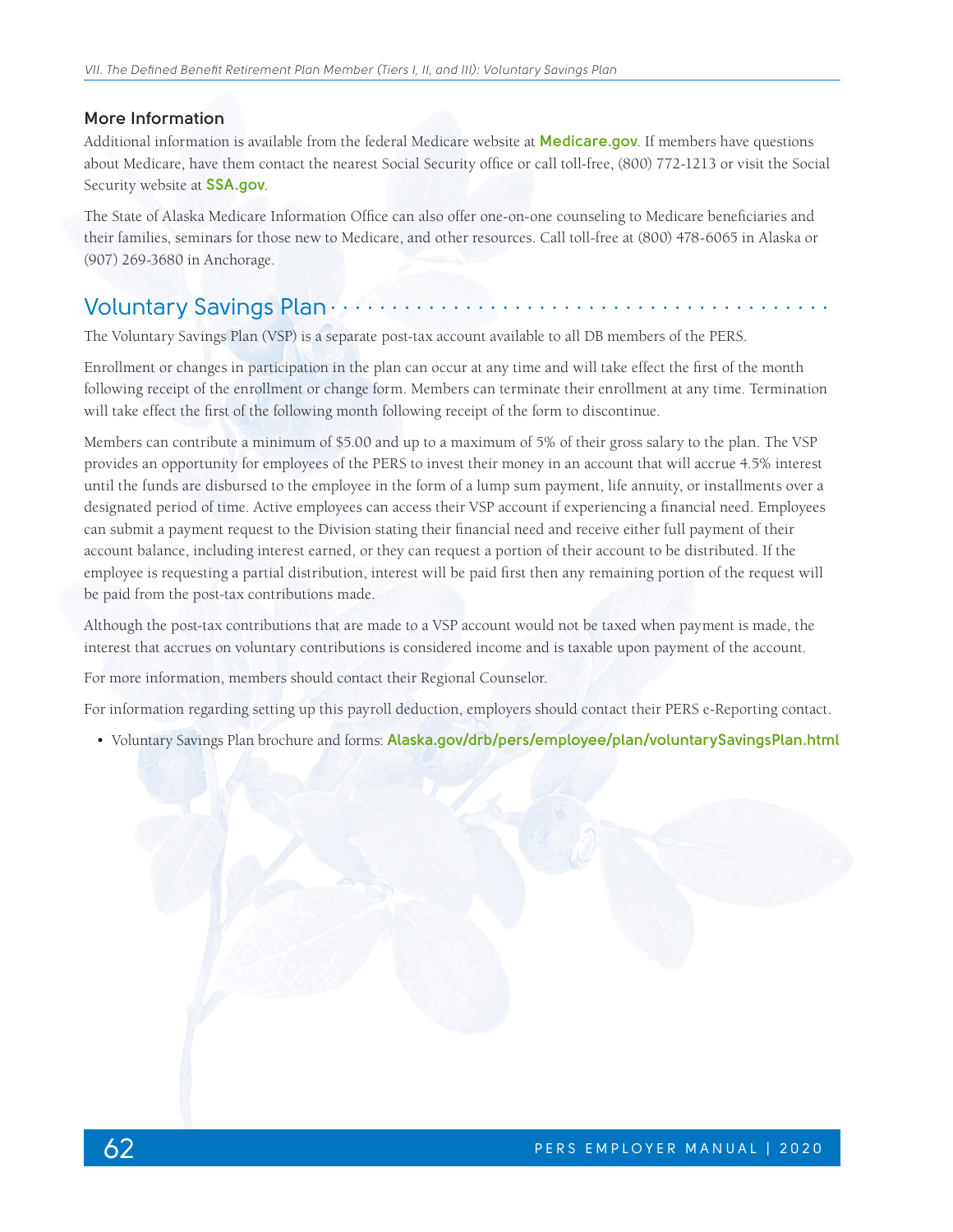#### **More Information**

Additional information is available from the federal Medicare website at **Medicare.gov**. If members have questions about Medicare, have them contact the nearest Social Security office or call toll-free, (800) 772-1213 or visit the Social Security website at **SSA.gov**.

The State of Alaska Medicare Information Office can also offer one-on-one counseling to Medicare beneficiaries and their families, seminars for those new to Medicare, and other resources. Call toll-free at (800) 478-6065 in Alaska or (907) 269-3680 in Anchorage.

## Voluntary Savings Plan  $\dots\dots\dots\dots$

The Voluntary Savings Plan (VSP) is a separate post-tax account available to all DB members of the PERS.

Enrollment or changes in participation in the plan can occur at any time and will take effect the first of the month following receipt of the enrollment or change form. Members can terminate their enrollment at any time. Termination will take effect the first of the following month following receipt of the form to discontinue.

Members can contribute a minimum of \$5.00 and up to a maximum of 5% of their gross salary to the plan. The VSP provides an opportunity for employees of the PERS to invest their money in an account that will accrue 4.5% interest until the funds are disbursed to the employee in the form of a lump sum payment, life annuity, or installments over a designated period of time. Active employees can access their VSP account if experiencing a financial need. Employees can submit a payment request to the Division stating their financial need and receive either full payment of their account balance, including interest earned, or they can request a portion of their account to be distributed. If the employee is requesting a partial distribution, interest will be paid first then any remaining portion of the request will be paid from the post-tax contributions made.

Although the post-tax contributions that are made to a VSP account would not be taxed when payment is made, the interest that accrues on voluntary contributions is considered income and is taxable upon payment of the account.

For more information, members should contact their Regional Counselor.

For information regarding setting up this payroll deduction, employers should contact their PERS e-Reporting contact.

• [Voluntary Savings Plan brochure and forms](http://www.doa.alaska.gov/drb/forms/forms2.html#V): **Alaska.gov/drb/pers/employee/plan/voluntarySavingsPlan.html**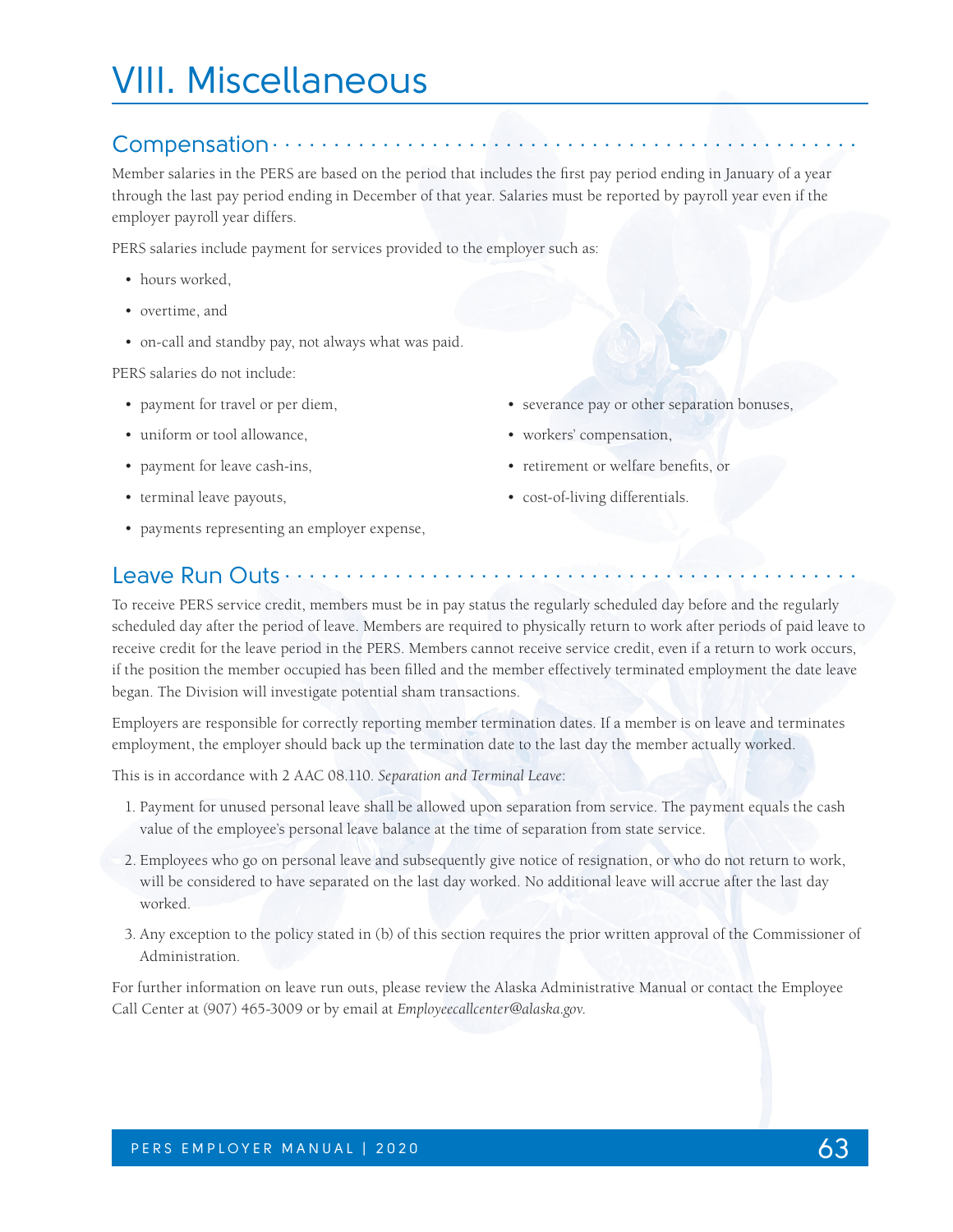# VIII. Miscellaneous

## Compensation� � � � � � � � � � � � � � � � � � � � � � � � � � � � � � � � � � � � � � � � � � � � � � � �

Member salaries in the PERS are based on the period that includes the first pay period ending in January of a year through the last pay period ending in December of that year. Salaries must be reported by payroll year even if the employer payroll year differs.

PERS salaries include payment for services provided to the employer such as:

- hours worked.
- overtime, and
- on-call and standby pay, not always what was paid.

PERS salaries do not include:

- payment for travel or per diem,
- uniform or tool allowance,
- payment for leave cash-ins,
- terminal leave payouts,
- payments representing an employer expense,
- severance pay or other separation bonuses,
- workers' compensation,
- retirement or welfare benefits, or
- cost-of-living differentials.

# Leave Run Outs $\cdots$

To receive PERS service credit, members must be in pay status the regularly scheduled day before and the regularly scheduled day after the period of leave. Members are required to physically return to work after periods of paid leave to receive credit for the leave period in the PERS. Members cannot receive service credit, even if a return to work occurs, if the position the member occupied has been filled and the member effectively terminated employment the date leave began. The Division will investigate potential sham transactions.

Employers are responsible for correctly reporting member termination dates. If a member is on leave and terminates employment, the employer should back up the termination date to the last day the member actually worked.

This is in accordance with 2 AAC 08.110. *Separation and Terminal Leave*:

- 1. Payment for unused personal leave shall be allowed upon separation from service. The payment equals the cash value of the employee's personal leave balance at the time of separation from state service.
- 2. Employees who go on personal leave and subsequently give notice of resignation, or who do not return to work, will be considered to have separated on the last day worked. No additional leave will accrue after the last day worked.
- 3. Any exception to the policy stated in (b) of this section requires the prior written approval of the Commissioner of Administration.

For further information on leave run outs, please review the Alaska Administrative Manual or contact the Employee Call Center at (907) 465-3009 or by email at *Employeecallcenter@alaska.gov*.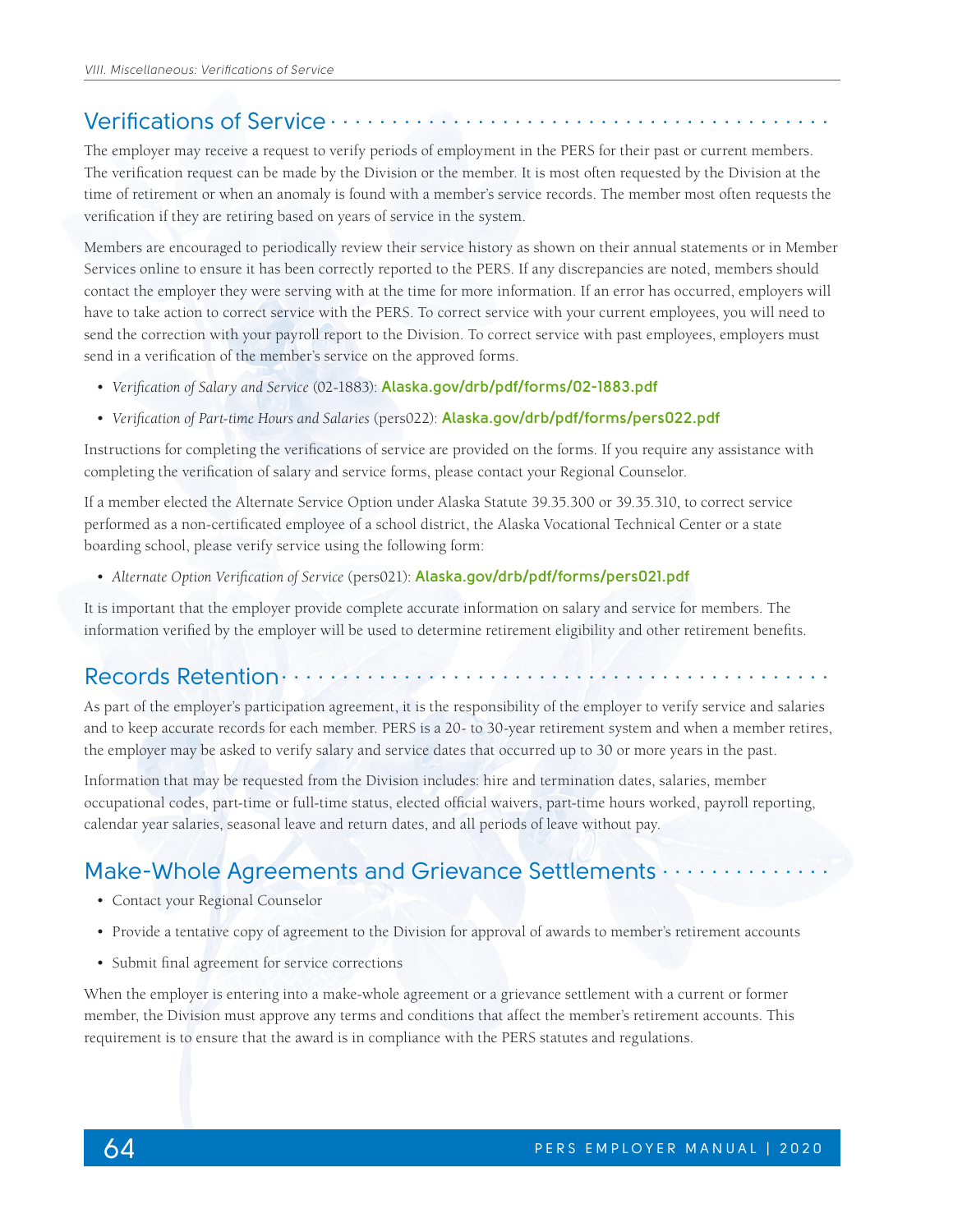# Verifications of Service  $\cdots$

The employer may receive a request to verify periods of employment in the PERS for their past or current members. The verification request can be made by the Division or the member. It is most often requested by the Division at the time of retirement or when an anomaly is found with a member's service records. The member most often requests the verification if they are retiring based on years of service in the system.

Members are encouraged to periodically review their service history as shown on their annual statements or in Member Services online to ensure it has been correctly reported to the PERS. If any discrepancies are noted, members should contact the employer they were serving with at the time for more information. If an error has occurred, employers will have to take action to correct service with the PERS. To correct service with your current employees, you will need to send the correction with your payroll report to the Division. To correct service with past employees, employers must send in a verification of the member's service on the approved forms.

- *Verification of Salary and Service* (02-1883): **Alaska.gov/drb/pdf/forms/02-1883.pdf**
- *Verification of Part-time Hours and Salaries* (pers022): **Alaska.gov/drb/pdf/forms/pers022.pdf**

Instructions for completing the verifications of service are provided on the forms. If you require any assistance with completing the verification of salary and service forms, please contact your Regional Counselor.

If a member elected the Alternate Service Option under Alaska Statute 39.35.300 or 39.35.310, to correct service performed as a non-certificated employee of a school district, the Alaska Vocational Technical Center or a state boarding school, please verify service using the following form:

• *Alternate Option Verification of Service* (pers021): **Alaska.gov/drb/pdf/forms/pers021.pdf**

It is important that the employer provide complete accurate information on salary and service for members. The information verified by the employer will be used to determine retirement eligibility and other retirement benefits.

# Records Retention  $\dots \dots \dots$

As part of the employer's participation agreement, it is the responsibility of the employer to verify service and salaries and to keep accurate records for each member. PERS is a 20- to 30-year retirement system and when a member retires, the employer may be asked to verify salary and service dates that occurred up to 30 or more years in the past.

Information that may be requested from the Division includes: hire and termination dates, salaries, member occupational codes, part-time or full-time status, elected official waivers, part-time hours worked, payroll reporting, calendar year salaries, seasonal leave and return dates, and all periods of leave without pay.

## Make-Whole Agreements and Grievance Settlements  $\cdot$

- Contact your Regional Counselor
- Provide a tentative copy of agreement to the Division for approval of awards to member's retirement accounts
- Submit final agreement for service corrections

When the employer is entering into a make-whole agreement or a grievance settlement with a current or former member, the Division must approve any terms and conditions that affect the member's retirement accounts. This requirement is to ensure that the award is in compliance with the PERS statutes and regulations.

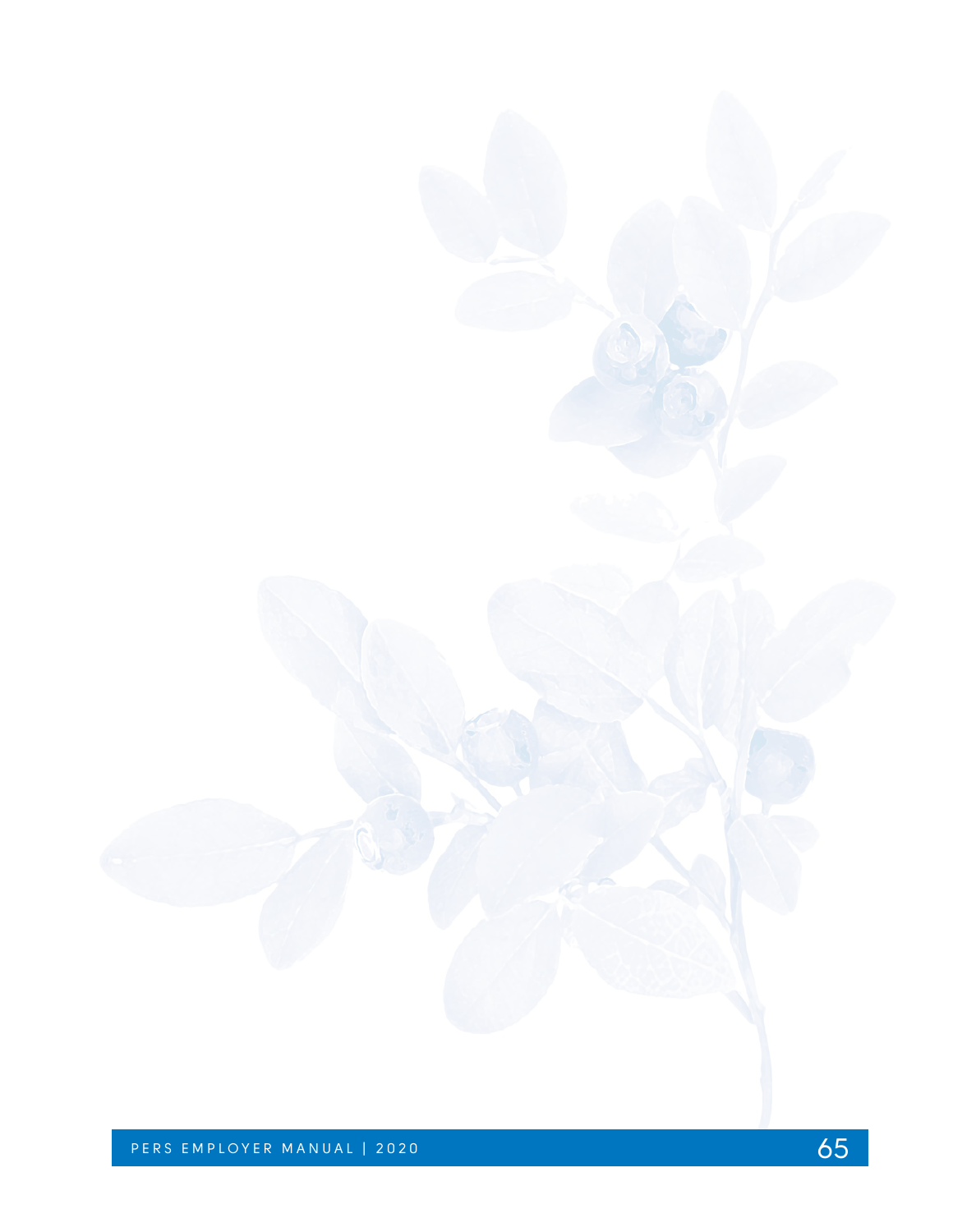